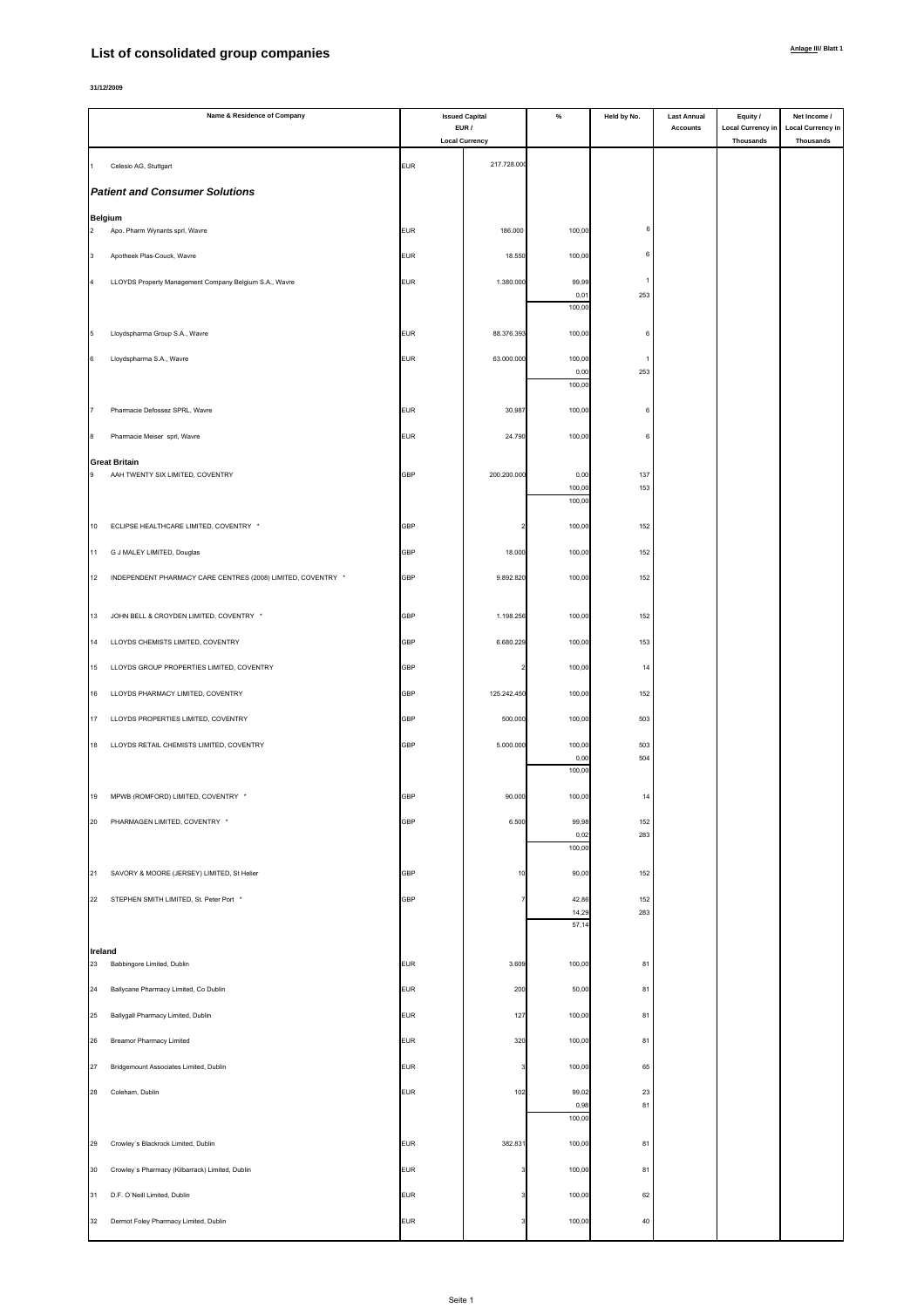## **List of consolidated group companies**

|                     | Name & Residence of Company                                  | <b>Issued Capital</b><br>EUR / |                       | $\%$           | Held by No. | <b>Last Annual</b><br><b>Accounts</b> | Equity /<br><b>Local Currency in</b> | Net Income /<br><b>Local Currency in</b> |
|---------------------|--------------------------------------------------------------|--------------------------------|-----------------------|----------------|-------------|---------------------------------------|--------------------------------------|------------------------------------------|
|                     |                                                              |                                | <b>Local Currency</b> |                |             |                                       | Thousands                            | Thousands                                |
|                     | Celesio AG, Stuttgart                                        | <b>EUR</b>                     | 217.728.00            |                |             |                                       |                                      |                                          |
|                     | <b>Patient and Consumer Solutions</b>                        |                                |                       |                |             |                                       |                                      |                                          |
|                     |                                                              |                                |                       |                |             |                                       |                                      |                                          |
| <b>Belgium</b><br>2 | Apo. Pharm Wynants sprl, Wavre                               | <b>EUR</b>                     | 186.000               | 100,00         | f           |                                       |                                      |                                          |
| 3                   | Apotheek Plas-Couck, Wavre                                   | <b>EUR</b>                     | 18.550                | 100,00         | 6           |                                       |                                      |                                          |
| 4                   | LLOYDS Property Management Company Belgium S.A., Wavre       | <b>EUR</b>                     | 1.380.000             | 99,99          |             |                                       |                                      |                                          |
|                     |                                                              |                                |                       | 0,01<br>100,00 | 253         |                                       |                                      |                                          |
|                     |                                                              |                                |                       |                |             |                                       |                                      |                                          |
| 5                   | Lloydspharma Group S.A., Wavre                               | <b>EUR</b>                     | 88.376.39             | 100,00         | 6           |                                       |                                      |                                          |
| 6                   | Lloydspharma S.A., Wavre                                     | <b>EUR</b>                     | 63.000.000            | 100,00<br>0,00 | 1<br>253    |                                       |                                      |                                          |
|                     |                                                              |                                |                       | 100,00         |             |                                       |                                      |                                          |
|                     | Pharmacie Defossez SPRL, Wavre                               | <b>EUR</b>                     | 30.98                 | 100,00         | $\epsilon$  |                                       |                                      |                                          |
| 8                   | Pharmacie Meiser sprl, Wavre                                 | <b>EUR</b>                     | 24.790                | 100,00         | 6           |                                       |                                      |                                          |
|                     | <b>Great Britain</b>                                         |                                |                       |                |             |                                       |                                      |                                          |
| 9                   | AAH TWENTY SIX LIMITED, COVENTRY                             | <b>GBP</b>                     | 200.200.000           | 0,00<br>100,00 | 137<br>153  |                                       |                                      |                                          |
|                     |                                                              |                                |                       | 100,00         |             |                                       |                                      |                                          |
| 10                  | ECLIPSE HEALTHCARE LIMITED, COVENTRY *                       | <b>GBP</b>                     |                       | 100,00         | 152         |                                       |                                      |                                          |
| 11                  | G J MALEY LIMITED, Douglas                                   | <b>GBP</b>                     | 18.000                | 100,00         | 152         |                                       |                                      |                                          |
| 12                  | INDEPENDENT PHARMACY CARE CENTRES (2008) LIMITED, COVENTRY * | <b>GBP</b>                     | 9.892.820             | 100,00         | 152         |                                       |                                      |                                          |
|                     |                                                              |                                |                       |                |             |                                       |                                      |                                          |
| 13                  | JOHN BELL & CROYDEN LIMITED, COVENTRY *                      | <b>GBP</b>                     | 1.198.256             | 100,00         | 152         |                                       |                                      |                                          |
| 14                  | LLOYDS CHEMISTS LIMITED, COVENTRY                            | GBP                            | 6.680.229             | 100,00         | 153         |                                       |                                      |                                          |
| 15                  | LLOYDS GROUP PROPERTIES LIMITED, COVENTRY                    | <b>GBP</b>                     |                       | 100,00         | 14          |                                       |                                      |                                          |
|                     |                                                              |                                |                       |                |             |                                       |                                      |                                          |
| 16                  | LLOYDS PHARMACY LIMITED, COVENTRY                            | <b>GBP</b>                     | 125.242.450           | 100,00         | 152         |                                       |                                      |                                          |
| 17                  | LLOYDS PROPERTIES LIMITED, COVENTRY                          | <b>GBP</b>                     | 500.000               | 100,00         | 503         |                                       |                                      |                                          |
| 18                  | LLOYDS RETAIL CHEMISTS LIMITED, COVENTRY                     | <b>GBP</b>                     | 5.000.000             | 100,00<br>0,00 | 503<br>504  |                                       |                                      |                                          |
|                     |                                                              |                                |                       | 100,00         |             |                                       |                                      |                                          |
| 19                  | MPWB (ROMFORD) LIMITED, COVENTRY *                           | <b>GBP</b>                     | 90.000                | 100,00         | 14          |                                       |                                      |                                          |
| 20                  | PHARMAGEN LIMITED, COVENTRY *                                | <b>GBP</b>                     | 6.500                 | 99,98          | 152         |                                       |                                      |                                          |
|                     |                                                              |                                |                       | 0,02<br>100,00 | 283         |                                       |                                      |                                          |
| 21                  | SAVORY & MOORE (JERSEY) LIMITED, St Helier                   | <b>GBP</b>                     | 10                    | 90,00          | 152         |                                       |                                      |                                          |
|                     |                                                              |                                |                       |                |             |                                       |                                      |                                          |
| 22                  | STEPHEN SMITH LIMITED, St. Peter Port *                      | <b>GBP</b>                     |                       | 42,86<br>14,29 | 152<br>283  |                                       |                                      |                                          |
|                     |                                                              |                                |                       | 57,14          |             |                                       |                                      |                                          |
| Ireland<br>23       | Babbingore Limited, Dublin                                   | <b>EUR</b>                     | 3.609                 | 100,00         | 81          |                                       |                                      |                                          |
| 24                  |                                                              | <b>EUR</b>                     | 200                   |                | 81          |                                       |                                      |                                          |
|                     | Ballycane Pharmacy Limited, Co Dublin                        |                                |                       | 50,00          |             |                                       |                                      |                                          |
| 25                  | Ballygall Pharmacy Limited, Dublin                           | <b>EUR</b>                     | 127                   | 100,00         | 81          |                                       |                                      |                                          |
| 26                  | <b>Breamor Pharmacy Limited</b>                              | <b>EUR</b>                     | 320                   | 100,00         | 81          |                                       |                                      |                                          |
| 27                  | Bridgemount Associates Limited, Dublin                       | <b>EUR</b>                     |                       | 100,00         | 65          |                                       |                                      |                                          |
| 28                  | Coleham, Dublin                                              | <b>EUR</b>                     | 102                   | 99,02          | 23          |                                       |                                      |                                          |
|                     |                                                              |                                |                       | 0,98<br>100,00 | 81          |                                       |                                      |                                          |
| 29                  | Crowley's Blackrock Limited, Dublin                          | <b>EUR</b>                     | 382.831               | 100,00         | 81          |                                       |                                      |                                          |
| 30                  | Crowley's Pharmacy (Kilbarrack) Limited, Dublin              | <b>EUR</b>                     |                       | 100,00         | 81          |                                       |                                      |                                          |
| 31                  |                                                              |                                |                       |                |             |                                       |                                      |                                          |
|                     | D.F. O'Neill Limited, Dublin                                 | <b>EUR</b>                     |                       | 100,00         | 62          |                                       |                                      |                                          |
| 32                  | Dermot Foley Pharmacy Limited, Dublin                        | <b>EUR</b>                     |                       | 100,00         | $40\,$      |                                       |                                      |                                          |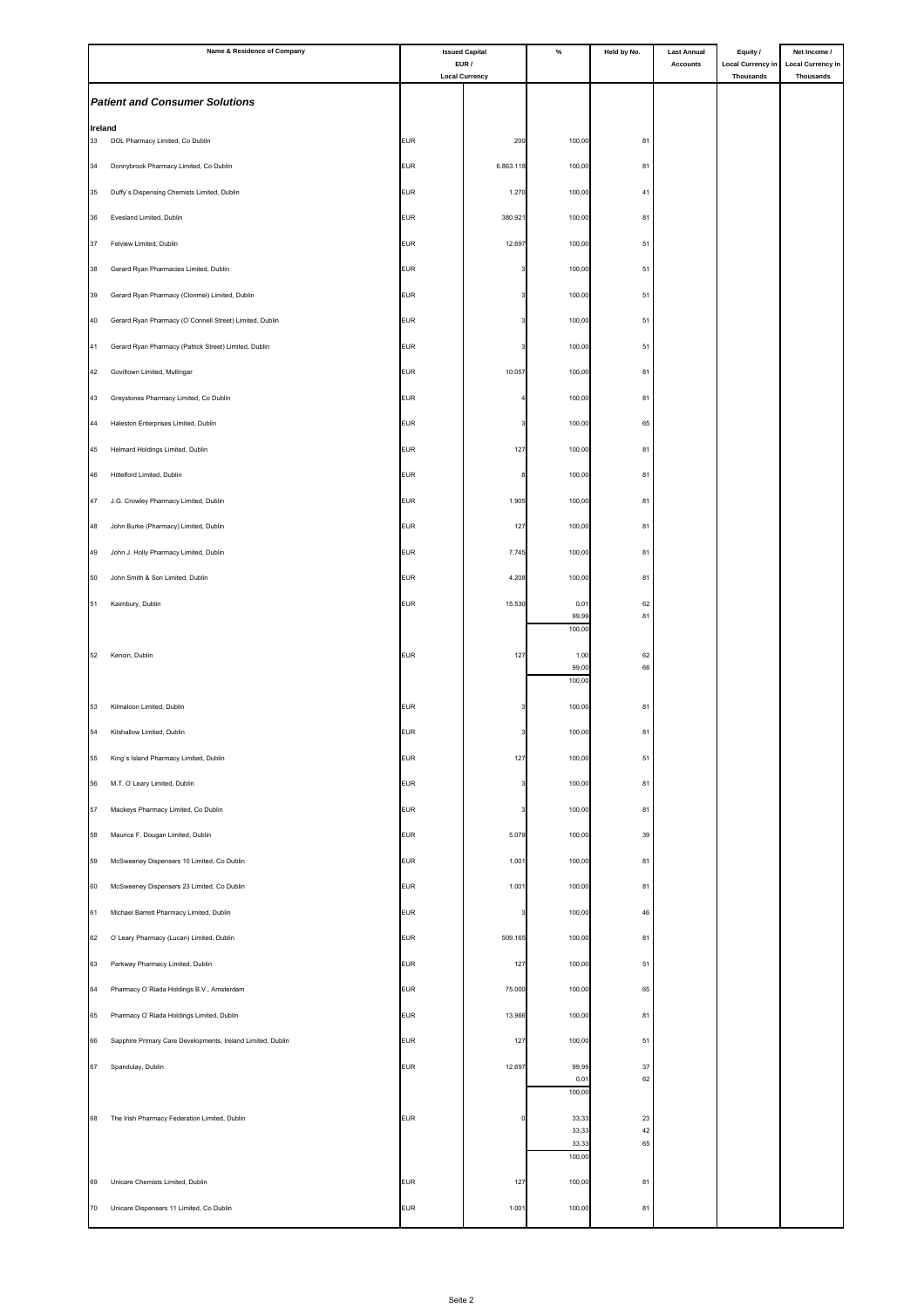|         | Name & Residence of Company                                 | <b>Issued Capital</b><br>EUR / |                       | $\%$            | Held by No. | <b>Last Annual</b> | Equity /                                     | Net Income /                                 |
|---------|-------------------------------------------------------------|--------------------------------|-----------------------|-----------------|-------------|--------------------|----------------------------------------------|----------------------------------------------|
|         |                                                             |                                | <b>Local Currency</b> |                 |             | <b>Accounts</b>    | <b>Local Currency in</b><br><b>Thousands</b> | <b>Local Currency in</b><br><b>Thousands</b> |
|         | <b>Patient and Consumer Solutions</b>                       |                                |                       |                 |             |                    |                                              |                                              |
| Ireland |                                                             |                                |                       |                 |             |                    |                                              |                                              |
| 33      | DOL Pharmacy Limited, Co Dublin                             | <b>EUR</b>                     | 200                   | 100,00          | 81          |                    |                                              |                                              |
| 34      | Donnybrook Pharmacy Limited, Co Dublin                      | <b>EUR</b>                     | 6.863.118             | 100,00          | 81          |                    |                                              |                                              |
| 35      | Duffy's Dispensing Chemists Limited, Dublin                 | <b>EUR</b>                     | 1.270                 | 100,00          | 41          |                    |                                              |                                              |
| 36      | Evesland Limited, Dublin                                    | <b>EUR</b>                     | 380.921               | 100,00          | 81          |                    |                                              |                                              |
| 37      | Felview Limited, Dublin                                     | <b>EUR</b>                     | 12.697                | 100,00          | 51          |                    |                                              |                                              |
| 38      | Gerard Ryan Pharmacies Limited, Dublin                      | <b>EUR</b>                     |                       | 100,00          | 51          |                    |                                              |                                              |
| 39      | Gerard Ryan Pharmacy (Clonmel) Limited, Dublin              | <b>EUR</b>                     |                       | 100,00          | 51          |                    |                                              |                                              |
| 40      | Gerard Ryan Pharmacy (O'Connell Street) Limited, Dublin     | <b>EUR</b>                     |                       | 100,00          | 51          |                    |                                              |                                              |
| 41      | Gerard Ryan Pharmacy (Patrick Street) Limited, Dublin       | <b>EUR</b>                     |                       | 100,00          | 51          |                    |                                              |                                              |
| 42      | Goviltown Limited, Mullingar                                | <b>EUR</b>                     | 10.057                | 100,00          | 81          |                    |                                              |                                              |
| 43      |                                                             | <b>EUR</b>                     |                       | 100,00          | 81          |                    |                                              |                                              |
|         | Greystones Pharmacy Limited, Co Dublin                      |                                |                       |                 |             |                    |                                              |                                              |
| 44      | Haleston Enterprises Limited, Dublin                        | <b>EUR</b>                     |                       | 100,00          | 65          |                    |                                              |                                              |
| 45      | Helmard Holdings Limited, Dublin                            | <b>EUR</b>                     | 127                   | 100,00          | 81          |                    |                                              |                                              |
| 46      | Hittelford Limited, Dublin                                  | <b>EUR</b>                     |                       | 100,00          | 81          |                    |                                              |                                              |
| 47      | J.G. Crowley Pharmacy Limited, Dublin                       | <b>EUR</b>                     | 1.905                 | 100,00          | 81          |                    |                                              |                                              |
| 48      | John Burke (Pharmacy) Limited, Dublin                       | <b>EUR</b>                     | 127                   | 100,00          | 81          |                    |                                              |                                              |
| 49      | John J. Holly Pharmacy Limited, Dublin                      | <b>EUR</b>                     | 7.745                 | 100,00          | 81          |                    |                                              |                                              |
| 50      | John Smith & Son Limited, Dublin                            | <b>EUR</b>                     | 4.208                 | 100,00          | 81          |                    |                                              |                                              |
| 51      | Kairnbury, Dublin                                           | <b>EUR</b>                     | 15.530                | 0,01<br>99,99   | 62<br>81    |                    |                                              |                                              |
|         |                                                             |                                |                       | 100,00          |             |                    |                                              |                                              |
| 52      | Kencin, Dublin                                              | <b>EUR</b>                     | 127                   | 1,00            | 62          |                    |                                              |                                              |
|         |                                                             |                                |                       | 99,00<br>100,00 | 66          |                    |                                              |                                              |
| 53      | Kilmaloon Limited, Dublin                                   | <b>EUR</b>                     |                       | 100,00          | 81          |                    |                                              |                                              |
| 54      | Kilshallow Limited, Dublin                                  | <b>EUR</b>                     |                       | 100,00          | 81          |                    |                                              |                                              |
| 55      | King's Island Pharmacy Limited, Dublin                      | <b>EUR</b>                     | 127                   | 100,00          | 51          |                    |                                              |                                              |
| 56      | M.T. O'Leary Limited, Dublin                                | <b>EUR</b>                     |                       | 100,00          | 81          |                    |                                              |                                              |
| 57      | Mackeys Pharmacy Limited, Co Dublin                         | <b>EUR</b>                     |                       | 100,00          | 81          |                    |                                              |                                              |
| 58      | Maurice F. Dougan Limited, Dublin                           | <b>EUR</b>                     | 5.079                 | 100,00          | 39          |                    |                                              |                                              |
|         |                                                             |                                |                       |                 |             |                    |                                              |                                              |
| 59      | McSweeney Dispensers 10 Limited, Co Dublin                  | <b>EUR</b>                     | 1.001                 | 100,00          | 81          |                    |                                              |                                              |
| 60      | McSweeney Dispensers 23 Limited, Co Dublin                  | <b>EUR</b>                     | 1.001                 | 100,00          | 81          |                    |                                              |                                              |
| 61      | Michael Barrett Pharmacy Limited, Dublin                    | <b>EUR</b>                     |                       | 100,00          | 46          |                    |                                              |                                              |
| 62      | O'Leary Pharmacy (Lucan) Limited, Dublin                    | <b>EUR</b>                     | 509.165               | 100,00          | 81          |                    |                                              |                                              |
| 63      | Parkway Pharmacy Limited, Dublin                            | <b>EUR</b>                     | 127                   | 100,00          | 51          |                    |                                              |                                              |
| 64      | Pharmacy O'Riada Holdings B.V., Amsterdam                   | <b>EUR</b>                     | 75.000                | 100,00          | 65          |                    |                                              |                                              |
| 65      | Pharmacy O'Riada Holdings Limited, Dublin                   | <b>EUR</b>                     | 13.966                | 100,00          | 81          |                    |                                              |                                              |
| 66      | Sapphire Primary Care Developments, Ireland Limited, Dublin | <b>EUR</b>                     | 127                   | 100,00          | 51          |                    |                                              |                                              |
| 67      | Spandulay, Dublin                                           | <b>EUR</b>                     | 12.697                | 99,99           | 37          |                    |                                              |                                              |
|         |                                                             |                                |                       | 0,01<br>100,00  | 62          |                    |                                              |                                              |
| 68      | The Irish Pharmacy Federation Limited, Dublin               | <b>EUR</b>                     |                       | 33,33           | 23          |                    |                                              |                                              |
|         |                                                             |                                |                       | 33,33<br>33,33  | 42<br>65    |                    |                                              |                                              |
|         |                                                             |                                |                       | 100,00          |             |                    |                                              |                                              |
| 69      | Unicare Chemists Limited, Dublin                            | <b>EUR</b>                     | 127                   | 100,00          | 81          |                    |                                              |                                              |
| 70      | Unicare Dispensers 11 Limited, Co Dublin                    | <b>EUR</b>                     | 1.001                 | 100,00          | 81          |                    |                                              |                                              |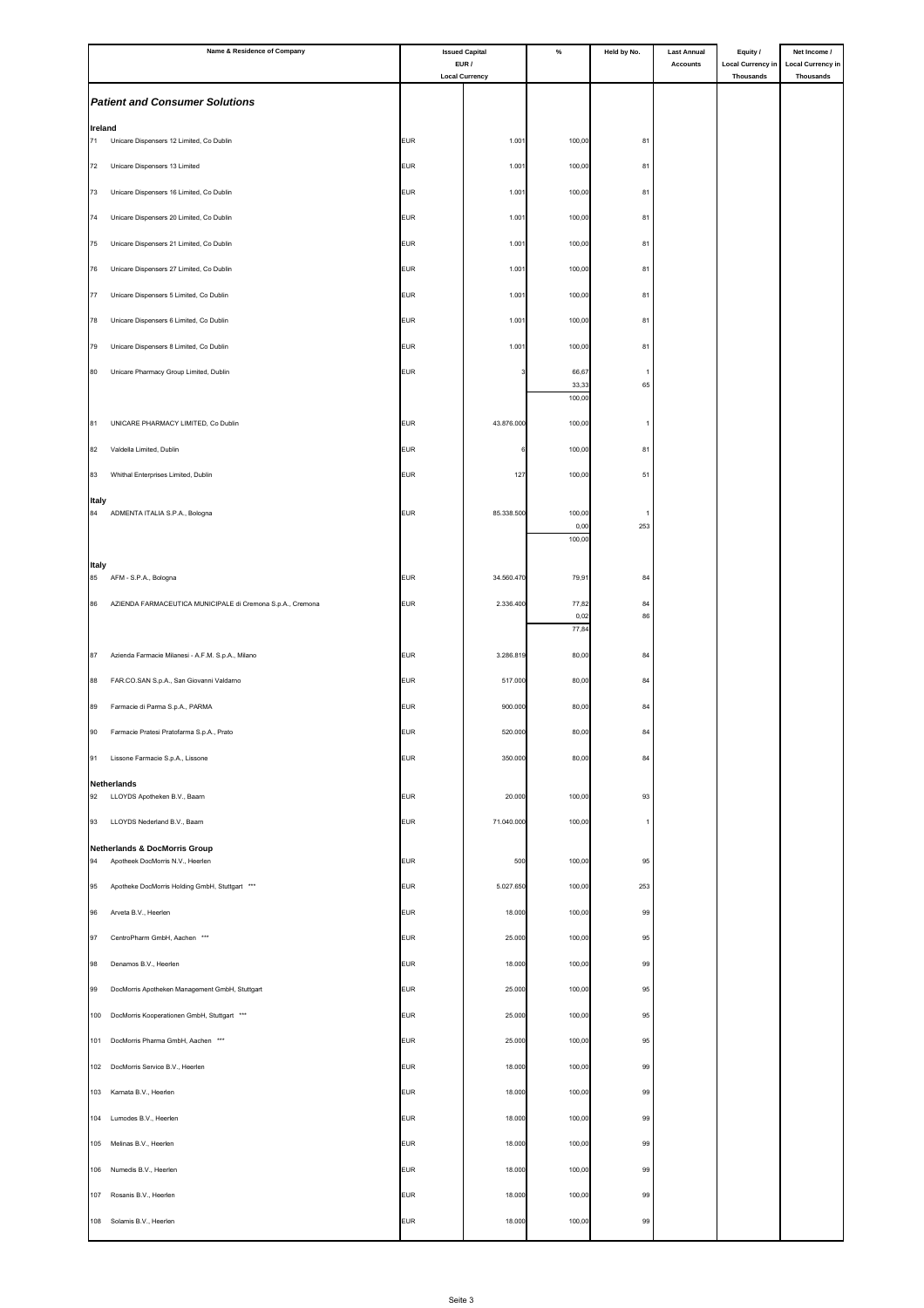|                          | Name & Residence of Company                                |                          | <b>Issued Capital</b><br>EUR / | $\%$             | Held by No. | <b>Last Annual</b><br><b>Accounts</b> | Equity /<br><b>Local Currency in</b> | Net Income /<br><b>Local Currency in</b> |
|--------------------------|------------------------------------------------------------|--------------------------|--------------------------------|------------------|-------------|---------------------------------------|--------------------------------------|------------------------------------------|
|                          |                                                            |                          | <b>Local Currency</b>          |                  |             |                                       | Thousands                            | Thousands                                |
|                          | <b>Patient and Consumer Solutions</b>                      |                          |                                |                  |             |                                       |                                      |                                          |
| Ireland<br>71            | Unicare Dispensers 12 Limited, Co Dublin                   | <b>EUR</b>               | 1.001                          | 100,00           | 81          |                                       |                                      |                                          |
| 72                       | Unicare Dispensers 13 Limited                              | <b>EUR</b>               | 1.001                          | 100,00           | 81          |                                       |                                      |                                          |
| 73                       | Unicare Dispensers 16 Limited, Co Dublin                   | <b>EUR</b>               | 1.001                          | 100,00           | 81          |                                       |                                      |                                          |
| 74                       | Unicare Dispensers 20 Limited, Co Dublin                   | <b>EUR</b>               | 1.001                          | 100,00           | 81          |                                       |                                      |                                          |
| 75                       | Unicare Dispensers 21 Limited, Co Dublin                   | <b>EUR</b>               | 1.001                          | 100,00           | 81          |                                       |                                      |                                          |
| 76                       | Unicare Dispensers 27 Limited, Co Dublin                   | <b>EUR</b>               | 1.001                          | 100,00           | 81          |                                       |                                      |                                          |
| 77                       | Unicare Dispensers 5 Limited, Co Dublin                    | <b>EUR</b>               | 1.001                          | 100,00           | 81          |                                       |                                      |                                          |
| 78                       | Unicare Dispensers 6 Limited, Co Dublin                    | <b>EUR</b>               | 1.001                          | 100,00           | 81          |                                       |                                      |                                          |
| 79                       | Unicare Dispensers 8 Limited, Co Dublin                    | <b>EUR</b>               | 1.001                          | 100,00           | 81          |                                       |                                      |                                          |
| 80                       | Unicare Pharmacy Group Limited, Dublin                     | <b>EUR</b>               |                                | 66,67<br>33,33   | 65          |                                       |                                      |                                          |
|                          |                                                            |                          |                                | 100,00           |             |                                       |                                      |                                          |
| 81                       | UNICARE PHARMACY LIMITED, Co Dublin                        | <b>EUR</b>               | 43.876.000                     | 100,00           |             |                                       |                                      |                                          |
| 82                       | Valdella Limited, Dublin                                   | <b>EUR</b>               |                                | 100,00           | 81          |                                       |                                      |                                          |
| 83                       | Whithal Enterprises Limited, Dublin                        | <b>EUR</b>               | 127                            | 100,00           | 51          |                                       |                                      |                                          |
| Italy<br>84              | ADMENTA ITALIA S.P.A., Bologna                             | <b>EUR</b>               | 85.338.500                     | 100,00           |             |                                       |                                      |                                          |
|                          |                                                            |                          |                                | 0,00<br>100,00   | 253         |                                       |                                      |                                          |
| <b>Italy</b>             |                                                            |                          |                                |                  |             |                                       |                                      |                                          |
| 85                       | AFM - S.P.A., Bologna                                      | <b>EUR</b>               | 34.560.470                     | 79,91            | 84          |                                       |                                      |                                          |
| 86                       | AZIENDA FARMACEUTICA MUNICIPALE di Cremona S.p.A., Cremona | <b>EUR</b>               | 2.336.400                      | 77,82<br>0,02    | 84<br>86    |                                       |                                      |                                          |
|                          |                                                            |                          |                                | 77,84            |             |                                       |                                      |                                          |
| 87                       | Azienda Farmacie Milanesi - A.F.M. S.p.A., Milano          | <b>EUR</b>               | 3.286.819                      | 80,00            | 84          |                                       |                                      |                                          |
| 88                       | FAR.CO.SAN S.p.A., San Giovanni Valdarno                   | <b>EUR</b>               | 517.000                        | 80,00            | 84          |                                       |                                      |                                          |
| 89                       | Farmacie di Parma S.p.A., PARMA                            | <b>EUR</b>               | 900.000                        | 80,00            | 84          |                                       |                                      |                                          |
| 90                       | Farmacie Pratesi Pratofarma S.p.A., Prato                  | EUR                      | 520.000                        | 80,00            | 84          |                                       |                                      |                                          |
| 91                       | Lissone Farmacie S.p.A., Lissone                           | <b>EUR</b>               | 350.000                        | 80,00            | 84          |                                       |                                      |                                          |
| <b>Netherlands</b><br>92 | LLOYDS Apotheken B.V., Baarn                               | <b>EUR</b>               | 20.000                         | 100,00           | 93          |                                       |                                      |                                          |
| 93                       | LLOYDS Nederland B.V., Baarn                               | <b>EUR</b>               | 71.040.000                     | 100,00           | -1.         |                                       |                                      |                                          |
|                          | <b>Netherlands &amp; DocMorris Group</b>                   |                          |                                |                  |             |                                       |                                      |                                          |
| 94                       | Apotheek DocMorris N.V., Heerlen                           | <b>EUR</b>               | 500                            | 100,00           | 95          |                                       |                                      |                                          |
| 95                       | Apotheke DocMorris Holding GmbH, Stuttgart ***             | <b>EUR</b>               | 5.027.650                      | 100,00           | 253         |                                       |                                      |                                          |
| 96<br>97                 | Arveta B.V., Heerlen<br>CentroPharm GmbH, Aachen ***       | <b>EUR</b><br><b>EUR</b> | 18.000<br>25.000               | 100,00<br>100,00 | 99<br>95    |                                       |                                      |                                          |
| 98                       | Denamos B.V., Heerlen                                      | <b>EUR</b>               | 18.000                         | 100,00           | 99          |                                       |                                      |                                          |
| 99                       | DocMorris Apotheken Management GmbH, Stuttgart             | <b>EUR</b>               | 25.000                         | 100,00           | 95          |                                       |                                      |                                          |
| 100                      | DocMorris Kooperationen GmbH, Stuttgart ***                | <b>EUR</b>               | 25.000                         | 100,00           | 95          |                                       |                                      |                                          |
|                          | 101 DocMorris Pharma GmbH, Aachen ***                      | <b>EUR</b>               | 25.000                         | 100,00           | 95          |                                       |                                      |                                          |
|                          | 102 DocMorris Service B.V., Heerlen                        | <b>EUR</b>               | 18.000                         | 100,00           | 99          |                                       |                                      |                                          |
| 103                      | Karnata B.V., Heerlen                                      | <b>EUR</b>               | 18.000                         | 100,00           | 99          |                                       |                                      |                                          |
|                          | 104 Lumodes B.V., Heerlen                                  | <b>EUR</b>               | 18.000                         | 100,00           | 99          |                                       |                                      |                                          |
|                          | 105 Melinas B.V., Heerlen                                  | <b>EUR</b>               | 18.000                         | 100,00           | 99          |                                       |                                      |                                          |
|                          | 106 Numedis B.V., Heerlen                                  | <b>EUR</b>               | 18.000                         | 100,00           | 99          |                                       |                                      |                                          |
| 107                      | Rosanis B.V., Heerlen                                      | <b>EUR</b>               | 18.000                         | 100,00           | 99          |                                       |                                      |                                          |
|                          | 108 Solamis B.V., Heerlen                                  | <b>EUR</b>               | 18.000                         | 100,00           | 99          |                                       |                                      |                                          |
|                          |                                                            |                          |                                |                  |             |                                       |                                      |                                          |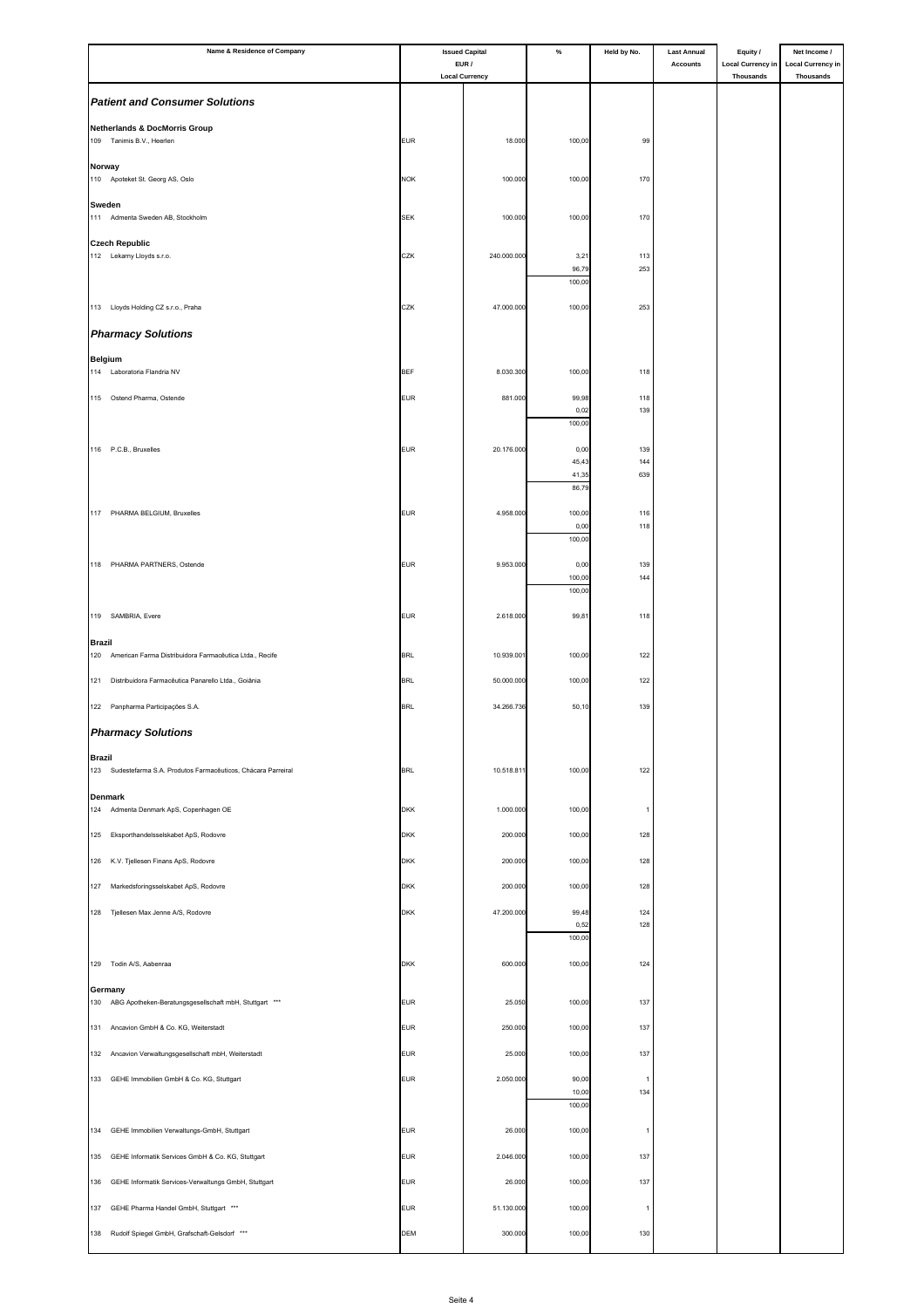| Name & Residence of Company                                                      | <b>Issued Capital</b><br>EUR / |                       | $\%$             | Held by No. | <b>Last Annual</b><br>Accounts | Equity /<br><b>Local Currency in</b> | Net Income /<br><b>Local Currency in</b> |
|----------------------------------------------------------------------------------|--------------------------------|-----------------------|------------------|-------------|--------------------------------|--------------------------------------|------------------------------------------|
|                                                                                  |                                | <b>Local Currency</b> |                  |             |                                | <b>Thousands</b>                     | <b>Thousands</b>                         |
| <b>Patient and Consumer Solutions</b>                                            |                                |                       |                  |             |                                |                                      |                                          |
| <b>Netherlands &amp; DocMorris Group</b><br>109 Tanimis B.V., Heerlen            | <b>EUR</b>                     | 18.000                | 100,00           |             |                                |                                      |                                          |
|                                                                                  |                                |                       |                  | 99          |                                |                                      |                                          |
| Norway<br>110 Apoteket St. Georg AS, Oslo                                        | <b>NOK</b>                     | 100.000               | 100,00           | 170         |                                |                                      |                                          |
| Sweden                                                                           |                                |                       |                  |             |                                |                                      |                                          |
| 111 Admenta Sweden AB, Stockholm                                                 | <b>SEK</b>                     | 100.000               | 100,00           | 170         |                                |                                      |                                          |
| <b>Czech Republic</b><br>112 Lekarny Lloyds s.r.o.                               | CZK                            | 240.000.000           | 3,21             | 113         |                                |                                      |                                          |
|                                                                                  |                                |                       | 96,79<br>100,00  | 253         |                                |                                      |                                          |
| 113 Lloyds Holding CZ s.r.o., Praha                                              | CZK                            | 47.000.000            | 100,00           | 253         |                                |                                      |                                          |
| <b>Pharmacy Solutions</b>                                                        |                                |                       |                  |             |                                |                                      |                                          |
| <b>Belgium</b>                                                                   |                                |                       |                  |             |                                |                                      |                                          |
| 114 Laboratoria Flandria NV                                                      | <b>BEF</b>                     | 8.030.300             | 100,00           | 118         |                                |                                      |                                          |
| 115 Ostend Pharma, Ostende                                                       | <b>EUR</b>                     | 881.000               | 99,98<br>0,02    | 118<br>139  |                                |                                      |                                          |
|                                                                                  |                                |                       | 100,00           |             |                                |                                      |                                          |
| 116 P.C.B., Bruxelles                                                            | <b>EUR</b>                     | 20.176.000            | 0,00<br>45,43    | 139<br>144  |                                |                                      |                                          |
|                                                                                  |                                |                       | 41,35<br>86,79   | 639         |                                |                                      |                                          |
| 117 PHARMA BELGIUM, Bruxelles                                                    | <b>EUR</b>                     | 4.958.000             | 100,00           | 116         |                                |                                      |                                          |
|                                                                                  |                                |                       | 0,00<br>100,00   | 118         |                                |                                      |                                          |
| 118 PHARMA PARTNERS, Ostende                                                     | <b>EUR</b>                     | 9.953.000             | 0,00             | 139         |                                |                                      |                                          |
|                                                                                  |                                |                       | 100,00<br>100,00 | 144         |                                |                                      |                                          |
| 119 SAMBRIA, Evere                                                               | <b>EUR</b>                     | 2.618.000             | 99,81            | 118         |                                |                                      |                                          |
| <b>Brazil</b>                                                                    |                                |                       |                  |             |                                |                                      |                                          |
| American Farma Distribuidora Farmacêutica Ltda., Recife<br>120                   | <b>BRL</b>                     | 10.939.00             | 100,00           | 122         |                                |                                      |                                          |
| 121<br>Distribuidora Farmacêutica Panarello Ltda., Goiânia                       | <b>BRL</b>                     | 50.000.000            | 100,00           | 122         |                                |                                      |                                          |
| 122 Panpharma Participações S.A.                                                 | <b>BRL</b>                     | 34.266.736            | 50,10            | 139         |                                |                                      |                                          |
| <b>Pharmacy Solutions</b>                                                        |                                |                       |                  |             |                                |                                      |                                          |
| <b>Brazil</b><br>123 Sudestefarma S.A. Produtos Farmacêuticos, Chácara Parreiral | <b>BRL</b>                     | 10.518.81             | 100,00           | 122         |                                |                                      |                                          |
|                                                                                  |                                |                       |                  |             |                                |                                      |                                          |
| <b>Denmark</b><br>124 Admenta Denmark ApS, Copenhagen OE                         | <b>DKK</b>                     | 1.000.000             | 100,00           | -1          |                                |                                      |                                          |
| 125 Eksporthandelsselskabet ApS, Rodovre                                         | <b>DKK</b>                     | 200.000               | 100,00           | 128         |                                |                                      |                                          |
| 126 K.V. Tjellesen Finans ApS, Rodovre                                           | <b>DKK</b>                     | 200.000               | 100,00           | 128         |                                |                                      |                                          |
| Markedsforingsselskabet ApS, Rodovre<br>127                                      | <b>DKK</b>                     | 200.000               | 100,00           | 128         |                                |                                      |                                          |
| 128 Tjellesen Max Jenne A/S, Rodovre                                             | <b>DKK</b>                     | 47.200.000            | 99,48            | 124         |                                |                                      |                                          |
|                                                                                  |                                |                       | 0,52<br>100,00   | 128         |                                |                                      |                                          |
| 129 Todin A/S, Aabenraa                                                          | <b>DKK</b>                     | 600.000               | 100,00           | 124         |                                |                                      |                                          |
| Germany                                                                          |                                |                       |                  |             |                                |                                      |                                          |
| 130 ABG Apotheken-Beratungsgesellschaft mbH, Stuttgart ***                       | <b>EUR</b>                     | 25.050                | 100,00           | 137         |                                |                                      |                                          |
| 131 Ancavion GmbH & Co. KG, Weiterstadt                                          | <b>EUR</b>                     | 250.000               | 100,00           | 137         |                                |                                      |                                          |
| Ancavion Verwaltungsgesellschaft mbH, Weiterstadt<br>132                         | <b>EUR</b>                     | 25.000                | 100,00           | 137         |                                |                                      |                                          |
| 133 GEHE Immobilien GmbH & Co. KG, Stuttgart                                     | <b>EUR</b>                     | 2.050.000             | 90,00<br>10,00   | -1<br>134   |                                |                                      |                                          |
|                                                                                  |                                |                       | 100,00           |             |                                |                                      |                                          |
| 134<br>GEHE Immobilien Verwaltungs-GmbH, Stuttgart                               | <b>EUR</b>                     | 26.000                | 100,00           | -1          |                                |                                      |                                          |
| 135<br>GEHE Informatik Services GmbH & Co. KG, Stuttgart                         | <b>EUR</b>                     | 2.046.000             | 100,00           | 137         |                                |                                      |                                          |
| 136<br>GEHE Informatik Services-Verwaltungs GmbH, Stuttgart                      | <b>EUR</b>                     | 26.000                | 100,00           | 137         |                                |                                      |                                          |
| 137 GEHE Pharma Handel GmbH, Stuttgart ***                                       | <b>EUR</b>                     | 51.130.000            | 100,00           |             |                                |                                      |                                          |
| 138 Rudolf Spiegel GmbH, Grafschaft-Gelsdorf ***                                 | <b>DEM</b>                     | 300.000               | 100,00           | 130         |                                |                                      |                                          |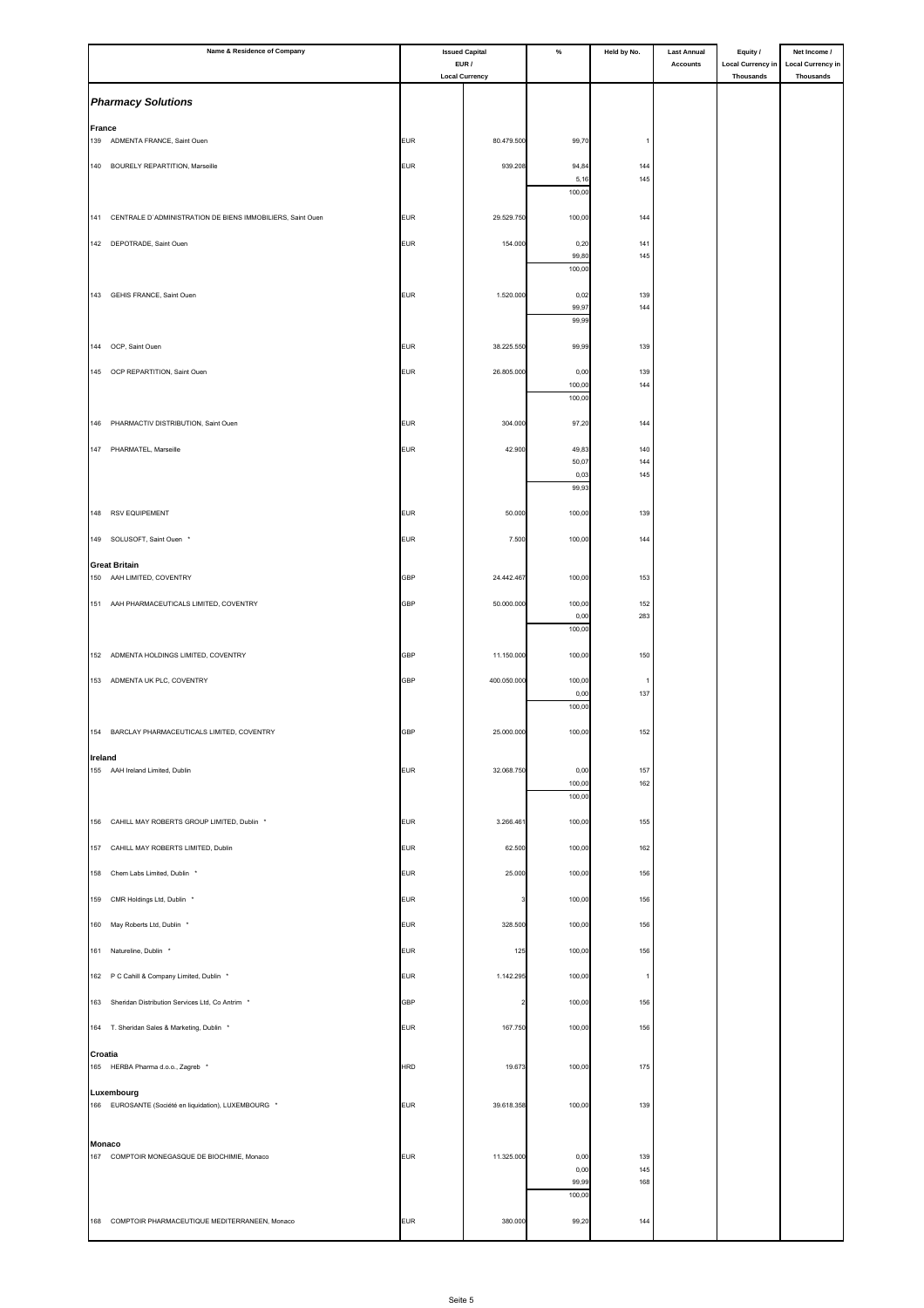|                      | Name & Residence of Company                                    | <b>Issued Capital</b> |                                | $\%$             | Held by No.    | <b>Last Annual</b> | Equity /                              | Net Income /                                 |
|----------------------|----------------------------------------------------------------|-----------------------|--------------------------------|------------------|----------------|--------------------|---------------------------------------|----------------------------------------------|
|                      |                                                                |                       | EUR /<br><b>Local Currency</b> |                  |                | <b>Accounts</b>    | <b>Local Currency in</b><br>Thousands | <b>Local Currency in</b><br><b>Thousands</b> |
|                      | <b>Pharmacy Solutions</b>                                      |                       |                                |                  |                |                    |                                       |                                              |
|                      |                                                                |                       |                                |                  |                |                    |                                       |                                              |
| <b>France</b><br>139 | ADMENTA FRANCE, Saint Ouen                                     | <b>EUR</b>            | 80.479.500                     | 99,70            | $\overline{1}$ |                    |                                       |                                              |
|                      | 140 BOURELY REPARTITION, Marseille                             | <b>EUR</b>            | 939.208                        | 94,84            | 144            |                    |                                       |                                              |
|                      |                                                                |                       |                                | 5,16             | 145            |                    |                                       |                                              |
|                      |                                                                |                       |                                | 100,00           |                |                    |                                       |                                              |
|                      | 141 CENTRALE D'ADMINISTRATION DE BIENS IMMOBILIERS, Saint Ouen | <b>EUR</b>            | 29.529.750                     | 100,00           | 144            |                    |                                       |                                              |
|                      | 142 DEPOTRADE, Saint Ouen                                      | <b>EUR</b>            | 154.000                        | 0,20             | 141            |                    |                                       |                                              |
|                      |                                                                |                       |                                | 99,80<br>100,00  | 145            |                    |                                       |                                              |
|                      | 143 GEHIS FRANCE, Saint Ouen                                   | <b>EUR</b>            | 1.520.000                      | 0,02             | 139            |                    |                                       |                                              |
|                      |                                                                |                       |                                | 99,97            | 144            |                    |                                       |                                              |
|                      |                                                                |                       |                                | 99,99            |                |                    |                                       |                                              |
| 144                  | OCP, Saint Ouen                                                | <b>EUR</b>            | 38.225.550                     | 99,99            | 139            |                    |                                       |                                              |
|                      | 145 OCP REPARTITION, Saint Ouen                                | <b>EUR</b>            | 26.805.000                     | 0,00             | 139            |                    |                                       |                                              |
|                      |                                                                |                       |                                | 100,00<br>100,00 | 144            |                    |                                       |                                              |
| 146                  | PHARMACTIV DISTRIBUTION, Saint Ouen                            | <b>EUR</b>            | 304.000                        | 97,20            | 144            |                    |                                       |                                              |
|                      |                                                                |                       |                                |                  |                |                    |                                       |                                              |
|                      | 147 PHARMATEL, Marseille                                       | <b>EUR</b>            | 42.900                         | 49,83<br>50,07   | 140<br>144     |                    |                                       |                                              |
|                      |                                                                |                       |                                | 0,03<br>99,93    | 145            |                    |                                       |                                              |
|                      |                                                                |                       |                                |                  |                |                    |                                       |                                              |
| 148                  | <b>RSV EQUIPEMENT</b>                                          | <b>EUR</b>            | 50.000                         | 100,00           | 139            |                    |                                       |                                              |
|                      | 149 SOLUSOFT, Saint Ouen *                                     | <b>EUR</b>            | 7.500                          | 100,00           | 144            |                    |                                       |                                              |
|                      | <b>Great Britain</b>                                           |                       |                                |                  |                |                    |                                       |                                              |
|                      | 150 AAH LIMITED, COVENTRY                                      | GBP                   | 24.442.467                     | 100,00           | 153            |                    |                                       |                                              |
|                      | 151 AAH PHARMACEUTICALS LIMITED, COVENTRY                      | GBP                   | 50.000.000                     | 100,00<br>0,00   | 152<br>283     |                    |                                       |                                              |
|                      |                                                                |                       |                                | 100,00           |                |                    |                                       |                                              |
|                      | 152 ADMENTA HOLDINGS LIMITED, COVENTRY                         | GBP                   | 11.150.000                     | 100,00           | 150            |                    |                                       |                                              |
|                      | 153 ADMENTA UK PLC, COVENTRY                                   | GBP                   | 400.050.000                    | 100,00           | $\mathbf{1}$   |                    |                                       |                                              |
|                      |                                                                |                       |                                | 0,00             | 137            |                    |                                       |                                              |
|                      |                                                                |                       |                                | 100,00           |                |                    |                                       |                                              |
|                      | 154 BARCLAY PHARMACEUTICALS LIMITED, COVENTRY                  | <b>GBP</b>            | 25.000.000                     | 100,00           | 152            |                    |                                       |                                              |
| Ireland              |                                                                |                       |                                |                  |                |                    |                                       |                                              |
|                      | 155 AAH Ireland Limited, Dublin                                | <b>EUR</b>            | 32.068.750                     | 0,00<br>100,00   | 157<br>162     |                    |                                       |                                              |
|                      |                                                                |                       |                                | 100,00           |                |                    |                                       |                                              |
| 156                  | CAHILL MAY ROBERTS GROUP LIMITED, Dublin *                     | <b>EUR</b>            | 3.266.461                      | 100,00           | 155            |                    |                                       |                                              |
| 157                  | CAHILL MAY ROBERTS LIMITED, Dublin                             | <b>EUR</b>            | 62.500                         | 100,00           | 162            |                    |                                       |                                              |
| 158                  | Chem Labs Limited, Dublin *                                    | <b>EUR</b>            | 25.000                         | 100,00           | 156            |                    |                                       |                                              |
| 159                  |                                                                | <b>EUR</b>            |                                | 100,00           | 156            |                    |                                       |                                              |
|                      | CMR Holdings Ltd, Dublin *                                     |                       |                                |                  |                |                    |                                       |                                              |
| 160                  | May Roberts Ltd, Dublin *                                      | <b>EUR</b>            | 328.500                        | 100,00           | 156            |                    |                                       |                                              |
| 161                  | Natureline, Dublin *                                           | <b>EUR</b>            | 125                            | 100,00           | 156            |                    |                                       |                                              |
|                      | 162 P C Cahill & Company Limited, Dublin *                     | <b>EUR</b>            | 1.142.295                      | 100,00           | $\mathbf{1}$   |                    |                                       |                                              |
| 163                  | Sheridan Distribution Services Ltd, Co Antrim *                | <b>GBP</b>            |                                | 100,00           | 156            |                    |                                       |                                              |
|                      | 164 T. Sheridan Sales & Marketing, Dublin *                    | <b>EUR</b>            | 167.750                        | 100,00           | 156            |                    |                                       |                                              |
|                      |                                                                |                       |                                |                  |                |                    |                                       |                                              |
| Croatia              | 165 HERBA Pharma d.o.o., Zagreb *                              | <b>HRD</b>            | 19.673                         | 100,00           | 175            |                    |                                       |                                              |
|                      | Luxembourg                                                     |                       |                                |                  |                |                    |                                       |                                              |
|                      | 166 EUROSANTE (Société en liquidation), LUXEMBOURG *           | <b>EUR</b>            | 39.618.358                     | 100,00           | 139            |                    |                                       |                                              |
|                      |                                                                |                       |                                |                  |                |                    |                                       |                                              |
| <b>Monaco</b>        | 167 COMPTOIR MONEGASQUE DE BIOCHIMIE, Monaco                   | <b>EUR</b>            | 11.325.000                     | 0,00             | 139            |                    |                                       |                                              |
|                      |                                                                |                       |                                | 0,00             | 145            |                    |                                       |                                              |
|                      |                                                                |                       |                                | 99,99<br>100,00  | 168            |                    |                                       |                                              |
|                      | 168 COMPTOIR PHARMACEUTIQUE MEDITERRANEEN, Monaco              | <b>EUR</b>            | 380.000                        | 99,20            | 144            |                    |                                       |                                              |
|                      |                                                                |                       |                                |                  |                |                    |                                       |                                              |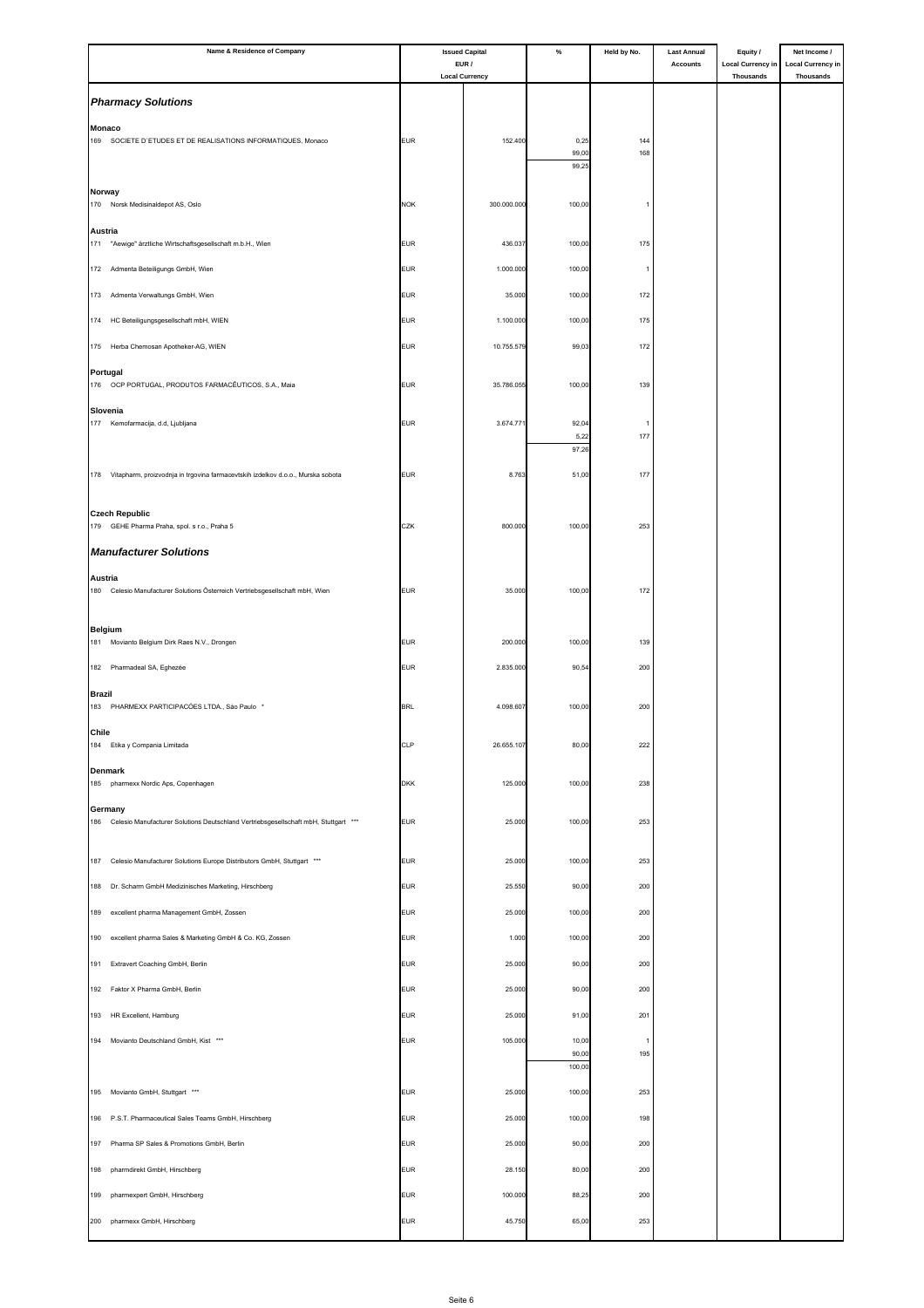| Name & Residence of Company                                                                        |            | <b>Issued Capital</b>          | $\%$            | Held by No.    | <b>Last Annual</b> | Equity /                              | Net Income /                                 |
|----------------------------------------------------------------------------------------------------|------------|--------------------------------|-----------------|----------------|--------------------|---------------------------------------|----------------------------------------------|
|                                                                                                    |            | EUR /<br><b>Local Currency</b> |                 |                | <b>Accounts</b>    | <b>Local Currency in</b><br>Thousands | <b>Local Currency in</b><br><b>Thousands</b> |
| <b>Pharmacy Solutions</b>                                                                          |            |                                |                 |                |                    |                                       |                                              |
| <b>Monaco</b>                                                                                      |            |                                |                 |                |                    |                                       |                                              |
| 169<br>SOCIETE D'ETUDES ET DE REALISATIONS INFORMATIQUES, Monaco                                   | <b>EUR</b> | 152.400                        | 0,25            | 144            |                    |                                       |                                              |
|                                                                                                    |            |                                | 99,00<br>99,25  | 168            |                    |                                       |                                              |
| Norway                                                                                             |            |                                |                 |                |                    |                                       |                                              |
| 170 Norsk Medisinaldepot AS, Oslo                                                                  | <b>NOK</b> | 300.000.000                    | 100,00          |                |                    |                                       |                                              |
| Austria                                                                                            |            |                                |                 |                |                    |                                       |                                              |
| 171<br>"Aewige" ärztliche Wirtschaftsgesellschaft m.b.H., Wien                                     | <b>EUR</b> | 436.037                        | 100,00          | 175            |                    |                                       |                                              |
| 172 Admenta Beteiligungs GmbH, Wien                                                                | <b>EUR</b> | 1.000.000                      | 100,00          | $\overline{1}$ |                    |                                       |                                              |
| 173<br>Admenta Verwaltungs GmbH, Wien                                                              | <b>EUR</b> | 35.000                         | 100,00          | 172            |                    |                                       |                                              |
| HC Beteiligungsgesellschaft mbH, WIEN<br>174                                                       | <b>EUR</b> | 1.100.000                      | 100,00          | 175            |                    |                                       |                                              |
| 175 Herba Chemosan Apotheker-AG, WIEN                                                              | <b>EUR</b> | 10.755.579                     | 99,03           | 172            |                    |                                       |                                              |
| Portugal                                                                                           |            |                                |                 |                |                    |                                       |                                              |
| 176<br>OCP PORTUGAL, PRODUTOS FARMACÊUTICOS, S.A., Maia                                            | <b>EUR</b> | 35.786.055                     | 100,00          | 139            |                    |                                       |                                              |
| Slovenia                                                                                           |            |                                |                 |                |                    |                                       |                                              |
| 177 Kemofarmacija, d.d, Ljubljana                                                                  | <b>EUR</b> | 3.674.771                      | 92,04<br>5,22   | 177            |                    |                                       |                                              |
|                                                                                                    |            |                                | 97,26           |                |                    |                                       |                                              |
| 178 Vitapharm, proizvodnja in trgovina farmacevtskih izdelkov d.o.o., Murska sobota                | <b>EUR</b> | 8.763                          | 51,00           | 177            |                    |                                       |                                              |
|                                                                                                    |            |                                |                 |                |                    |                                       |                                              |
| <b>Czech Republic</b><br>179 GEHE Pharma Praha, spol. s r.o., Praha 5                              | CZK        | 800.000                        | 100,00          | 253            |                    |                                       |                                              |
| <b>Manufacturer Solutions</b>                                                                      |            |                                |                 |                |                    |                                       |                                              |
|                                                                                                    |            |                                |                 |                |                    |                                       |                                              |
| Austria<br>180<br>Celesio Manufacturer Solutions Österreich Vertriebsgesellschaft mbH, Wien        | <b>EUR</b> | 35.000                         | 100,00          | 172            |                    |                                       |                                              |
|                                                                                                    |            |                                |                 |                |                    |                                       |                                              |
| <b>Belgium</b><br>181 Movianto Belgium Dirk Raes N.V., Drongen                                     | <b>EUR</b> | 200.000                        | 100,00          | 139            |                    |                                       |                                              |
|                                                                                                    |            |                                |                 |                |                    |                                       |                                              |
| 182 Pharmadeal SA, Eghezée                                                                         | <b>EUR</b> | 2.835.000                      | 90,54           | 200            |                    |                                       |                                              |
| <b>Brazil</b><br>183<br>PHARMEXX PARTICIPACÓES LTDA., São Paulo *                                  | <b>BRL</b> | 4.098.607                      | 100,00          | 200            |                    |                                       |                                              |
| Chile                                                                                              |            |                                |                 |                |                    |                                       |                                              |
| 184 Etika y Compania Limitada                                                                      | <b>CLP</b> | 26.655.107                     | 80,00           | 222            |                    |                                       |                                              |
| <b>Denmark</b>                                                                                     |            |                                |                 |                |                    |                                       |                                              |
| 185<br>pharmexx Nordic Aps, Copenhagen                                                             | <b>DKK</b> | 125.000                        | 100,00          | 238            |                    |                                       |                                              |
| Germany<br>186 Celesio Manufacturer Solutions Deutschland Vertriebsgesellschaft mbH, Stuttgart *** | <b>EUR</b> | 25.000                         | 100,00          | 253            |                    |                                       |                                              |
|                                                                                                    |            |                                |                 |                |                    |                                       |                                              |
| 187 Celesio Manufacturer Solutions Europe Distributors GmbH, Stuttgart ***                         | <b>EUR</b> | 25.000                         | 100,00          | 253            |                    |                                       |                                              |
| Dr. Scharm GmbH Medizinisches Marketing, Hirschberg<br>188                                         | <b>EUR</b> | 25.550                         | 90,00           | 200            |                    |                                       |                                              |
| 189<br>excellent pharma Management GmbH, Zossen                                                    | <b>EUR</b> | 25.000                         | 100,00          | 200            |                    |                                       |                                              |
| excellent pharma Sales & Marketing GmbH & Co. KG, Zossen                                           | <b>EUR</b> |                                | 100,00          |                |                    |                                       |                                              |
| 190                                                                                                |            | 1.000                          |                 | 200            |                    |                                       |                                              |
| 191<br>Extravert Coaching GmbH, Berlin                                                             | <b>EUR</b> | 25.000                         | 90,00           | 200            |                    |                                       |                                              |
| Faktor X Pharma GmbH, Berlin<br>192                                                                | <b>EUR</b> | 25.000                         | 90,00           | 200            |                    |                                       |                                              |
| 193 HR Excellent, Hamburg                                                                          | <b>EUR</b> | 25.000                         | 91,00           | 201            |                    |                                       |                                              |
| Movianto Deutschland GmbH, Kist ***<br>194                                                         | <b>EUR</b> | 105.000                        | 10,00           | $\overline{1}$ |                    |                                       |                                              |
|                                                                                                    |            |                                | 90,00<br>100,00 | 195            |                    |                                       |                                              |
| Movianto GmbH, Stuttgart ***<br>195                                                                | <b>EUR</b> | 25.000                         | 100,00          | 253            |                    |                                       |                                              |
|                                                                                                    | <b>EUR</b> | 25.000                         |                 | 198            |                    |                                       |                                              |
| 196 P.S.T. Pharmaceutical Sales Teams GmbH, Hirschberg                                             |            |                                | 100,00          |                |                    |                                       |                                              |
| Pharma SP Sales & Promotions GmbH, Berlin<br>197                                                   | <b>EUR</b> | 25.000                         | 90,00           | 200            |                    |                                       |                                              |
| pharmdirekt GmbH, Hirschberg<br>198                                                                | <b>EUR</b> | 28.150                         | 80,00           | 200            |                    |                                       |                                              |
| 199<br>pharmexpert GmbH, Hirschberg                                                                | <b>EUR</b> | 100.000                        | 88,25           | 200            |                    |                                       |                                              |
| pharmexx GmbH, Hirschberg<br>200                                                                   | <b>EUR</b> | 45.750                         | 65,00           | 253            |                    |                                       |                                              |
|                                                                                                    |            |                                |                 |                |                    |                                       |                                              |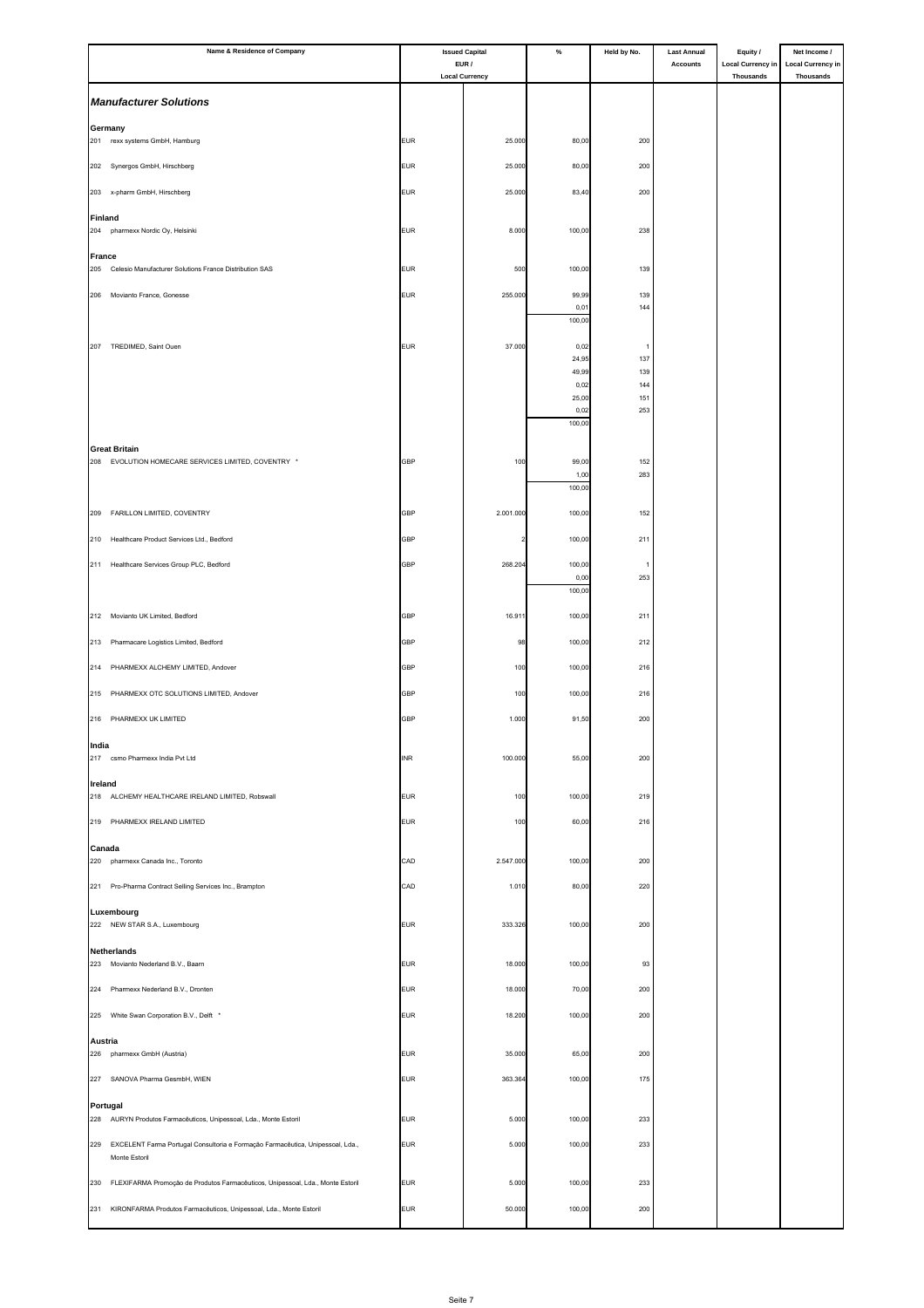| Name & Residence of Company                                                           | <b>Issued Capital</b> |                                | $\%$           | Held by No.           | <b>Last Annual</b> | Equity /                              | Net Income /                                 |
|---------------------------------------------------------------------------------------|-----------------------|--------------------------------|----------------|-----------------------|--------------------|---------------------------------------|----------------------------------------------|
|                                                                                       |                       | EUR /<br><b>Local Currency</b> |                |                       | <b>Accounts</b>    | <b>Local Currency in</b><br>Thousands | <b>Local Currency in</b><br><b>Thousands</b> |
| <b>Manufacturer Solutions</b>                                                         |                       |                                |                |                       |                    |                                       |                                              |
|                                                                                       |                       |                                |                |                       |                    |                                       |                                              |
| Germany<br>201<br>rexx systems GmbH, Hamburg                                          | <b>EUR</b>            | 25.000                         | 80,00          | 200                   |                    |                                       |                                              |
|                                                                                       |                       |                                |                |                       |                    |                                       |                                              |
| 202 Synergos GmbH, Hirschberg                                                         | <b>EUR</b>            | 25.000                         | 80,00          | 200                   |                    |                                       |                                              |
| x-pharm GmbH, Hirschberg<br>203                                                       | <b>EUR</b>            | 25.000                         | 83,40          | 200                   |                    |                                       |                                              |
| Finland                                                                               |                       |                                |                |                       |                    |                                       |                                              |
| 204<br>pharmexx Nordic Oy, Helsinki                                                   | <b>EUR</b>            | 8.000                          | 100,00         | 238                   |                    |                                       |                                              |
| <b>France</b><br>Celesio Manufacturer Solutions France Distribution SAS<br>205        | <b>EUR</b>            | 500                            | 100,00         | 139                   |                    |                                       |                                              |
|                                                                                       |                       |                                |                |                       |                    |                                       |                                              |
| Movianto France, Gonesse<br>206                                                       | <b>EUR</b>            | 255.000                        | 99,99<br>0,01  | 139<br>144            |                    |                                       |                                              |
|                                                                                       |                       |                                | 100,00         |                       |                    |                                       |                                              |
| TREDIMED, Saint Ouen<br>207                                                           | <b>EUR</b>            | 37.000                         | 0,02           | $\overline{1}$        |                    |                                       |                                              |
|                                                                                       |                       |                                | 24,95<br>49,99 | 137<br>139            |                    |                                       |                                              |
|                                                                                       |                       |                                | 0,02           | 144                   |                    |                                       |                                              |
|                                                                                       |                       |                                | 25,00<br>0,02  | 151<br>253            |                    |                                       |                                              |
|                                                                                       |                       |                                | 100,00         |                       |                    |                                       |                                              |
| <b>Great Britain</b>                                                                  |                       |                                |                |                       |                    |                                       |                                              |
| 208 EVOLUTION HOMECARE SERVICES LIMITED, COVENTRY *                                   | <b>GBP</b>            | 100                            | 99,00<br>1,00  | 152<br>283            |                    |                                       |                                              |
|                                                                                       |                       |                                | 100,00         |                       |                    |                                       |                                              |
| FARILLON LIMITED, COVENTRY<br>209                                                     | <b>GBP</b>            | 2.001.000                      | 100,00         | 152                   |                    |                                       |                                              |
| Healthcare Product Services Ltd., Bedford<br>210                                      | <b>GBP</b>            |                                | 100,00         | 211                   |                    |                                       |                                              |
|                                                                                       |                       |                                |                |                       |                    |                                       |                                              |
| 211 Healthcare Services Group PLC, Bedford                                            | GBP                   | 268.204                        | 100,00<br>0,00 | $\overline{1}$<br>253 |                    |                                       |                                              |
|                                                                                       |                       |                                | 100,00         |                       |                    |                                       |                                              |
| Movianto UK Limited, Bedford<br>212                                                   | <b>GBP</b>            | 16.911                         | 100,00         | 211                   |                    |                                       |                                              |
| Pharmacare Logistics Limited, Bedford<br>213                                          | GBP                   | 98                             | 100,00         | 212                   |                    |                                       |                                              |
|                                                                                       |                       |                                |                |                       |                    |                                       |                                              |
| PHARMEXX ALCHEMY LIMITED, Andover<br>214                                              | <b>GBP</b>            | 100                            | 100,00         | 216                   |                    |                                       |                                              |
| PHARMEXX OTC SOLUTIONS LIMITED, Andover<br>215                                        | GBP                   | 100                            | 100,00         | 216                   |                    |                                       |                                              |
| 216 PHARMEXX UK LIMITED                                                               | GBP                   | 1.000                          | 91,50          | 200                   |                    |                                       |                                              |
| India                                                                                 |                       |                                |                |                       |                    |                                       |                                              |
| 217 csmo Pharmexx India Pvt Ltd                                                       | <b>INR</b>            | 100.000                        | 55,00          | 200                   |                    |                                       |                                              |
| Ireland                                                                               |                       |                                |                |                       |                    |                                       |                                              |
| 218 ALCHEMY HEALTHCARE IRELAND LIMITED, Robswall                                      | <b>EUR</b>            | 100                            | 100,00         | 219                   |                    |                                       |                                              |
| 219<br>PHARMEXX IRELAND LIMITED                                                       | <b>EUR</b>            | 100                            | 60,00          | 216                   |                    |                                       |                                              |
| Canada                                                                                |                       |                                |                |                       |                    |                                       |                                              |
| 220<br>pharmexx Canada Inc., Toronto                                                  | CAD                   | 2.547.000                      | 100,00         | 200                   |                    |                                       |                                              |
| Pro-Pharma Contract Selling Services Inc., Brampton<br>221                            | CAD                   | 1.010                          | 80,00          | 220                   |                    |                                       |                                              |
| Luxembourg                                                                            |                       |                                |                |                       |                    |                                       |                                              |
| 222 NEW STAR S.A., Luxembourg                                                         | <b>EUR</b>            | 333.326                        | 100,00         | 200                   |                    |                                       |                                              |
| <b>Netherlands</b>                                                                    |                       |                                |                |                       |                    |                                       |                                              |
| 223 Movianto Nederland B.V., Baarn                                                    | <b>EUR</b>            | 18.000                         | 100,00         | 93                    |                    |                                       |                                              |
| 224<br>Pharmexx Nederland B.V., Dronten                                               | <b>EUR</b>            | 18.000                         | 70,00          | 200                   |                    |                                       |                                              |
| 225 White Swan Corporation B.V., Delft *                                              | <b>EUR</b>            | 18.200                         | 100,00         | 200                   |                    |                                       |                                              |
| Austria                                                                               |                       |                                |                |                       |                    |                                       |                                              |
| 226<br>pharmexx GmbH (Austria)                                                        | <b>EUR</b>            | 35.000                         | 65,00          | 200                   |                    |                                       |                                              |
| 227 SANOVA Pharma GesmbH, WIEN                                                        | <b>EUR</b>            | 363.364                        | 100,00         | 175                   |                    |                                       |                                              |
|                                                                                       |                       |                                |                |                       |                    |                                       |                                              |
| Portugal<br>228<br>AURYN Produtos Farmacêuticos, Unipessoal, Lda., Monte Estoril      | <b>EUR</b>            | 5.000                          | 100,00         | 233                   |                    |                                       |                                              |
| 229<br>EXCELENT Farma Portugal Consultoria e Formação Farmacêutica, Unipessoal, Lda., | <b>EUR</b>            | 5.000                          | 100,00         | 233                   |                    |                                       |                                              |
| Monte Estoril                                                                         |                       |                                |                |                       |                    |                                       |                                              |
| 230<br>FLEXIFARMA Promoção de Produtos Farmacêuticos, Unipessoal, Lda., Monte Estoril | <b>EUR</b>            | 5.000                          | 100,00         | 233                   |                    |                                       |                                              |
| 231                                                                                   | <b>EUR</b>            | 50.000                         | 100,00         | 200                   |                    |                                       |                                              |
| KIRONFARMA Produtos Farmacêuticos, Unipessoal, Lda., Monte Estoril                    |                       |                                |                |                       |                    |                                       |                                              |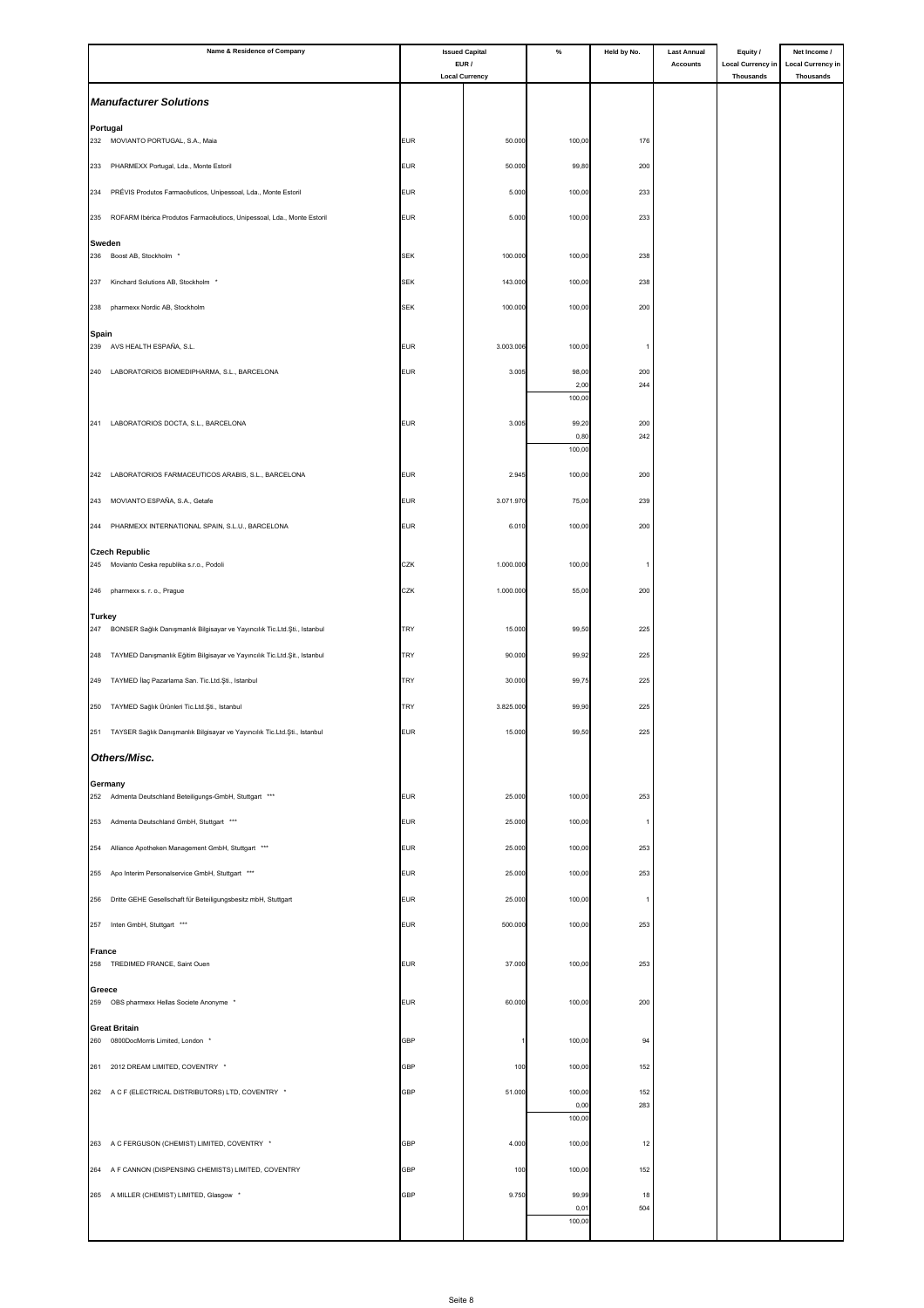| Name & Residence of Company                                                                       | <b>Issued Capital</b> |                                | $\%$           | Held by No. | <b>Last Annual</b> | Equity /                                     | Net Income /                          |
|---------------------------------------------------------------------------------------------------|-----------------------|--------------------------------|----------------|-------------|--------------------|----------------------------------------------|---------------------------------------|
|                                                                                                   |                       | EUR /<br><b>Local Currency</b> |                |             | <b>Accounts</b>    | <b>Local Currency in</b><br><b>Thousands</b> | <b>Local Currency in</b><br>Thousands |
| <b>Manufacturer Solutions</b>                                                                     |                       |                                |                |             |                    |                                              |                                       |
| Portugal                                                                                          |                       |                                |                |             |                    |                                              |                                       |
| MOVIANTO PORTUGAL, S.A., Maia<br>232                                                              | <b>EUR</b>            | 50.000                         | 100,00         | 176         |                    |                                              |                                       |
| 233 PHARMEXX Portugal, Lda., Monte Estoril                                                        | <b>EUR</b>            | 50.000                         | 99,80          | 200         |                    |                                              |                                       |
| 234<br>PRÉVIS Produtos Farmacêuticos, Unipessoal, Lda., Monte Estoril                             | <b>EUR</b>            | 5.000                          | 100,00         | 233         |                    |                                              |                                       |
| ROFARM Ibérica Produtos Farmacêutiocs, Unipessoal, Lda., Monte Estoril<br>235                     | <b>EUR</b>            | 5.000                          | 100,00         | 233         |                    |                                              |                                       |
| Sweden                                                                                            |                       |                                |                |             |                    |                                              |                                       |
| 236 Boost AB, Stockholm *                                                                         | <b>SEK</b>            | 100.000                        | 100,00         | 238         |                    |                                              |                                       |
| Kinchard Solutions AB, Stockholm *<br>237                                                         | <b>SEK</b>            | 143.000                        | 100,00         | 238         |                    |                                              |                                       |
| pharmexx Nordic AB, Stockholm<br>238                                                              | <b>SEK</b>            | 100.000                        | 100,00         | 200         |                    |                                              |                                       |
| Spain<br>AVS HEALTH ESPAÑA, S.L.<br>239                                                           | <b>EUR</b>            | 3.003.006                      | 100,00         |             |                    |                                              |                                       |
|                                                                                                   |                       |                                |                |             |                    |                                              |                                       |
| 240 LABORATORIOS BIOMEDIPHARMA, S.L., BARCELONA                                                   | <b>EUR</b>            | 3.005                          | 98,00<br>2,00  | 200<br>244  |                    |                                              |                                       |
|                                                                                                   |                       |                                | 100,00         |             |                    |                                              |                                       |
| 241<br>LABORATORIOS DOCTA, S.L., BARCELONA                                                        | <b>EUR</b>            | 3.005                          | 99,20<br>0,80  | 200<br>242  |                    |                                              |                                       |
|                                                                                                   |                       |                                | 100,00         |             |                    |                                              |                                       |
| 242<br>LABORATORIOS FARMACEUTICOS ARABIS, S.L., BARCELONA                                         | <b>EUR</b>            | 2.945                          | 100,00         | 200         |                    |                                              |                                       |
| MOVIANTO ESPAÑA, S.A., Getafe<br>243                                                              | <b>EUR</b>            | 3.071.970                      | 75,00          | 239         |                    |                                              |                                       |
| PHARMEXX INTERNATIONAL SPAIN, S.L.U., BARCELONA<br>244                                            | <b>EUR</b>            | 6.010                          | 100,00         | 200         |                    |                                              |                                       |
| <b>Czech Republic</b>                                                                             |                       |                                |                |             |                    |                                              |                                       |
| 245 Movianto Ceska republika s.r.o., Podoli                                                       | CZK                   | 1.000.000                      | 100,00         |             |                    |                                              |                                       |
| 246<br>pharmexx s. r. o., Prague                                                                  | CZK                   | 1.000.000                      | 55,00          | 200         |                    |                                              |                                       |
| <b>Turkey</b><br>247<br>BONSER Sağlık Danışmanlık Bilgisayar ve Yayıncılık Tic.Ltd.Şti., Istanbul | <b>TRY</b>            | 15.000                         | 99,50          | 225         |                    |                                              |                                       |
| TAYMED Danışmanlık Eğitim Bilgisayar ve Yayıncılık Tic.Ltd.Şit., Istanbul<br>248                  | TRY                   | 90.000                         | 99,92          | 225         |                    |                                              |                                       |
| 249<br>TAYMED İlaç Pazarlama San. Tic.Ltd.Şti., Istanbul                                          | <b>TRY</b>            | 30.000                         | 99,75          | 225         |                    |                                              |                                       |
| 250 TAYMED Sağlık Ürünleri Tic.Ltd.Şti., Istanbul                                                 | <b>TRY</b>            | 3.825.000                      | 99,90          | 225         |                    |                                              |                                       |
|                                                                                                   |                       |                                |                |             |                    |                                              |                                       |
| 251 TAYSER Sağlık Danışmanlık Bilgisayar ve Yayıncılık Tic.Ltd.Şti., Istanbul                     | <b>EUR</b>            | 15.000                         | 99,50          | 225         |                    |                                              |                                       |
| Others/Misc.                                                                                      |                       |                                |                |             |                    |                                              |                                       |
| Germany<br>252 Admenta Deutschland Beteiligungs-GmbH, Stuttgart ***                               | <b>EUR</b>            | 25.000                         | 100,00         | 253         |                    |                                              |                                       |
| 253 Admenta Deutschland GmbH, Stuttgart ***                                                       | <b>EUR</b>            | 25.000                         | 100,00         | -1          |                    |                                              |                                       |
| 254<br>Alliance Apotheken Management GmbH, Stuttgart ***                                          | <b>EUR</b>            | 25.000                         | 100,00         | 253         |                    |                                              |                                       |
| 255 Apo Interim Personalservice GmbH, Stuttgart ***                                               | <b>EUR</b>            | 25.000                         | 100,00         | 253         |                    |                                              |                                       |
|                                                                                                   |                       |                                |                |             |                    |                                              |                                       |
| 256 Dritte GEHE Gesellschaft für Beteiligungsbesitz mbH, Stuttgart                                | <b>EUR</b>            | 25.000                         | 100,00         |             |                    |                                              |                                       |
| Inten GmbH, Stuttgart ***<br>257                                                                  | <b>EUR</b>            | 500.000                        | 100,00         | 253         |                    |                                              |                                       |
| <b>France</b><br>258 TREDIMED FRANCE, Saint Ouen                                                  | <b>EUR</b>            | 37.000                         | 100,00         | 253         |                    |                                              |                                       |
| Greece                                                                                            |                       |                                |                |             |                    |                                              |                                       |
| 259 OBS pharmexx Hellas Societe Anonyme *                                                         | <b>EUR</b>            | 60.000                         | 100,00         | 200         |                    |                                              |                                       |
| <b>Great Britain</b><br>260<br>0800DocMorris Limited, London *                                    | <b>GBP</b>            |                                | 100,00         | 94          |                    |                                              |                                       |
|                                                                                                   |                       |                                |                |             |                    |                                              |                                       |
| 261 2012 DREAM LIMITED, COVENTRY *                                                                | <b>GBP</b>            | 100                            | 100,00         | 152         |                    |                                              |                                       |
| 262 A C F (ELECTRICAL DISTRIBUTORS) LTD, COVENTRY *                                               | <b>GBP</b>            | 51.000                         | 100,00<br>0,00 | 152<br>283  |                    |                                              |                                       |
|                                                                                                   |                       |                                | 100,00         |             |                    |                                              |                                       |
| 263 A C FERGUSON (CHEMIST) LIMITED, COVENTRY *                                                    | <b>GBP</b>            | 4.000                          | 100,00         | 12          |                    |                                              |                                       |
| 264 A F CANNON (DISPENSING CHEMISTS) LIMITED, COVENTRY                                            | GBP                   | 100                            | 100,00         | 152         |                    |                                              |                                       |
| 265 A MILLER (CHEMIST) LIMITED, Glasgow *                                                         | <b>GBP</b>            | 9.750                          | 99,99<br>0,0   | 18<br>504   |                    |                                              |                                       |
|                                                                                                   |                       |                                | 100,00         |             |                    |                                              |                                       |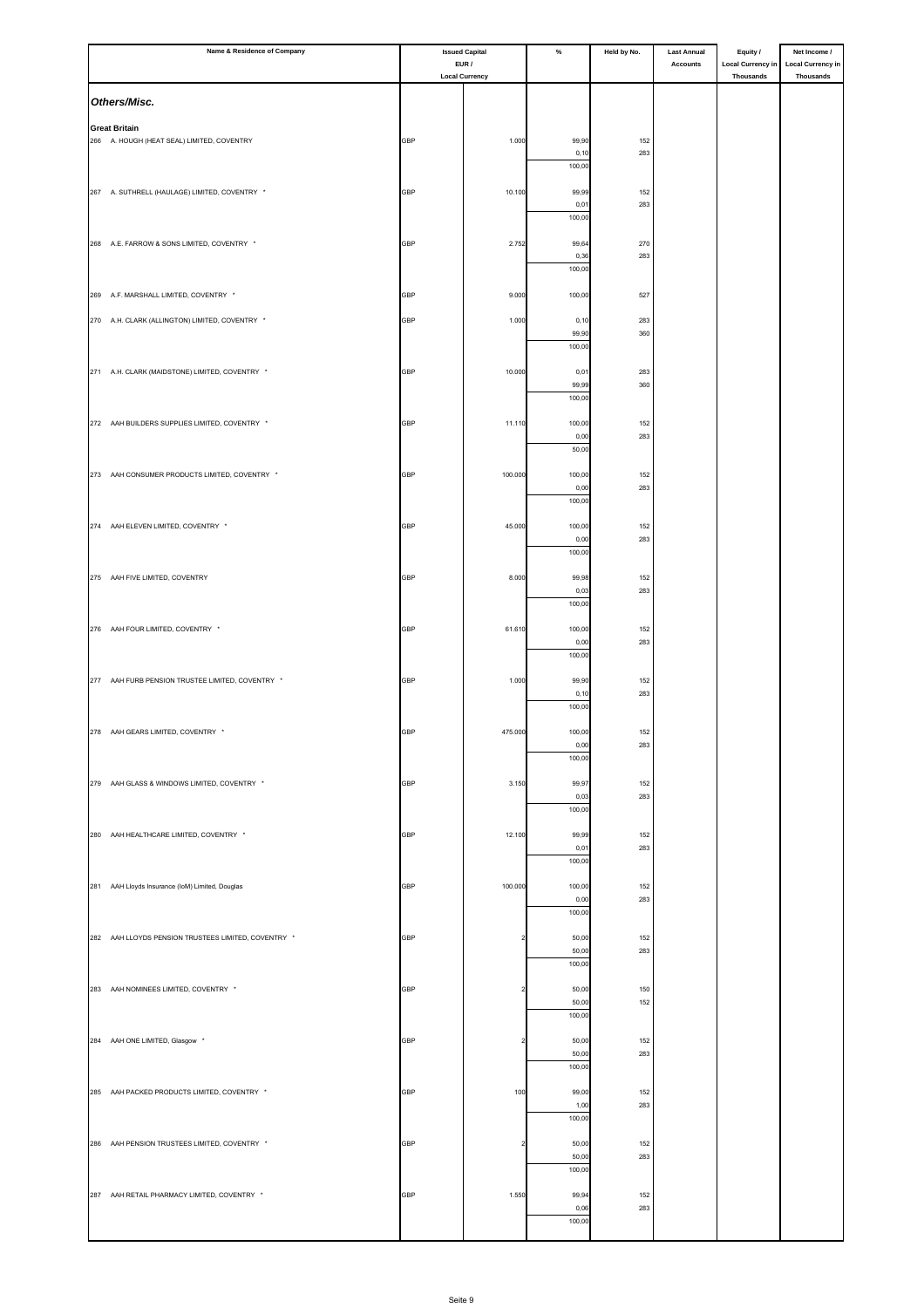| Name & Residence of Company                         |            | <b>Issued Capital</b>          | $\%$            | Held by No. | <b>Last Annual</b><br>Accounts | Equity /                              | Net Income /                                 |
|-----------------------------------------------------|------------|--------------------------------|-----------------|-------------|--------------------------------|---------------------------------------|----------------------------------------------|
|                                                     |            | EUR /<br><b>Local Currency</b> |                 |             |                                | <b>Local Currency in</b><br>Thousands | <b>Local Currency in</b><br><b>Thousands</b> |
| Others/Misc.                                        |            |                                |                 |             |                                |                                       |                                              |
| <b>Great Britain</b>                                |            |                                |                 |             |                                |                                       |                                              |
| 266 A. HOUGH (HEAT SEAL) LIMITED, COVENTRY          | <b>GBP</b> | 1.000                          | 99,90           | 152         |                                |                                       |                                              |
|                                                     |            |                                | 0, 10<br>100,00 | 283         |                                |                                       |                                              |
| 267 A. SUTHRELL (HAULAGE) LIMITED, COVENTRY *       | <b>GBP</b> | 10.100                         | 99,99           | 152         |                                |                                       |                                              |
|                                                     |            |                                | 0,01            | 283         |                                |                                       |                                              |
|                                                     |            |                                | 100,00          |             |                                |                                       |                                              |
| 268 A.E. FARROW & SONS LIMITED, COVENTRY *          | GBP        | 2.752                          | 99,64<br>0,36   | 270<br>283  |                                |                                       |                                              |
|                                                     |            |                                | 100,00          |             |                                |                                       |                                              |
| 269 A.F. MARSHALL LIMITED, COVENTRY *               | <b>GBP</b> | 9.000                          | 100,00          | 527         |                                |                                       |                                              |
| 270 A.H. CLARK (ALLINGTON) LIMITED, COVENTRY *      | <b>GBP</b> | 1.000                          | 0, 10           | 283         |                                |                                       |                                              |
|                                                     |            |                                | 99,90<br>100,00 | 360         |                                |                                       |                                              |
|                                                     |            |                                |                 |             |                                |                                       |                                              |
| 271 A.H. CLARK (MAIDSTONE) LIMITED, COVENTRY *      | <b>GBP</b> | 10.000                         | 0,01<br>99,99   | 283<br>360  |                                |                                       |                                              |
|                                                     |            |                                | 100,00          |             |                                |                                       |                                              |
| 272 AAH BUILDERS SUPPLIES LIMITED, COVENTRY *       | GBP        | 11.110                         | 100,00          | 152         |                                |                                       |                                              |
|                                                     |            |                                | 0,00<br>50,00   | 283         |                                |                                       |                                              |
| 273 AAH CONSUMER PRODUCTS LIMITED, COVENTRY *       | <b>GBP</b> | 100.000                        | 100,00          | 152         |                                |                                       |                                              |
|                                                     |            |                                | 0,00            | 283         |                                |                                       |                                              |
|                                                     |            |                                | 100,00          |             |                                |                                       |                                              |
| 274 AAH ELEVEN LIMITED, COVENTRY *                  | GBP        | 45.000                         | 100,00<br>0,00  | 152<br>283  |                                |                                       |                                              |
|                                                     |            |                                | 100,00          |             |                                |                                       |                                              |
| 275 AAH FIVE LIMITED, COVENTRY                      | GBP        | 8.000                          | 99,98           | 152         |                                |                                       |                                              |
|                                                     |            |                                | 0,03<br>100,00  | 283         |                                |                                       |                                              |
|                                                     |            |                                |                 |             |                                |                                       |                                              |
| 276 AAH FOUR LIMITED, COVENTRY *                    | GBP        | 61.610                         | 100,00<br>0,00  | 152<br>283  |                                |                                       |                                              |
|                                                     |            |                                | 100,00          |             |                                |                                       |                                              |
| 277 AAH FURB PENSION TRUSTEE LIMITED, COVENTRY *    | GBP        | 1.000                          | 99,90           | 152         |                                |                                       |                                              |
|                                                     |            |                                | 0, 10<br>100,00 | 283         |                                |                                       |                                              |
| 278 AAH GEARS LIMITED, COVENTRY *                   | <b>GBP</b> | 475.000                        | 100,00          | 152         |                                |                                       |                                              |
|                                                     |            |                                | 0,00<br>100,00  | 283         |                                |                                       |                                              |
|                                                     |            |                                |                 |             |                                |                                       |                                              |
| 279 AAH GLASS & WINDOWS LIMITED, COVENTRY *         | GBP        | 3.150                          | 99,97<br>0,03   | 152<br>283  |                                |                                       |                                              |
|                                                     |            |                                | 100,00          |             |                                |                                       |                                              |
| 280 AAH HEALTHCARE LIMITED, COVENTRY *              | GBP        | 12.100                         | 99,99           | 152         |                                |                                       |                                              |
|                                                     |            |                                | 0,01<br>100,00  | 283         |                                |                                       |                                              |
| 281 AAH Lloyds Insurance (IoM) Limited, Douglas     | <b>GBP</b> | 100.000                        | 100,00          | 152         |                                |                                       |                                              |
|                                                     |            |                                | 0,00            | 283         |                                |                                       |                                              |
|                                                     |            |                                | 100,00          |             |                                |                                       |                                              |
| 282 AAH LLOYDS PENSION TRUSTEES LIMITED, COVENTRY * | GBP        | $\overline{\phantom{a}}$       | 50,00<br>50,00  | 152<br>283  |                                |                                       |                                              |
|                                                     |            |                                | 100,00          |             |                                |                                       |                                              |
| 283 AAH NOMINEES LIMITED, COVENTRY *                | GBP        | $\overline{2}$                 | 50,00           | 150         |                                |                                       |                                              |
|                                                     |            |                                | 50,00<br>100,00 | 152         |                                |                                       |                                              |
|                                                     |            |                                |                 |             |                                |                                       |                                              |
| 284 AAH ONE LIMITED, Glasgow *                      | GBP        | $\overline{2}$                 | 50,00<br>50,00  | 152<br>283  |                                |                                       |                                              |
|                                                     |            |                                | 100,00          |             |                                |                                       |                                              |
| 285 AAH PACKED PRODUCTS LIMITED, COVENTRY *         | GBP        | 100                            | 99,00<br>1,00   | 152<br>283  |                                |                                       |                                              |
|                                                     |            |                                | 100,00          |             |                                |                                       |                                              |
| 286 AAH PENSION TRUSTEES LIMITED, COVENTRY *        | GBP        | $\overline{\mathbf{2}}$        | 50,00           | 152         |                                |                                       |                                              |
|                                                     |            |                                | 50,00<br>100,00 | 283         |                                |                                       |                                              |
|                                                     |            |                                |                 |             |                                |                                       |                                              |
| 287 AAH RETAIL PHARMACY LIMITED, COVENTRY *         | GBP        | 1.550                          | 99,94<br>0,06   | 152<br>283  |                                |                                       |                                              |
|                                                     |            |                                | 100,00          |             |                                |                                       |                                              |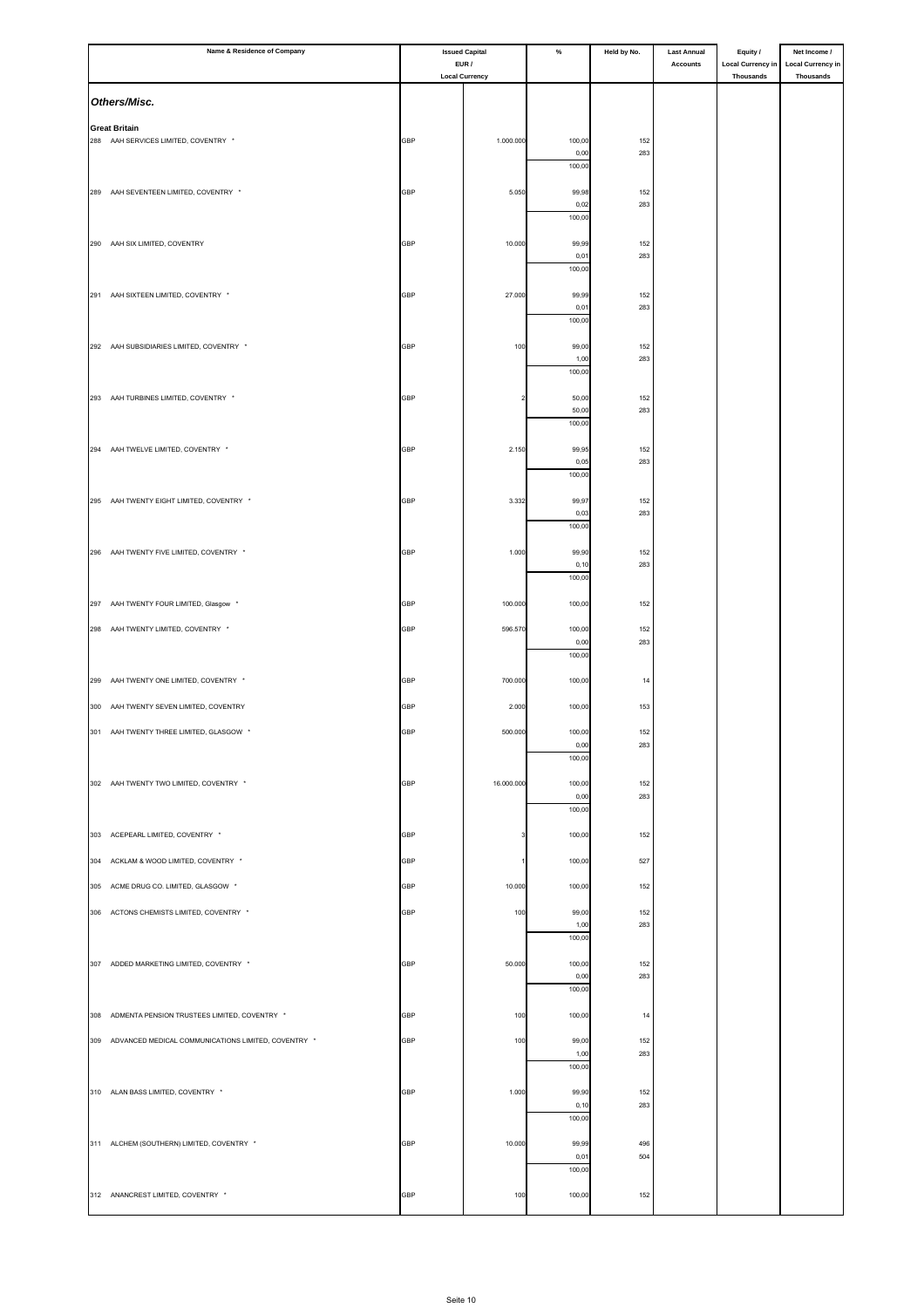|     | Name & Residence of Company                                  |            | <b>Issued Capital</b>          | $\%$           | Held by No. | <b>Last Annual</b> | Equity /                                     | Net Income /                                 |
|-----|--------------------------------------------------------------|------------|--------------------------------|----------------|-------------|--------------------|----------------------------------------------|----------------------------------------------|
|     |                                                              |            | EUR /<br><b>Local Currency</b> |                |             | <b>Accounts</b>    | <b>Local Currency in</b><br><b>Thousands</b> | <b>Local Currency in</b><br><b>Thousands</b> |
|     | Others/Misc.                                                 |            |                                |                |             |                    |                                              |                                              |
|     |                                                              |            |                                |                |             |                    |                                              |                                              |
|     | <b>Great Britain</b><br>288 AAH SERVICES LIMITED, COVENTRY * | GBP        | 1.000.000                      | 100,00         | 152         |                    |                                              |                                              |
|     |                                                              |            |                                | 0,00<br>100,00 | 283         |                    |                                              |                                              |
|     |                                                              |            |                                |                |             |                    |                                              |                                              |
|     | 289 AAH SEVENTEEN LIMITED, COVENTRY *                        | GBP        | 5.050                          | 99,98<br>0,02  | 152<br>283  |                    |                                              |                                              |
|     |                                                              |            |                                | 100,00         |             |                    |                                              |                                              |
|     | 290 AAH SIX LIMITED, COVENTRY                                | GBP        | 10.000                         | 99,99          | 152<br>283  |                    |                                              |                                              |
|     |                                                              |            |                                | 0,01<br>100,00 |             |                    |                                              |                                              |
|     | 291 AAH SIXTEEN LIMITED, COVENTRY *                          | GBP        | 27.000                         | 99,99          | 152         |                    |                                              |                                              |
|     |                                                              |            |                                | 0,01<br>100,00 | 283         |                    |                                              |                                              |
|     | 292 AAH SUBSIDIARIES LIMITED, COVENTRY *                     |            |                                |                |             |                    |                                              |                                              |
|     |                                                              | GBP        | 100                            | 99,00<br>1,00  | 152<br>283  |                    |                                              |                                              |
|     |                                                              |            |                                | 100,00         |             |                    |                                              |                                              |
|     | 293 AAH TURBINES LIMITED, COVENTRY *                         | GBP        | $\overline{\mathbf{2}}$        | 50,00<br>50,00 | 152<br>283  |                    |                                              |                                              |
|     |                                                              |            |                                | 100,00         |             |                    |                                              |                                              |
|     | 294 AAH TWELVE LIMITED, COVENTRY *                           | GBP        | 2.150                          | 99,95          | 152         |                    |                                              |                                              |
|     |                                                              |            |                                | 0,05<br>100,00 | 283         |                    |                                              |                                              |
|     |                                                              |            |                                |                |             |                    |                                              |                                              |
|     | 295 AAH TWENTY EIGHT LIMITED, COVENTRY *                     | <b>GBP</b> | 3.332                          | 99,97<br>0,03  | 152<br>283  |                    |                                              |                                              |
|     |                                                              |            |                                | 100,00         |             |                    |                                              |                                              |
|     | 296 AAH TWENTY FIVE LIMITED, COVENTRY *                      | <b>GBP</b> | 1.000                          | 99,90          | 152         |                    |                                              |                                              |
|     |                                                              |            |                                | 0,10<br>100,00 | 283         |                    |                                              |                                              |
|     | 297 AAH TWENTY FOUR LIMITED, Glasgow *                       | <b>GBP</b> | 100.000                        | 100,00         | 152         |                    |                                              |                                              |
|     | 298 AAH TWENTY LIMITED, COVENTRY *                           | <b>GBP</b> | 596.570                        | 100,00         | 152         |                    |                                              |                                              |
|     |                                                              |            |                                | 0,00           | 283         |                    |                                              |                                              |
|     |                                                              |            |                                | 100,00         |             |                    |                                              |                                              |
|     | 299 AAH TWENTY ONE LIMITED, COVENTRY *                       | GBP        | 700.000                        | 100,00         | 14          |                    |                                              |                                              |
|     | 300 AAH TWENTY SEVEN LIMITED, COVENTRY                       | <b>GBP</b> | 2.000                          | 100,00         | 153         |                    |                                              |                                              |
|     | 301 AAH TWENTY THREE LIMITED, GLASGOW *                      | GBP        | 500.000                        | 100,00         | 152         |                    |                                              |                                              |
|     |                                                              |            |                                | 0,00<br>100,00 | 283         |                    |                                              |                                              |
|     | 302 AAH TWENTY TWO LIMITED, COVENTRY *                       | GBP        | 16.000.000                     | 100,00         | 152         |                    |                                              |                                              |
|     |                                                              |            |                                | 0,00           | 283         |                    |                                              |                                              |
|     |                                                              |            |                                | 100,00         |             |                    |                                              |                                              |
|     | 303 ACEPEARL LIMITED, COVENTRY *                             | GBP        | 3                              | 100,00         | 152         |                    |                                              |                                              |
| 304 | ACKLAM & WOOD LIMITED, COVENTRY *                            | GBP        |                                | 100,00         | 527         |                    |                                              |                                              |
| 305 | ACME DRUG CO. LIMITED, GLASGOW *                             | GBP        | 10.000                         | 100,00         | 152         |                    |                                              |                                              |
|     | 306 ACTONS CHEMISTS LIMITED, COVENTRY *                      | GBP        | 100                            | 99,00          | 152         |                    |                                              |                                              |
|     |                                                              |            |                                | 1,00<br>100,00 | 283         |                    |                                              |                                              |
|     |                                                              |            |                                |                |             |                    |                                              |                                              |
|     | 307 ADDED MARKETING LIMITED, COVENTRY *                      | GBP        | 50.000                         | 100,00<br>0,00 | 152<br>283  |                    |                                              |                                              |
|     |                                                              |            |                                | 100,00         |             |                    |                                              |                                              |
|     | 308 ADMENTA PENSION TRUSTEES LIMITED, COVENTRY *             | GBP        | 100                            | 100,00         | 14          |                    |                                              |                                              |
|     | 309 ADVANCED MEDICAL COMMUNICATIONS LIMITED, COVENTRY *      | GBP        | 100                            | 99,00          | 152         |                    |                                              |                                              |
|     |                                                              |            |                                | 1,00<br>100,00 | 283         |                    |                                              |                                              |
|     |                                                              |            |                                |                |             |                    |                                              |                                              |
|     | 310 ALAN BASS LIMITED, COVENTRY *                            | GBP        | 1.000                          | 99,90<br>0,10  | 152<br>283  |                    |                                              |                                              |
|     |                                                              |            |                                | 100,00         |             |                    |                                              |                                              |
|     | 311 ALCHEM (SOUTHERN) LIMITED, COVENTRY *                    | <b>GBP</b> | 10.000                         | 99,99          | 496         |                    |                                              |                                              |
|     |                                                              |            |                                | 0,01<br>100,00 | 504         |                    |                                              |                                              |
|     | 312 ANANCREST LIMITED, COVENTRY *                            | GBP        | 100                            | 100,00         | 152         |                    |                                              |                                              |
|     |                                                              |            |                                |                |             |                    |                                              |                                              |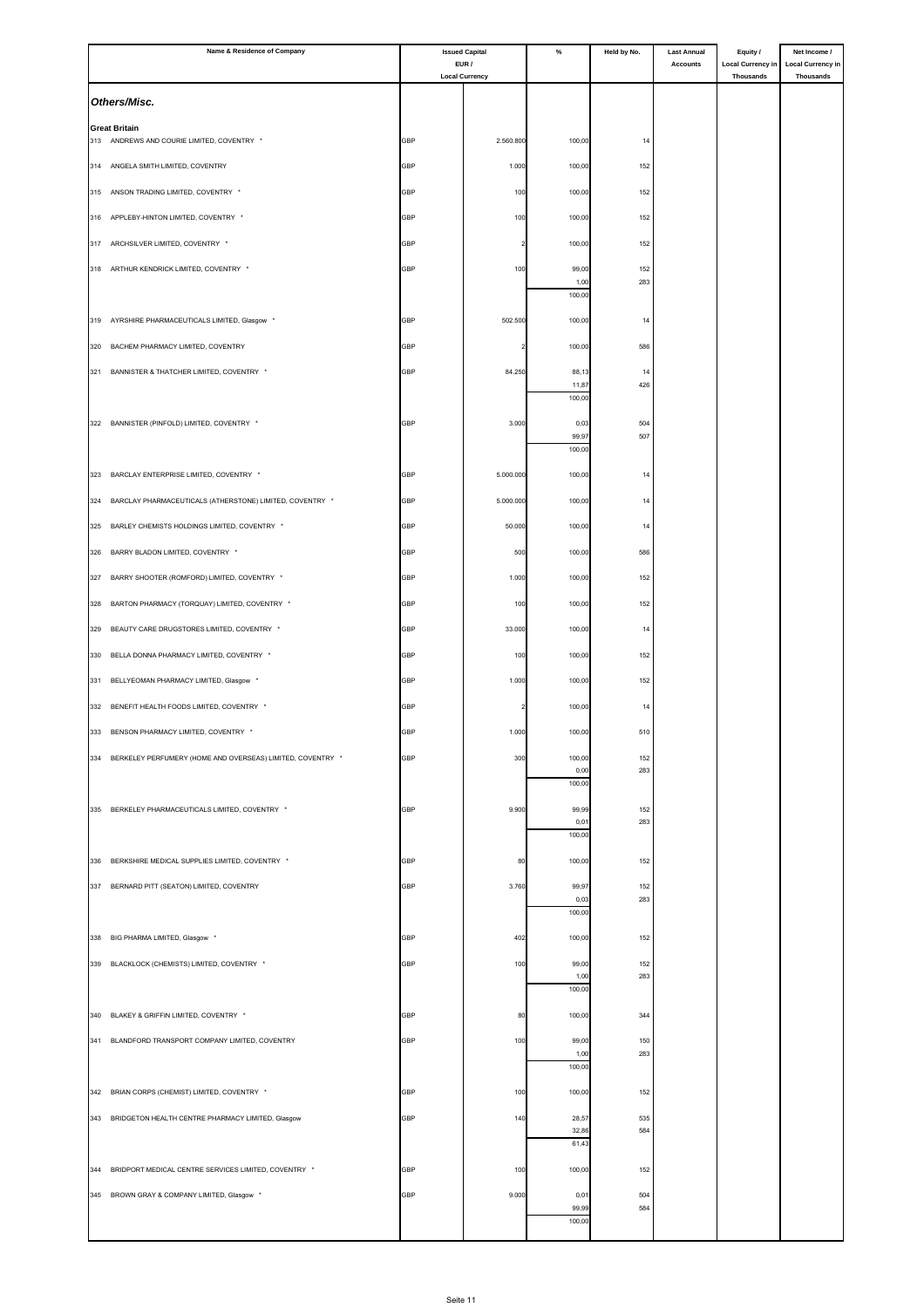|     | Name & Residence of Company                                    | <b>Issued Capital</b> |                                | $\%$           | Held by No. | <b>Last Annual</b> | Equity /                              | Net Income /                                 |
|-----|----------------------------------------------------------------|-----------------------|--------------------------------|----------------|-------------|--------------------|---------------------------------------|----------------------------------------------|
|     |                                                                |                       | EUR /<br><b>Local Currency</b> |                |             | <b>Accounts</b>    | <b>Local Currency in</b><br>Thousands | <b>Local Currency in</b><br><b>Thousands</b> |
|     | Others/Misc.                                                   |                       |                                |                |             |                    |                                       |                                              |
|     | <b>Great Britain</b>                                           |                       |                                |                |             |                    |                                       |                                              |
|     | 313 ANDREWS AND COURIE LIMITED, COVENTRY *                     | GBP                   | 2.560.800                      | 100,00         | 14          |                    |                                       |                                              |
|     | 314 ANGELA SMITH LIMITED, COVENTRY                             | GBP                   | 1.000                          | 100,00         | 152         |                    |                                       |                                              |
| 315 | ANSON TRADING LIMITED, COVENTRY *                              | GBP                   | 100                            | 100,00         | 152         |                    |                                       |                                              |
| 316 | APPLEBY-HINTON LIMITED, COVENTRY *                             | GBP                   | 100                            | 100,00         | 152         |                    |                                       |                                              |
| 317 | ARCHSILVER LIMITED, COVENTRY *                                 | <b>GBP</b>            |                                | 100,00         | 152         |                    |                                       |                                              |
|     | 318 ARTHUR KENDRICK LIMITED, COVENTRY *                        | GBP                   | 100                            | 99,00          | 152         |                    |                                       |                                              |
|     |                                                                |                       |                                | 1,00<br>100,00 | 283         |                    |                                       |                                              |
|     |                                                                |                       |                                |                |             |                    |                                       |                                              |
| 319 | AYRSHIRE PHARMACEUTICALS LIMITED, Glasgow *                    | GBP                   | 502.500                        | 100,00         | 14          |                    |                                       |                                              |
| 320 | BACHEM PHARMACY LIMITED, COVENTRY                              | GBP                   |                                | 100,00         | 586         |                    |                                       |                                              |
|     | 321 BANNISTER & THATCHER LIMITED, COVENTRY *                   | GBP                   | 84.250                         | 88,13<br>11,87 | 14<br>426   |                    |                                       |                                              |
|     |                                                                |                       |                                | 100,00         |             |                    |                                       |                                              |
|     | 322 BANNISTER (PINFOLD) LIMITED, COVENTRY *                    | GBP                   | 3.000                          | 0,03<br>99,97  | 504<br>507  |                    |                                       |                                              |
|     |                                                                |                       |                                | 100,00         |             |                    |                                       |                                              |
| 323 | BARCLAY ENTERPRISE LIMITED, COVENTRY *                         | GBP                   | 5.000.000                      | 100,00         | 14          |                    |                                       |                                              |
| 324 | BARCLAY PHARMACEUTICALS (ATHERSTONE) LIMITED, COVENTRY *       | GBP                   | 5.000.000                      | 100,00         | 14          |                    |                                       |                                              |
| 325 | BARLEY CHEMISTS HOLDINGS LIMITED, COVENTRY *                   | GBP                   | 50.000                         | 100,00         | 14          |                    |                                       |                                              |
| 326 | BARRY BLADON LIMITED, COVENTRY *                               | GBP                   | 500                            | 100,00         | 586         |                    |                                       |                                              |
| 327 | BARRY SHOOTER (ROMFORD) LIMITED, COVENTRY *                    | GBP                   | 1.000                          | 100,00         | 152         |                    |                                       |                                              |
| 328 | BARTON PHARMACY (TORQUAY) LIMITED, COVENTRY *                  | GBP                   | 100                            | 100,00         | 152         |                    |                                       |                                              |
|     |                                                                |                       |                                |                |             |                    |                                       |                                              |
| 329 | BEAUTY CARE DRUGSTORES LIMITED, COVENTRY *                     | GBP                   | 33.000                         | 100,00         | 14          |                    |                                       |                                              |
| 330 | BELLA DONNA PHARMACY LIMITED, COVENTRY *                       | GBP                   | 100                            | 100,00         | 152         |                    |                                       |                                              |
| 331 | BELLYEOMAN PHARMACY LIMITED, Glasgow *                         | GBP                   | 1.000                          | 100,00         | 152         |                    |                                       |                                              |
|     | 332 BENEFIT HEALTH FOODS LIMITED, COVENTRY *                   | <b>GBP</b>            |                                | 100,00         | 14          |                    |                                       |                                              |
|     | 333 BENSON PHARMACY LIMITED, COVENTRY *                        | <b>GBP</b>            | 1.000                          | 100,00         | 510         |                    |                                       |                                              |
|     | 334 BERKELEY PERFUMERY (HOME AND OVERSEAS) LIMITED, COVENTRY * | <b>GBP</b>            | 300                            | 100,00         | 152         |                    |                                       |                                              |
|     |                                                                |                       |                                | 0,00<br>100,00 | 283         |                    |                                       |                                              |
|     | 335 BERKELEY PHARMACEUTICALS LIMITED, COVENTRY *               | GBP                   | 9.900                          | 99,99          | 152         |                    |                                       |                                              |
|     |                                                                |                       |                                | 0,01<br>100,00 | 283         |                    |                                       |                                              |
|     | 336 BERKSHIRE MEDICAL SUPPLIES LIMITED, COVENTRY *             | GBP                   | 80                             | 100,00         | 152         |                    |                                       |                                              |
|     |                                                                |                       |                                |                |             |                    |                                       |                                              |
|     | 337 BERNARD PITT (SEATON) LIMITED, COVENTRY                    | <b>GBP</b>            | 3.760                          | 99,97<br>0,03  | 152<br>283  |                    |                                       |                                              |
|     |                                                                |                       |                                | 100,00         |             |                    |                                       |                                              |
|     | 338 BIG PHARMA LIMITED, Glasgow *                              | GBP                   | 402                            | 100,00         | 152         |                    |                                       |                                              |
|     | 339 BLACKLOCK (CHEMISTS) LIMITED, COVENTRY *                   | GBP                   | 100                            | 99,00<br>1,00  | 152<br>283  |                    |                                       |                                              |
|     |                                                                |                       |                                | 100,00         |             |                    |                                       |                                              |
|     | 340 BLAKEY & GRIFFIN LIMITED, COVENTRY *                       | GBP                   | 80                             | 100,00         | 344         |                    |                                       |                                              |
|     | 341 BLANDFORD TRANSPORT COMPANY LIMITED, COVENTRY              | GBP                   | 100                            | 99,00          | 150         |                    |                                       |                                              |
|     |                                                                |                       |                                | 1,00<br>100,00 | 283         |                    |                                       |                                              |
| 342 | BRIAN CORPS (CHEMIST) LIMITED, COVENTRY *                      | GBP                   | 100                            | 100,00         | 152         |                    |                                       |                                              |
|     | 343 BRIDGETON HEALTH CENTRE PHARMACY LIMITED, Glasgow          | GBP                   | 140                            | 28,57          | 535         |                    |                                       |                                              |
|     |                                                                |                       |                                | 32,86<br>61,43 | 584         |                    |                                       |                                              |
|     |                                                                |                       |                                |                |             |                    |                                       |                                              |
| 344 | BRIDPORT MEDICAL CENTRE SERVICES LIMITED, COVENTRY *           | GBP                   | 100                            | 100,00         | 152         |                    |                                       |                                              |
|     | 345 BROWN GRAY & COMPANY LIMITED, Glasgow *                    | GBP                   | 9.000                          | 0,01<br>99,99  | 504<br>584  |                    |                                       |                                              |
|     |                                                                |                       |                                | 100,00         |             |                    |                                       |                                              |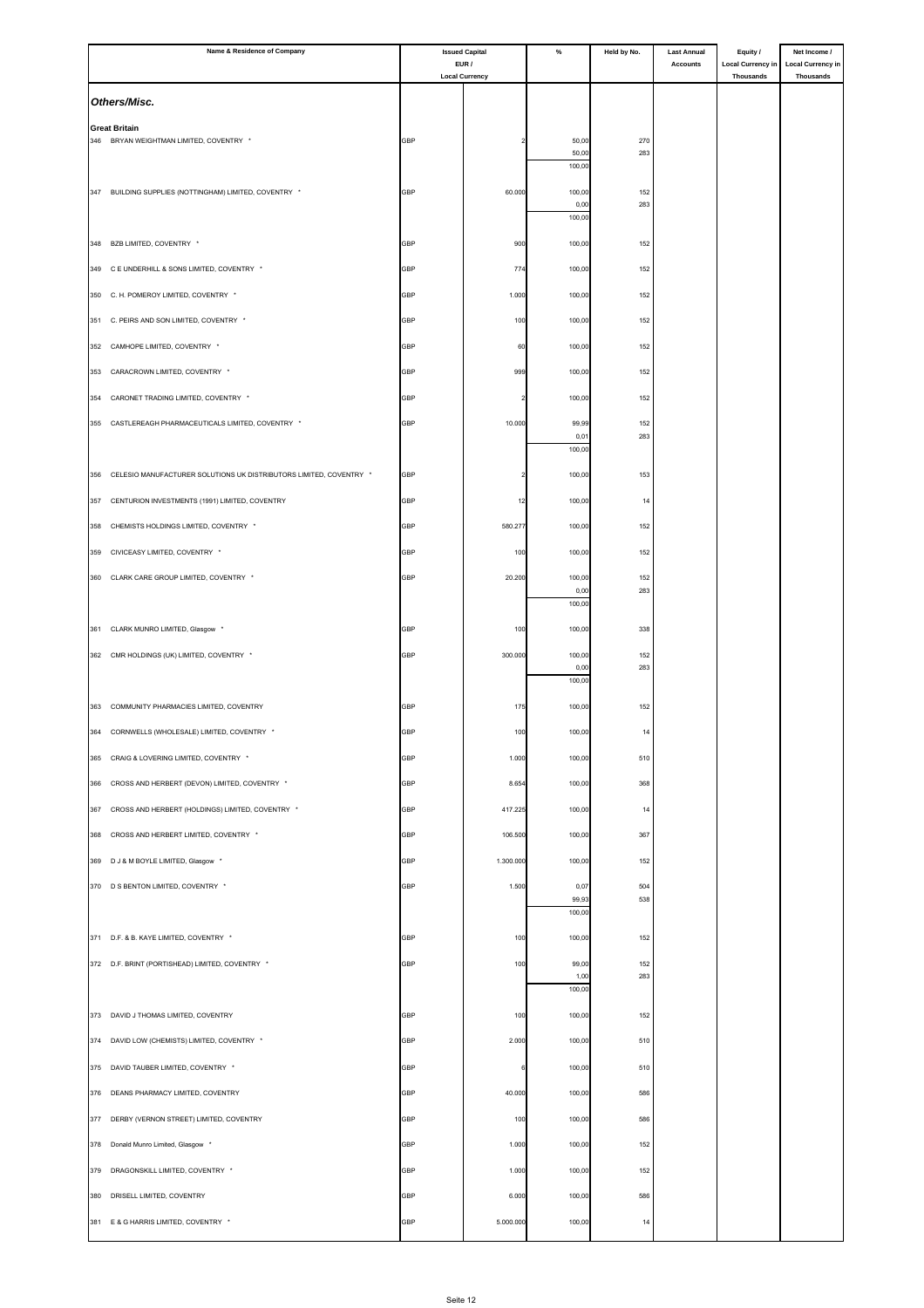|     | Name & Residence of Company                                        | <b>Issued Capital</b><br>EUR / |                       | $\%$            | Held by No. | <b>Last Annual</b> | Equity /                              | Net Income /                                 |
|-----|--------------------------------------------------------------------|--------------------------------|-----------------------|-----------------|-------------|--------------------|---------------------------------------|----------------------------------------------|
|     |                                                                    |                                | <b>Local Currency</b> |                 |             | <b>Accounts</b>    | <b>Local Currency in</b><br>Thousands | <b>Local Currency in</b><br><b>Thousands</b> |
|     | Others/Misc.                                                       |                                |                       |                 |             |                    |                                       |                                              |
|     | <b>Great Britain</b>                                               |                                |                       |                 |             |                    |                                       |                                              |
|     | 346 BRYAN WEIGHTMAN LIMITED, COVENTRY *                            | GBP                            |                       | 50,00           | 270         |                    |                                       |                                              |
|     |                                                                    |                                |                       | 50,00<br>100,00 | 283         |                    |                                       |                                              |
|     | 347 BUILDING SUPPLIES (NOTTINGHAM) LIMITED, COVENTRY *             | <b>GBP</b>                     | 60.000                | 100,00          | 152         |                    |                                       |                                              |
|     |                                                                    |                                |                       | 0,00<br>100,00  | 283         |                    |                                       |                                              |
|     |                                                                    |                                |                       |                 |             |                    |                                       |                                              |
| 348 | BZB LIMITED, COVENTRY *                                            | GBP                            | 900                   | 100,00          | 152         |                    |                                       |                                              |
|     | 349 C E UNDERHILL & SONS LIMITED, COVENTRY *                       | GBP                            | 774                   | 100,00          | 152         |                    |                                       |                                              |
|     | 350 C. H. POMEROY LIMITED, COVENTRY *                              | GBP                            | 1.000                 | 100,00          | 152         |                    |                                       |                                              |
|     | 351 C. PEIRS AND SON LIMITED, COVENTRY *                           | GBP                            | 100                   | 100,00          | 152         |                    |                                       |                                              |
| 352 | CAMHOPE LIMITED, COVENTRY *                                        | GBP                            | 60                    | 100,00          | 152         |                    |                                       |                                              |
| 353 | CARACROWN LIMITED, COVENTRY *                                      | GBP                            | 999                   | 100,00          | 152         |                    |                                       |                                              |
| 354 | CARONET TRADING LIMITED, COVENTRY *                                | GBP                            |                       | 100,00          | 152         |                    |                                       |                                              |
| 355 | CASTLEREAGH PHARMACEUTICALS LIMITED, COVENTRY *                    | GBP                            | 10.000                | 99,99           | 152         |                    |                                       |                                              |
|     |                                                                    |                                |                       | 0,01            | 283         |                    |                                       |                                              |
|     |                                                                    |                                |                       | 100,00          |             |                    |                                       |                                              |
| 356 | CELESIO MANUFACTURER SOLUTIONS UK DISTRIBUTORS LIMITED, COVENTRY * | GBP                            |                       | 100,00          | 153         |                    |                                       |                                              |
| 357 | CENTURION INVESTMENTS (1991) LIMITED, COVENTRY                     | GBP                            | 12                    | 100,00          | 14          |                    |                                       |                                              |
| 358 | CHEMISTS HOLDINGS LIMITED, COVENTRY *                              | GBP                            | 580.277               | 100,00          | 152         |                    |                                       |                                              |
| 359 | CIVICEASY LIMITED, COVENTRY *                                      | GBP                            | 100                   | 100,00          | 152         |                    |                                       |                                              |
| 360 | CLARK CARE GROUP LIMITED, COVENTRY *                               | GBP                            | 20.200                | 100,00          | 152         |                    |                                       |                                              |
|     |                                                                    |                                |                       | 0,00<br>100,00  | 283         |                    |                                       |                                              |
|     | 361 CLARK MUNRO LIMITED, Glasgow *                                 | GBP                            | 100                   | 100,00          | 338         |                    |                                       |                                              |
|     |                                                                    |                                |                       |                 |             |                    |                                       |                                              |
|     | 362 CMR HOLDINGS (UK) LIMITED, COVENTRY *                          | GBP                            | 300.000               | 100,00<br>0,00  | 152<br>283  |                    |                                       |                                              |
|     |                                                                    |                                |                       | 100,00          |             |                    |                                       |                                              |
|     | 363 COMMUNITY PHARMACIES LIMITED, COVENTRY                         | <b>GBP</b>                     | 175                   | 100,00          | 152         |                    |                                       |                                              |
|     | 364 CORNWELLS (WHOLESALE) LIMITED, COVENTRY *                      | <b>GBP</b>                     | 100                   | 100,00          | 14          |                    |                                       |                                              |
|     | 365 CRAIG & LOVERING LIMITED, COVENTRY *                           | GBP                            | 1.000                 | 100,00          | 510         |                    |                                       |                                              |
| 366 | CROSS AND HERBERT (DEVON) LIMITED, COVENTRY *                      | GBP                            | 8.654                 | 100,00          | 368         |                    |                                       |                                              |
|     | 367 CROSS AND HERBERT (HOLDINGS) LIMITED, COVENTRY *               | GBP                            | 417.225               | 100,00          | 14          |                    |                                       |                                              |
| 368 | CROSS AND HERBERT LIMITED, COVENTRY *                              | GBP                            | 106.500               | 100,00          | 367         |                    |                                       |                                              |
|     |                                                                    |                                |                       |                 |             |                    |                                       |                                              |
| 369 | D J & M BOYLE LIMITED, Glasgow *                                   | GBP                            | 1.300.000             | 100,00          | 152         |                    |                                       |                                              |
|     | 370 D S BENTON LIMITED, COVENTRY *                                 | <b>GBP</b>                     | 1.500                 | 0,07<br>99,93   | 504<br>538  |                    |                                       |                                              |
|     |                                                                    |                                |                       | 100,00          |             |                    |                                       |                                              |
|     | 371 D.F. & B. KAYE LIMITED, COVENTRY *                             | GBP                            | 100                   | 100,00          | 152         |                    |                                       |                                              |
|     | 372 D.F. BRINT (PORTISHEAD) LIMITED, COVENTRY *                    | GBP                            | 100                   | 99,00           | 152         |                    |                                       |                                              |
|     |                                                                    |                                |                       | 1,00<br>100,00  | 283         |                    |                                       |                                              |
|     | 373 DAVID J THOMAS LIMITED, COVENTRY                               | GBP                            | 100                   | 100,00          | 152         |                    |                                       |                                              |
|     | 374 DAVID LOW (CHEMISTS) LIMITED, COVENTRY *                       | <b>GBP</b>                     | 2.000                 | 100,00          | 510         |                    |                                       |                                              |
|     |                                                                    |                                |                       |                 |             |                    |                                       |                                              |
|     | 375 DAVID TAUBER LIMITED, COVENTRY *                               | GBP                            |                       | 100,00          | 510         |                    |                                       |                                              |
| 376 | DEANS PHARMACY LIMITED, COVENTRY                                   | GBP                            | 40.000                | 100,00          | 586         |                    |                                       |                                              |
| 377 | DERBY (VERNON STREET) LIMITED, COVENTRY                            | GBP                            | 100                   | 100,00          | 586         |                    |                                       |                                              |
| 378 | Donald Munro Limited, Glasgow *                                    | GBP                            | 1.000                 | 100,00          | 152         |                    |                                       |                                              |
| 379 | DRAGONSKILL LIMITED, COVENTRY *                                    | <b>GBP</b>                     | 1.000                 | 100,00          | 152         |                    |                                       |                                              |
| 380 | DRISELL LIMITED, COVENTRY                                          | GBP                            | 6.000                 | 100,00          | 586         |                    |                                       |                                              |
|     | 381 E & G HARRIS LIMITED, COVENTRY *                               | GBP                            | 5.000.000             | 100,00          | 14          |                    |                                       |                                              |
|     |                                                                    |                                |                       |                 |             |                    |                                       |                                              |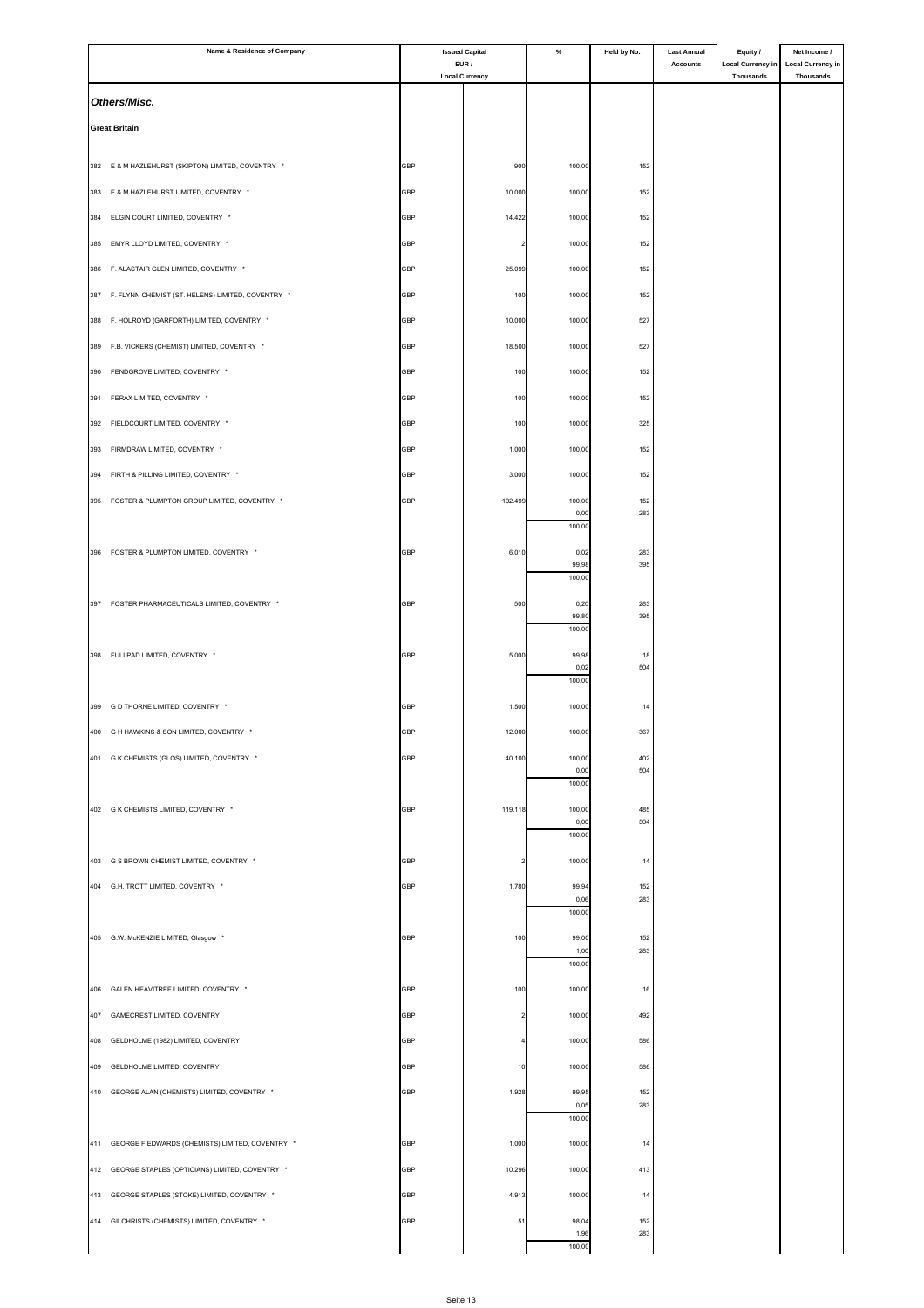|     | Name & Residence of Company                           |            | <b>Issued Capital</b>          | %               | Held by No. | <b>Last Annual</b> | Equity /                              | Net Income /                                 |
|-----|-------------------------------------------------------|------------|--------------------------------|-----------------|-------------|--------------------|---------------------------------------|----------------------------------------------|
|     |                                                       |            | EUR /<br><b>Local Currency</b> |                 |             | <b>Accounts</b>    | <b>Local Currency in</b><br>Thousands | <b>Local Currency in</b><br><b>Thousands</b> |
|     | Others/Misc.                                          |            |                                |                 |             |                    |                                       |                                              |
|     |                                                       |            |                                |                 |             |                    |                                       |                                              |
|     | <b>Great Britain</b>                                  |            |                                |                 |             |                    |                                       |                                              |
|     |                                                       |            |                                |                 |             |                    |                                       |                                              |
|     | 382 E & M HAZLEHURST (SKIPTON) LIMITED, COVENTRY *    | GBP        | 900                            | 100,00          | 152         |                    |                                       |                                              |
|     | 383 E & M HAZLEHURST LIMITED, COVENTRY *              | <b>GBP</b> | 10.000                         | 100,00          | 152         |                    |                                       |                                              |
| 384 | ELGIN COURT LIMITED, COVENTRY *                       | GBP        | 14.422                         | 100,00          | 152         |                    |                                       |                                              |
|     | 385 EMYR LLOYD LIMITED, COVENTRY *                    | GBP        |                                | 100,00          | 152         |                    |                                       |                                              |
|     |                                                       |            |                                |                 |             |                    |                                       |                                              |
|     | 386 F. ALASTAIR GLEN LIMITED, COVENTRY *              | GBP        | 25.099                         | 100,00          | 152         |                    |                                       |                                              |
|     | 387 F. FLYNN CHEMIST (ST. HELENS) LIMITED, COVENTRY * | GBP        | 100                            | 100,00          | 152         |                    |                                       |                                              |
| 388 | F. HOLROYD (GARFORTH) LIMITED, COVENTRY *             | <b>GBP</b> | 10.000                         | 100,00          | 527         |                    |                                       |                                              |
|     | 389 F.B. VICKERS (CHEMIST) LIMITED, COVENTRY *        | GBP        | 18.500                         | 100,00          | 527         |                    |                                       |                                              |
| 390 | FENDGROVE LIMITED, COVENTRY *                         | <b>GBP</b> | 100                            | 100,00          | 152         |                    |                                       |                                              |
|     |                                                       |            |                                |                 |             |                    |                                       |                                              |
| 391 | FERAX LIMITED, COVENTRY *                             | GBP        | 100                            | 100,00          | 152         |                    |                                       |                                              |
| 392 | FIELDCOURT LIMITED, COVENTRY *                        | GBP        | 100                            | 100,00          | 325         |                    |                                       |                                              |
|     | 393 FIRMDRAW LIMITED, COVENTRY *                      | GBP        | 1.000                          | 100,00          | 152         |                    |                                       |                                              |
| 394 | FIRTH & PILLING LIMITED, COVENTRY *                   | GBP        | 3.000                          | 100,00          | 152         |                    |                                       |                                              |
|     | 395 FOSTER & PLUMPTON GROUP LIMITED, COVENTRY *       | GBP        | 102.499                        | 100,00          | 152         |                    |                                       |                                              |
|     |                                                       |            |                                | 0,00            | 283         |                    |                                       |                                              |
|     |                                                       |            |                                | 100,00          |             |                    |                                       |                                              |
|     | 396 FOSTER & PLUMPTON LIMITED, COVENTRY *             | <b>GBP</b> | 6.010                          | 0,02<br>99,98   | 283<br>395  |                    |                                       |                                              |
|     |                                                       |            |                                | 100,00          |             |                    |                                       |                                              |
|     | 397 FOSTER PHARMACEUTICALS LIMITED, COVENTRY *        | GBP        | 500                            | 0,20            | 283         |                    |                                       |                                              |
|     |                                                       |            |                                | 99,80<br>100,00 | 395         |                    |                                       |                                              |
|     |                                                       |            |                                |                 |             |                    |                                       |                                              |
|     | 398 FULLPAD LIMITED, COVENTRY *                       | GBP        | 5.000                          | 99,98<br>0,02   | 18<br>504   |                    |                                       |                                              |
|     |                                                       |            |                                | 100,00          |             |                    |                                       |                                              |
|     | 399 G D THORNE LIMITED, COVENTRY *                    | GBP        | 1.500                          | 100,00          | 14          |                    |                                       |                                              |
|     | 400 G H HAWKINS & SON LIMITED, COVENTRY *             | <b>GBP</b> | 12.000                         | 100,00          | 367         |                    |                                       |                                              |
|     | 401 G K CHEMISTS (GLOS) LIMITED, COVENTRY *           |            |                                | 100,00          |             |                    |                                       |                                              |
|     |                                                       | <b>GBP</b> | 40.100                         | 0,00            | 402<br>504  |                    |                                       |                                              |
|     |                                                       |            |                                | 100,00          |             |                    |                                       |                                              |
|     | 402 G K CHEMISTS LIMITED, COVENTRY *                  | <b>GBP</b> | 119.118                        | 100,00          | 485         |                    |                                       |                                              |
|     |                                                       |            |                                | 0,00<br>100,00  | 504         |                    |                                       |                                              |
|     | 403 G S BROWN CHEMIST LIMITED, COVENTRY *             | <b>GBP</b> |                                | 100,00          | 14          |                    |                                       |                                              |
|     |                                                       |            |                                |                 |             |                    |                                       |                                              |
|     | 404 G.H. TROTT LIMITED, COVENTRY *                    | GBP        | 1.780                          | 99,94<br>0,06   | 152<br>283  |                    |                                       |                                              |
|     |                                                       |            |                                | 100,00          |             |                    |                                       |                                              |
|     | 405 G.W. McKENZIE LIMITED, Glasgow *                  | GBP        | 100                            | 99,00           | 152         |                    |                                       |                                              |
|     |                                                       |            |                                | 1,00<br>100,00  | 283         |                    |                                       |                                              |
|     | 406 GALEN HEAVITREE LIMITED, COVENTRY *               | GBP        | 100                            | 100,00          | 16          |                    |                                       |                                              |
|     |                                                       |            |                                |                 |             |                    |                                       |                                              |
| 407 | GAMECREST LIMITED, COVENTRY                           | GBP        |                                | 100,00          | 492         |                    |                                       |                                              |
| 408 | GELDHOLME (1982) LIMITED, COVENTRY                    | GBP        |                                | 100,00          | 586         |                    |                                       |                                              |
| 409 | GELDHOLME LIMITED, COVENTRY                           | GBP        | 10                             | 100,00          | 586         |                    |                                       |                                              |
|     | 410 GEORGE ALAN (CHEMISTS) LIMITED, COVENTRY *        | GBP        | 1.928                          | 99,95           | 152         |                    |                                       |                                              |
|     |                                                       |            |                                | 0,05<br>100,00  | 283         |                    |                                       |                                              |
|     |                                                       |            |                                |                 |             |                    |                                       |                                              |
|     | 411 GEORGE F EDWARDS (CHEMISTS) LIMITED, COVENTRY *   | <b>GBP</b> | 1.000                          | 100,00          | 14          |                    |                                       |                                              |
|     | 412 GEORGE STAPLES (OPTICIANS) LIMITED, COVENTRY *    | GBP        | 10.296                         | 100,00          | 413         |                    |                                       |                                              |
| 413 | GEORGE STAPLES (STOKE) LIMITED, COVENTRY *            | GBP        | 4.913                          | 100,00          | 14          |                    |                                       |                                              |
|     | 414 GILCHRISTS (CHEMISTS) LIMITED, COVENTRY *         | GBP        | 51                             | 98,04           | 152         |                    |                                       |                                              |
|     |                                                       |            |                                | 1,96<br>100,00  | 283         |                    |                                       |                                              |
|     |                                                       |            |                                |                 |             |                    |                                       |                                              |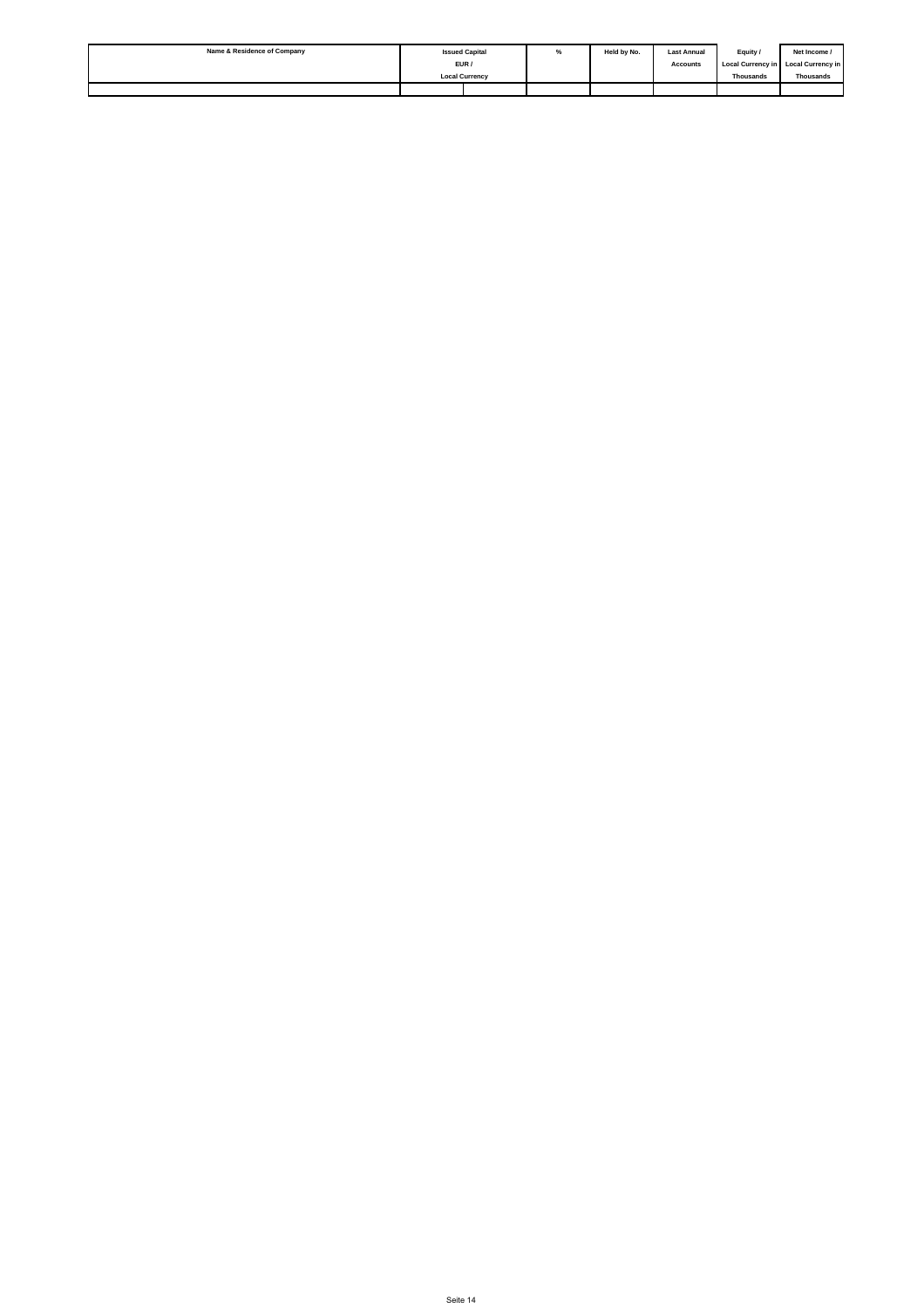| Name & Residence of Company |                       | <b>Issued Capital</b> | % | Held by No. | <b>Last Annual</b> | Equity /         | Net Income /                        |
|-----------------------------|-----------------------|-----------------------|---|-------------|--------------------|------------------|-------------------------------------|
|                             | EUR /                 |                       |   |             | <b>Accounts</b>    |                  | Local Currency in Local Currency in |
|                             | <b>Local Currency</b> |                       |   |             |                    | <b>Thousands</b> | Thousands                           |
|                             |                       |                       |   |             |                    |                  |                                     |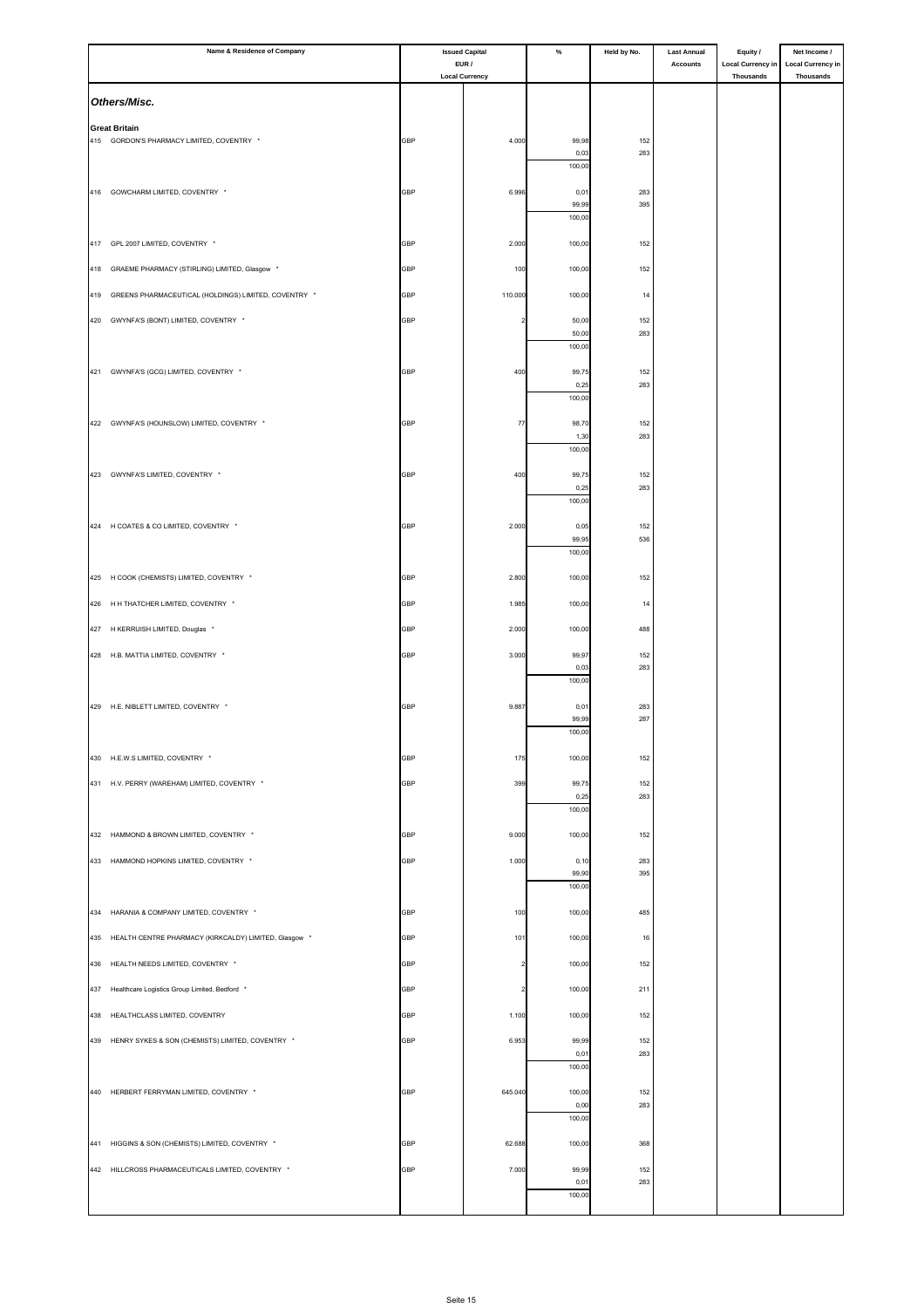|     | Name & Residence of Company                               | <b>Issued Capital</b><br>EUR / |                         | $\%$            | Held by No. | <b>Last Annual</b> | Equity /                                     | Net Income /                                 |
|-----|-----------------------------------------------------------|--------------------------------|-------------------------|-----------------|-------------|--------------------|----------------------------------------------|----------------------------------------------|
|     |                                                           |                                | <b>Local Currency</b>   |                 |             | <b>Accounts</b>    | <b>Local Currency in</b><br><b>Thousands</b> | <b>Local Currency in</b><br><b>Thousands</b> |
|     | Others/Misc.                                              |                                |                         |                 |             |                    |                                              |                                              |
|     | <b>Great Britain</b>                                      |                                |                         |                 |             |                    |                                              |                                              |
|     | 415 GORDON'S PHARMACY LIMITED, COVENTRY *                 | <b>GBP</b>                     | 4.000                   | 99,98           | 152         |                    |                                              |                                              |
|     |                                                           |                                |                         | 0,03<br>100,00  | 283         |                    |                                              |                                              |
|     | 416 GOWCHARM LIMITED, COVENTRY *                          | GBP                            | 6.996                   | 0,01            | 283         |                    |                                              |                                              |
|     |                                                           |                                |                         | 99,99<br>100,00 | 395         |                    |                                              |                                              |
|     |                                                           |                                |                         |                 |             |                    |                                              |                                              |
|     | 417 GPL 2007 LIMITED, COVENTRY *                          | <b>GBP</b>                     | 2.000                   | 100,00          | 152         |                    |                                              |                                              |
|     | 418 GRAEME PHARMACY (STIRLING) LIMITED, Glasgow *         | GBP                            | 100                     | 100,00          | 152         |                    |                                              |                                              |
| 419 | GREENS PHARMACEUTICAL (HOLDINGS) LIMITED, COVENTRY *      | <b>GBP</b>                     | 110.000                 | 100,00          | 14          |                    |                                              |                                              |
|     | 420 GWYNFA'S (BONT) LIMITED, COVENTRY *                   | GBP                            |                         | 50,00           | 152         |                    |                                              |                                              |
|     |                                                           |                                |                         | 50,00<br>100,00 | 283         |                    |                                              |                                              |
|     | 421 GWYNFA'S (GCG) LIMITED, COVENTRY *                    | <b>GBP</b>                     | 400                     | 99,75           | 152         |                    |                                              |                                              |
|     |                                                           |                                |                         | 0,25            | 283         |                    |                                              |                                              |
|     |                                                           |                                |                         | 100,00          |             |                    |                                              |                                              |
|     | 422 GWYNFA'S (HOUNSLOW) LIMITED, COVENTRY *               | GBP                            | 77                      | 98,70<br>1,30   | 152<br>283  |                    |                                              |                                              |
|     |                                                           |                                |                         | 100,00          |             |                    |                                              |                                              |
|     | 423 GWYNFA'S LIMITED, COVENTRY *                          | GBP                            | 400                     | 99,75           | 152         |                    |                                              |                                              |
|     |                                                           |                                |                         | 0,25<br>100,00  | 283         |                    |                                              |                                              |
|     | 424 H COATES & CO LIMITED, COVENTRY *                     | GBP                            | 2.000                   | 0,05            | 152         |                    |                                              |                                              |
|     |                                                           |                                |                         | 99,95           | 536         |                    |                                              |                                              |
|     |                                                           |                                |                         | 100,00          |             |                    |                                              |                                              |
|     | 425 H COOK (CHEMISTS) LIMITED, COVENTRY *                 | GBP                            | 2.800                   | 100,00          | 152         |                    |                                              |                                              |
|     | 426 H H THATCHER LIMITED, COVENTRY *                      | GBP                            | 1.985                   | 100,00          | 14          |                    |                                              |                                              |
|     | 427 H KERRUISH LIMITED, Douglas *                         | GBP                            | 2.000                   | 100,00          | 488         |                    |                                              |                                              |
|     | 428 H.B. MATTIA LIMITED, COVENTRY *                       | GBP                            | 3.000                   | 99,97           | 152         |                    |                                              |                                              |
|     |                                                           |                                |                         | 0,03<br>100,00  | 283         |                    |                                              |                                              |
|     |                                                           |                                |                         |                 |             |                    |                                              |                                              |
|     | 429 H.E. NIBLETT LIMITED, COVENTRY *                      | <b>GBP</b>                     | 9.887                   | 0,01<br>99,99   | 283<br>287  |                    |                                              |                                              |
|     |                                                           |                                |                         | 100,00          |             |                    |                                              |                                              |
|     | 430 H.E.W.S LIMITED, COVENTRY *                           | <b>GBP</b>                     | 175                     | 100,00          | 152         |                    |                                              |                                              |
|     | 431 H.V. PERRY (WAREHAM) LIMITED, COVENTRY *              | GBP                            | 399                     | 99,75           | 152         |                    |                                              |                                              |
|     |                                                           |                                |                         | 0,25<br>100,00  | 283         |                    |                                              |                                              |
|     | 432 HAMMOND & BROWN LIMITED, COVENTRY *                   | GBP                            | 9.000                   | 100,00          | 152         |                    |                                              |                                              |
|     | 433 HAMMOND HOPKINS LIMITED, COVENTRY *                   | GBP                            | 1.000                   | 0, 10           | 283         |                    |                                              |                                              |
|     |                                                           |                                |                         | 99,90           | 395         |                    |                                              |                                              |
|     |                                                           |                                |                         | 100,00          |             |                    |                                              |                                              |
|     | 434 HARANIA & COMPANY LIMITED, COVENTRY *                 | GBP                            | 100                     | 100,00          | 485         |                    |                                              |                                              |
|     | 435 HEALTH CENTRE PHARMACY (KIRKCALDY) LIMITED, Glasgow * | GBP                            | 101                     | 100,00          | 16          |                    |                                              |                                              |
| 436 | HEALTH NEEDS LIMITED, COVENTRY *                          | GBP                            | $\overline{\mathbf{2}}$ | 100,00          | 152         |                    |                                              |                                              |
| 437 | Healthcare Logistics Group Limited, Bedford *             | GBP                            | $\overline{\mathbf{c}}$ | 100,00          | 211         |                    |                                              |                                              |
| 438 | HEALTHCLASS LIMITED, COVENTRY                             | GBP                            | 1.100                   | 100,00          | 152         |                    |                                              |                                              |
|     |                                                           |                                |                         |                 |             |                    |                                              |                                              |
|     | 439 HENRY SYKES & SON (CHEMISTS) LIMITED, COVENTRY *      | GBP                            | 6.953                   | 99,99<br>0,01   | 152<br>283  |                    |                                              |                                              |
|     |                                                           |                                |                         | 100,00          |             |                    |                                              |                                              |
|     | 440 HERBERT FERRYMAN LIMITED, COVENTRY *                  | GBP                            | 645.040                 | 100,00          | 152         |                    |                                              |                                              |
|     |                                                           |                                |                         | 0,00<br>100,00  | 283         |                    |                                              |                                              |
|     | 441 HIGGINS & SON (CHEMISTS) LIMITED, COVENTRY *          | GBP                            | 62.688                  | 100,00          | 368         |                    |                                              |                                              |
|     | 442 HILLCROSS PHARMACEUTICALS LIMITED, COVENTRY *         | GBP                            | 7.000                   | 99,99           | 152         |                    |                                              |                                              |
|     |                                                           |                                |                         | 0,01            | 283         |                    |                                              |                                              |
|     |                                                           |                                |                         | 100,00          |             |                    |                                              |                                              |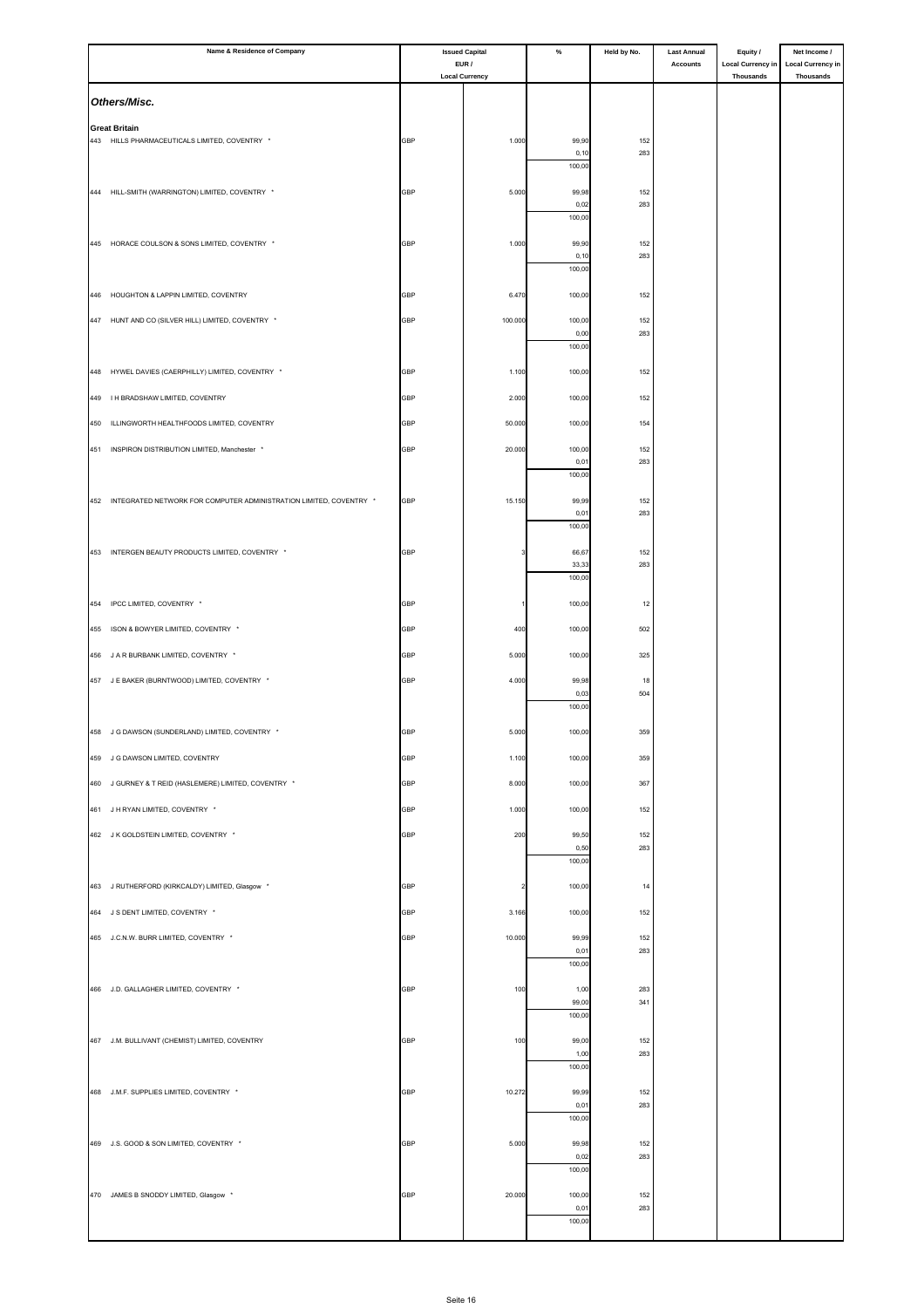| Name & Residence of Company |                                                                        | <b>Issued Capital</b><br>EUR / |                         | $\%$            | Held by No. | <b>Last Annual</b> | Equity /                                     | Net Income /                                 |
|-----------------------------|------------------------------------------------------------------------|--------------------------------|-------------------------|-----------------|-------------|--------------------|----------------------------------------------|----------------------------------------------|
|                             |                                                                        |                                | <b>Local Currency</b>   |                 |             | <b>Accounts</b>    | <b>Local Currency in</b><br><b>Thousands</b> | <b>Local Currency in</b><br><b>Thousands</b> |
|                             | Others/Misc.                                                           |                                |                         |                 |             |                    |                                              |                                              |
|                             | <b>Great Britain</b>                                                   |                                |                         |                 |             |                    |                                              |                                              |
|                             | 443 HILLS PHARMACEUTICALS LIMITED, COVENTRY *                          | GBP                            | 1.000                   | 99,90           | 152         |                    |                                              |                                              |
|                             |                                                                        |                                |                         | 0, 10<br>100,00 | 283         |                    |                                              |                                              |
|                             | 444 HILL-SMITH (WARRINGTON) LIMITED, COVENTRY *                        | <b>GBP</b>                     | 5.000                   | 99,98           | 152         |                    |                                              |                                              |
|                             |                                                                        |                                |                         | 0,02<br>100,00  | 283         |                    |                                              |                                              |
|                             |                                                                        |                                |                         |                 |             |                    |                                              |                                              |
|                             | 445 HORACE COULSON & SONS LIMITED, COVENTRY *                          | <b>GBP</b>                     | 1.000                   | 99,90<br>0, 10  | 152<br>283  |                    |                                              |                                              |
|                             |                                                                        |                                |                         | 100,00          |             |                    |                                              |                                              |
| 446                         | HOUGHTON & LAPPIN LIMITED, COVENTRY                                    | <b>GBP</b>                     | 6.470                   | 100,00          | 152         |                    |                                              |                                              |
|                             | 447 HUNT AND CO (SILVER HILL) LIMITED, COVENTRY *                      | GBP                            | 100.000                 | 100,00          | 152         |                    |                                              |                                              |
|                             |                                                                        |                                |                         | 0,00<br>100,00  | 283         |                    |                                              |                                              |
|                             | 448 HYWEL DAVIES (CAERPHILLY) LIMITED, COVENTRY *                      | <b>GBP</b>                     | 1.100                   | 100,00          | 152         |                    |                                              |                                              |
| 449                         | I H BRADSHAW LIMITED, COVENTRY                                         | GBP                            | 2.000                   | 100,00          | 152         |                    |                                              |                                              |
|                             |                                                                        |                                |                         |                 |             |                    |                                              |                                              |
| 450                         | ILLINGWORTH HEALTHFOODS LIMITED, COVENTRY                              | GBP                            | 50.000                  | 100,00          | 154         |                    |                                              |                                              |
| 451                         | INSPIRON DISTRIBUTION LIMITED, Manchester *                            | GBP                            | 20.000                  | 100,00<br>0,01  | 152<br>283  |                    |                                              |                                              |
|                             |                                                                        |                                |                         | 100,00          |             |                    |                                              |                                              |
|                             | 452 INTEGRATED NETWORK FOR COMPUTER ADMINISTRATION LIMITED, COVENTRY * | GBP                            | 15.150                  | 99,99           | 152         |                    |                                              |                                              |
|                             |                                                                        |                                |                         | 0,01<br>100,00  | 283         |                    |                                              |                                              |
|                             | 453 INTERGEN BEAUTY PRODUCTS LIMITED, COVENTRY *                       | GBP                            |                         | 66,67           | 152         |                    |                                              |                                              |
|                             |                                                                        |                                |                         | 33,33           | 283         |                    |                                              |                                              |
|                             |                                                                        |                                |                         | 100,00          |             |                    |                                              |                                              |
|                             | 454 IPCC LIMITED, COVENTRY *                                           | GBP                            |                         | 100,00          | 12          |                    |                                              |                                              |
|                             | 455 ISON & BOWYER LIMITED, COVENTRY *                                  | GBP                            | 400                     | 100,00          | 502         |                    |                                              |                                              |
| 456                         | J A R BURBANK LIMITED, COVENTRY *                                      | GBP                            | 5.000                   | 100,00          | 325         |                    |                                              |                                              |
|                             | 457 J E BAKER (BURNTWOOD) LIMITED, COVENTRY *                          | GBP                            | 4.000                   | 99,98           | 18          |                    |                                              |                                              |
|                             |                                                                        |                                |                         | 0,03<br>100,00  | 504         |                    |                                              |                                              |
|                             | 458 J G DAWSON (SUNDERLAND) LIMITED, COVENTRY *                        | <b>GBP</b>                     | 5.000                   | 100,00          | 359         |                    |                                              |                                              |
|                             |                                                                        |                                |                         |                 |             |                    |                                              |                                              |
|                             | 459 J G DAWSON LIMITED, COVENTRY                                       | <b>GBP</b>                     | 1.100                   | 100,00          | 359         |                    |                                              |                                              |
|                             | 460 J GURNEY & T REID (HASLEMERE) LIMITED, COVENTRY *                  | GBP                            | 8.000                   | 100,00          | 367         |                    |                                              |                                              |
|                             | 461 J H RYAN LIMITED, COVENTRY *                                       | <b>GBP</b>                     | 1.000                   | 100,00          | 152         |                    |                                              |                                              |
|                             | 462 J K GOLDSTEIN LIMITED, COVENTRY *                                  | <b>GBP</b>                     | 200                     | 99,50           | 152         |                    |                                              |                                              |
|                             |                                                                        |                                |                         | 0,50<br>100,00  | 283         |                    |                                              |                                              |
|                             | 463 J RUTHERFORD (KIRKCALDY) LIMITED, Glasgow *                        | <b>GBP</b>                     | $\overline{\mathbf{c}}$ | 100,00          | 14          |                    |                                              |                                              |
|                             | 464 J S DENT LIMITED, COVENTRY *                                       | GBP                            |                         | 100,00          |             |                    |                                              |                                              |
|                             |                                                                        |                                | 3.166                   |                 | 152         |                    |                                              |                                              |
|                             | 465 J.C.N.W. BURR LIMITED, COVENTRY *                                  | <b>GBP</b>                     | 10.000                  | 99,99<br>0,01   | 152<br>283  |                    |                                              |                                              |
|                             |                                                                        |                                |                         | 100,00          |             |                    |                                              |                                              |
|                             | 466 J.D. GALLAGHER LIMITED, COVENTRY *                                 | GBP                            | 100                     | 1,00            | 283         |                    |                                              |                                              |
|                             |                                                                        |                                |                         | 99,00<br>100,00 | 341         |                    |                                              |                                              |
|                             | 467 J.M. BULLIVANT (CHEMIST) LIMITED, COVENTRY                         | GBP                            | 100                     | 99,00           | 152         |                    |                                              |                                              |
|                             |                                                                        |                                |                         | 1,00<br>100,00  | 283         |                    |                                              |                                              |
|                             |                                                                        |                                |                         |                 |             |                    |                                              |                                              |
|                             | 468 J.M.F. SUPPLIES LIMITED, COVENTRY *                                | GBP                            | 10.272                  | 99,99<br>0,01   | 152<br>283  |                    |                                              |                                              |
|                             |                                                                        |                                |                         | 100,00          |             |                    |                                              |                                              |
|                             | 469 J.S. GOOD & SON LIMITED, COVENTRY *                                | GBP                            | 5.000                   | 99,98<br>0,02   | 152<br>283  |                    |                                              |                                              |
|                             |                                                                        |                                |                         | 100,00          |             |                    |                                              |                                              |
|                             | 470 JAMES B SNODDY LIMITED, Glasgow *                                  | GBP                            | 20.000                  | 100,00          | 152         |                    |                                              |                                              |
|                             |                                                                        |                                |                         | 0,01<br>100,00  | 283         |                    |                                              |                                              |
|                             |                                                                        |                                |                         |                 |             |                    |                                              |                                              |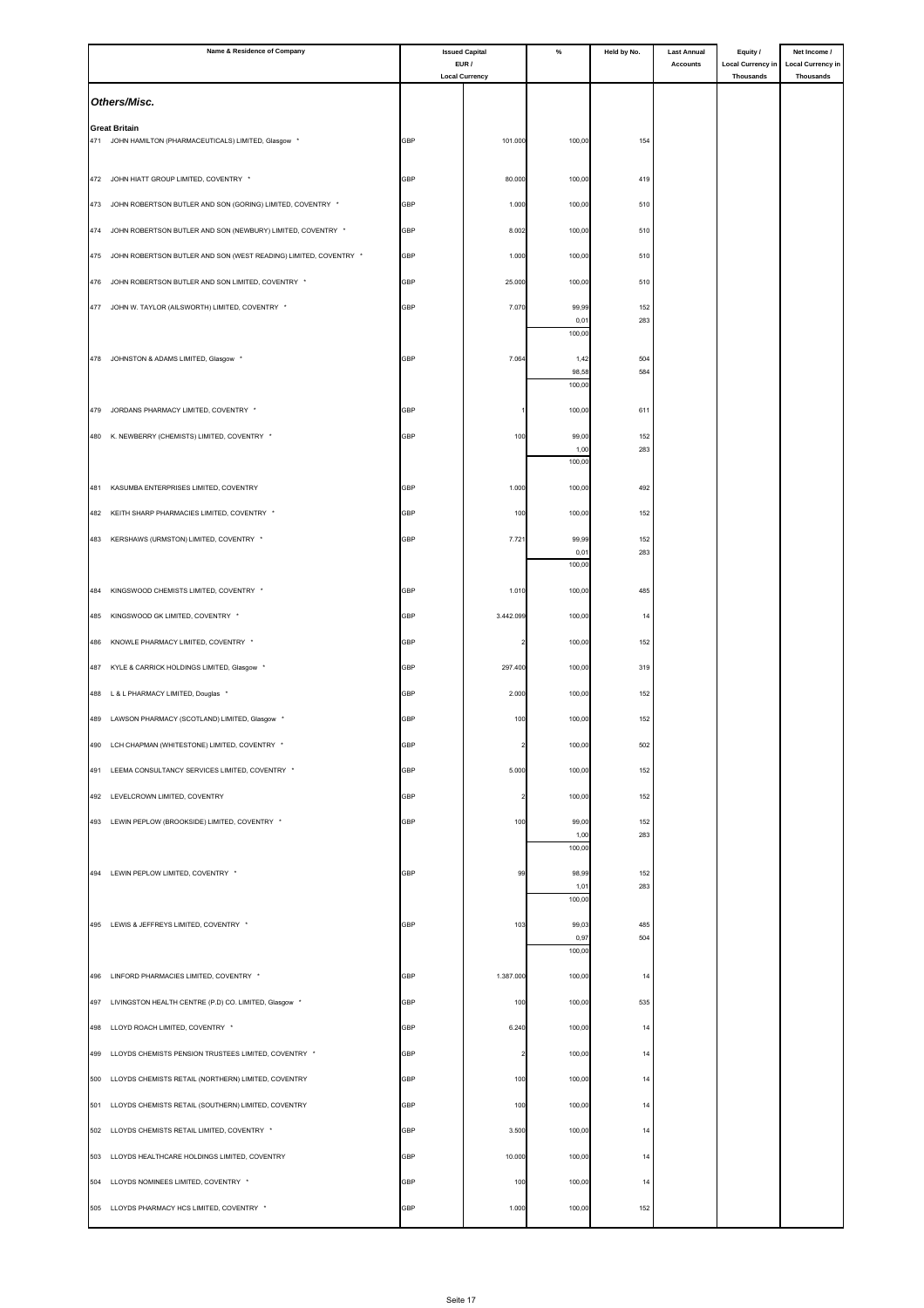|     | Name & Residence of Company                                      | <b>Issued Capital</b><br>EUR / |                       | $\%$           | Held by No. | <b>Last Annual</b> | Equity /                              | Net Income /                                 |
|-----|------------------------------------------------------------------|--------------------------------|-----------------------|----------------|-------------|--------------------|---------------------------------------|----------------------------------------------|
|     |                                                                  |                                | <b>Local Currency</b> |                |             | <b>Accounts</b>    | <b>Local Currency in</b><br>Thousands | <b>Local Currency in</b><br><b>Thousands</b> |
|     | Others/Misc.                                                     |                                |                       |                |             |                    |                                       |                                              |
|     | <b>Great Britain</b>                                             |                                |                       |                |             |                    |                                       |                                              |
|     | 471 JOHN HAMILTON (PHARMACEUTICALS) LIMITED, Glasgow             | GBP                            | 101.000               | 100,00         | 154         |                    |                                       |                                              |
| 472 | JOHN HIATT GROUP LIMITED, COVENTRY *                             | GBP                            | 80.000                | 100,00         | 419         |                    |                                       |                                              |
| 473 | JOHN ROBERTSON BUTLER AND SON (GORING) LIMITED, COVENTRY *       | GBP                            | 1.000                 | 100,00         | 510         |                    |                                       |                                              |
| 474 | JOHN ROBERTSON BUTLER AND SON (NEWBURY) LIMITED, COVENTRY *      | <b>GBP</b>                     |                       |                | 510         |                    |                                       |                                              |
|     |                                                                  |                                | 8.002                 | 100,00         |             |                    |                                       |                                              |
| 475 | JOHN ROBERTSON BUTLER AND SON (WEST READING) LIMITED, COVENTRY * | GBP                            | 1.000                 | 100,00         | 510         |                    |                                       |                                              |
| 476 | JOHN ROBERTSON BUTLER AND SON LIMITED, COVENTRY *                | GBP                            | 25.000                | 100,00         | 510         |                    |                                       |                                              |
|     | 477 JOHN W. TAYLOR (AILSWORTH) LIMITED, COVENTRY *               | GBP                            | 7.070                 | 99,99<br>0,01  | 152<br>283  |                    |                                       |                                              |
|     |                                                                  |                                |                       | 100,00         |             |                    |                                       |                                              |
|     | 478 JOHNSTON & ADAMS LIMITED, Glasgow                            | GBP                            | 7.064                 | 1,42<br>98,58  | 504<br>584  |                    |                                       |                                              |
|     |                                                                  |                                |                       | 100,00         |             |                    |                                       |                                              |
| 479 | JORDANS PHARMACY LIMITED, COVENTRY *                             | <b>GBP</b>                     |                       | 100,00         | 611         |                    |                                       |                                              |
| 480 | K. NEWBERRY (CHEMISTS) LIMITED, COVENTRY *                       | GBP                            | 100                   | 99,00          | 152         |                    |                                       |                                              |
|     |                                                                  |                                |                       | 1,00<br>100,00 | 283         |                    |                                       |                                              |
| 481 | KASUMBA ENTERPRISES LIMITED, COVENTRY                            | GBP                            | 1.000                 | 100,00         | 492         |                    |                                       |                                              |
| 482 | KEITH SHARP PHARMACIES LIMITED, COVENTRY *                       | <b>GBP</b>                     | 100                   | 100,00         | 152         |                    |                                       |                                              |
|     | 483 KERSHAWS (URMSTON) LIMITED, COVENTRY *                       | GBP                            | 7.721                 | 99,99          | 152         |                    |                                       |                                              |
|     |                                                                  |                                |                       | 0,01           | 283         |                    |                                       |                                              |
|     |                                                                  |                                |                       | 100,00         |             |                    |                                       |                                              |
| 484 | KINGSWOOD CHEMISTS LIMITED, COVENTRY *                           | GBP                            | 1.010                 | 100,00         | 485         |                    |                                       |                                              |
| 485 | KINGSWOOD GK LIMITED, COVENTRY *                                 | <b>GBP</b>                     | 3.442.099             | 100,00         | 14          |                    |                                       |                                              |
| 486 | KNOWLE PHARMACY LIMITED, COVENTRY *                              | GBP                            |                       | 100,00         | 152         |                    |                                       |                                              |
| 487 | KYLE & CARRICK HOLDINGS LIMITED, Glasgow *                       | <b>GBP</b>                     | 297.400               | 100,00         | 319         |                    |                                       |                                              |
| 488 | L & L PHARMACY LIMITED, Douglas *                                | GBP                            | 2.000                 | 100,00         | 152         |                    |                                       |                                              |
| 489 | LAWSON PHARMACY (SCOTLAND) LIMITED, Glasgow *                    | <b>GBP</b>                     | 100                   | 100,00         | 152         |                    |                                       |                                              |
| 490 | LCH CHAPMAN (WHITESTONE) LIMITED, COVENTRY *                     | GBP                            |                       | 100,00         | 502         |                    |                                       |                                              |
|     | 491 LEEMA CONSULTANCY SERVICES LIMITED, COVENTRY *               | <b>GBP</b>                     | 5.000                 | 100,00         | 152         |                    |                                       |                                              |
| 492 | LEVELCROWN LIMITED, COVENTRY                                     | GBP                            |                       | 100,00         | 152         |                    |                                       |                                              |
|     | 493 LEWIN PEPLOW (BROOKSIDE) LIMITED, COVENTRY *                 | <b>GBP</b>                     | 100                   | 99,00          | 152         |                    |                                       |                                              |
|     |                                                                  |                                |                       | 1,00<br>100,00 | 283         |                    |                                       |                                              |
|     | 494 LEWIN PEPLOW LIMITED, COVENTRY *                             | GBP                            | 99                    | 98,99          | 152         |                    |                                       |                                              |
|     |                                                                  |                                |                       | 1,01<br>100,00 | 283         |                    |                                       |                                              |
|     | 495 LEWIS & JEFFREYS LIMITED, COVENTRY *                         |                                |                       |                |             |                    |                                       |                                              |
|     |                                                                  | GBP                            | 103                   | 99,03<br>0,97  | 485<br>504  |                    |                                       |                                              |
|     |                                                                  |                                |                       | 100,00         |             |                    |                                       |                                              |
|     | 496 LINFORD PHARMACIES LIMITED, COVENTRY *                       | GBP                            | 1.387.000             | 100,00         | 14          |                    |                                       |                                              |
|     | 497 LIVINGSTON HEALTH CENTRE (P.D) CO. LIMITED, Glasgow *        | GBP                            | 100                   | 100,00         | 535         |                    |                                       |                                              |
| 498 | LLOYD ROACH LIMITED, COVENTRY *                                  | GBP                            | 6.240                 | 100,00         | 14          |                    |                                       |                                              |
| 499 | LLOYDS CHEMISTS PENSION TRUSTEES LIMITED, COVENTRY *             | GBP                            | $\overline{2}$        | 100,00         | 14          |                    |                                       |                                              |
| 500 | LLOYDS CHEMISTS RETAIL (NORTHERN) LIMITED, COVENTRY              | GBP                            | 100                   | 100,00         | 14          |                    |                                       |                                              |
|     | 501 LLOYDS CHEMISTS RETAIL (SOUTHERN) LIMITED, COVENTRY          | GBP                            | 100                   | 100,00         | 14          |                    |                                       |                                              |
|     | 502 LLOYDS CHEMISTS RETAIL LIMITED, COVENTRY *                   | <b>GBP</b>                     | 3.500                 | 100,00         | 14          |                    |                                       |                                              |
| 503 | LLOYDS HEALTHCARE HOLDINGS LIMITED, COVENTRY                     | <b>GBP</b>                     | 10.000                | 100,00         | 14          |                    |                                       |                                              |
|     | 504 LLOYDS NOMINEES LIMITED, COVENTRY *                          | GBP                            | 100                   | 100,00         | 14          |                    |                                       |                                              |
|     | 505 LLOYDS PHARMACY HCS LIMITED, COVENTRY *                      | GBP                            | 1.000                 | 100,00         | 152         |                    |                                       |                                              |
|     |                                                                  |                                |                       |                |             |                    |                                       |                                              |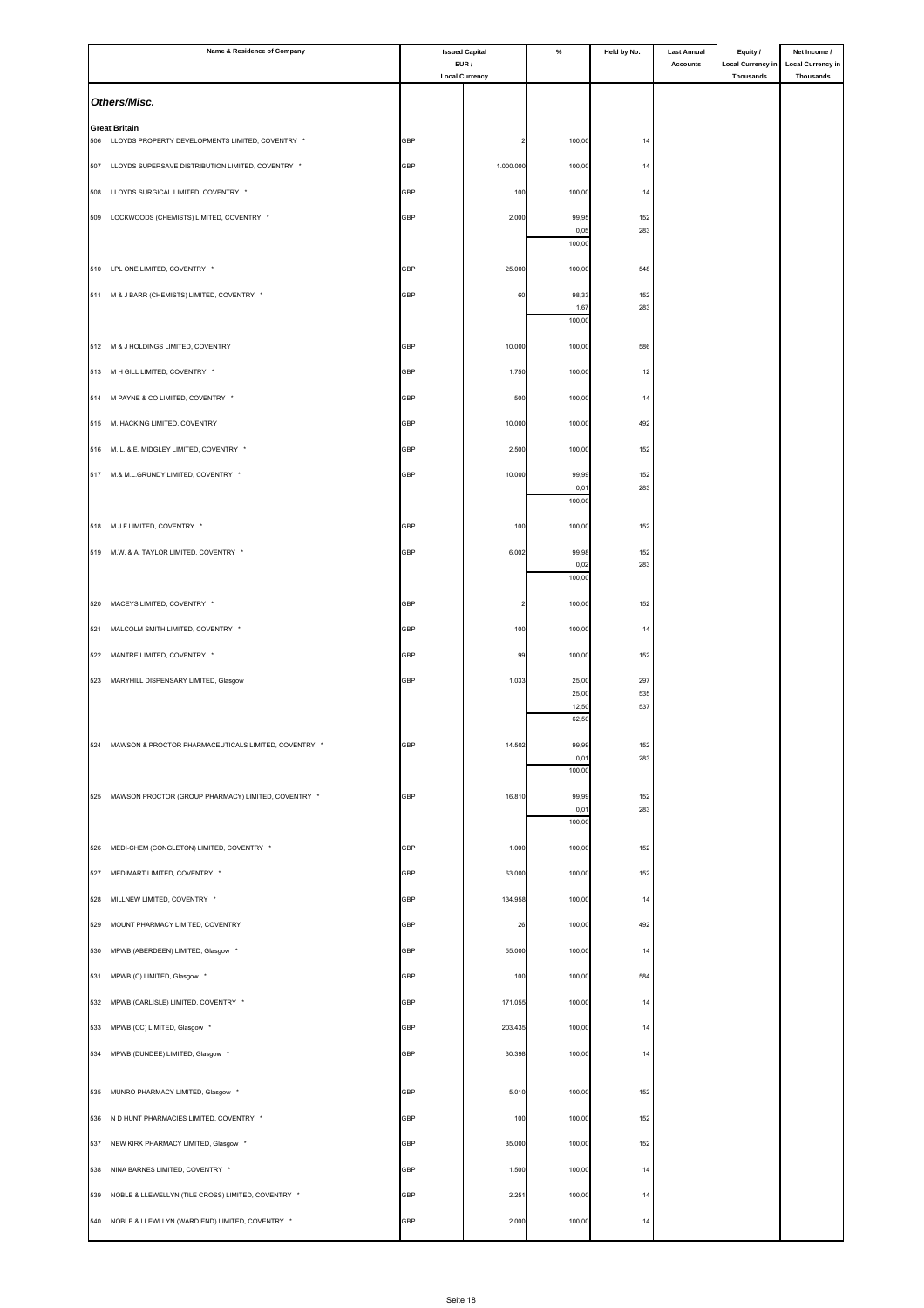| Name & Residence of Company                               |            | <b>Issued Capital</b>          |                | Held by No. | <b>Last Annual</b><br><b>Accounts</b> | Equity /<br><b>Local Currency in</b> | Net Income /<br><b>Local Currency in</b> |
|-----------------------------------------------------------|------------|--------------------------------|----------------|-------------|---------------------------------------|--------------------------------------|------------------------------------------|
|                                                           |            | EUR /<br><b>Local Currency</b> |                |             |                                       | <b>Thousands</b>                     | <b>Thousands</b>                         |
| Others/Misc.                                              |            |                                |                |             |                                       |                                      |                                          |
| <b>Great Britain</b>                                      |            |                                |                |             |                                       |                                      |                                          |
| LLOYDS PROPERTY DEVELOPMENTS LIMITED, COVENTRY *<br>506   | <b>GBP</b> |                                | 100,00         | 14          |                                       |                                      |                                          |
| 507 LLOYDS SUPERSAVE DISTRIBUTION LIMITED, COVENTRY *     | <b>GBP</b> | 1.000.000                      | 100,00         | 14          |                                       |                                      |                                          |
| LLOYDS SURGICAL LIMITED, COVENTRY *<br>508                | <b>GBP</b> | 100                            | 100,00         | 14          |                                       |                                      |                                          |
| LOCKWOODS (CHEMISTS) LIMITED, COVENTRY *<br>509           | <b>GBP</b> | 2.000                          | 99,95          | 152         |                                       |                                      |                                          |
|                                                           |            |                                | 0,05<br>100,00 | 283         |                                       |                                      |                                          |
| 510 LPL ONE LIMITED, COVENTRY *                           | GBP        | 25.000                         | 100,00         | 548         |                                       |                                      |                                          |
| 511 M & J BARR (CHEMISTS) LIMITED, COVENTRY *             | <b>GBP</b> | 60                             | 98,33          | 152         |                                       |                                      |                                          |
|                                                           |            |                                | 1,67<br>100,00 | 283         |                                       |                                      |                                          |
| 512 M & J HOLDINGS LIMITED, COVENTRY                      | <b>GBP</b> | 10.000                         | 100,00         | 586         |                                       |                                      |                                          |
| 513 M H GILL LIMITED, COVENTRY *                          | <b>GBP</b> |                                |                |             |                                       |                                      |                                          |
|                                                           |            | 1.750                          | 100,00         | 12          |                                       |                                      |                                          |
| M PAYNE & CO LIMITED, COVENTRY *<br>514                   | <b>GBP</b> | 500                            | 100,00         | 14          |                                       |                                      |                                          |
| 515 M. HACKING LIMITED, COVENTRY                          | GBP        | 10.000                         | 100,00         | 492         |                                       |                                      |                                          |
| M. L. & E. MIDGLEY LIMITED, COVENTRY *<br>516             | <b>GBP</b> | 2.500                          | 100,00         | 152         |                                       |                                      |                                          |
| 517 M.& M.L.GRUNDY LIMITED, COVENTRY *                    | GBP        | 10.000                         | 99,99<br>0,01  | 152<br>283  |                                       |                                      |                                          |
|                                                           |            |                                | 100,00         |             |                                       |                                      |                                          |
| 518 M.J.F LIMITED, COVENTRY *                             | GBP        | 100                            | 100,00         | 152         |                                       |                                      |                                          |
| 519 M.W. & A. TAYLOR LIMITED, COVENTRY *                  | GBP        | 6.002                          | 99,98          | 152         |                                       |                                      |                                          |
|                                                           |            |                                | 0,02<br>100,00 | 283         |                                       |                                      |                                          |
| 520<br>MACEYS LIMITED, COVENTRY *                         | GBP        |                                | 100,00         | 152         |                                       |                                      |                                          |
| 521 MALCOLM SMITH LIMITED, COVENTRY *                     | GBP        | 100                            | 100,00         | 14          |                                       |                                      |                                          |
| MANTRE LIMITED, COVENTRY *                                | <b>GBP</b> | 99                             | 100,00         | 152         |                                       |                                      |                                          |
| 522                                                       |            |                                |                |             |                                       |                                      |                                          |
| 523 MARYHILL DISPENSARY LIMITED, Glasgow                  | GBP        | 1.033                          | 25,00<br>25,00 | 297<br>535  |                                       |                                      |                                          |
|                                                           |            |                                | 12,50<br>62,50 | 537         |                                       |                                      |                                          |
| 524 MAWSON & PROCTOR PHARMACEUTICALS LIMITED, COVENTRY *  | GBP        | 14.502                         | 99,99          | 152         |                                       |                                      |                                          |
|                                                           |            |                                | 0,01<br>100,00 | 283         |                                       |                                      |                                          |
| 525 MAWSON PROCTOR (GROUP PHARMACY) LIMITED, COVENTRY *   |            |                                |                |             |                                       |                                      |                                          |
|                                                           | GBP        | 16.810                         | 99,99<br>0,01  | 152<br>283  |                                       |                                      |                                          |
|                                                           |            |                                | 100,00         |             |                                       |                                      |                                          |
| MEDI-CHEM (CONGLETON) LIMITED, COVENTRY *<br>526          | GBP        | 1.000                          | 100,00         | 152         |                                       |                                      |                                          |
| MEDIMART LIMITED, COVENTRY *<br>527                       | GBP        | 63.000                         | 100,00         | 152         |                                       |                                      |                                          |
| 528<br>MILLNEW LIMITED, COVENTRY *                        | GBP        | 134.958                        | 100,00         | 14          |                                       |                                      |                                          |
| 529<br>MOUNT PHARMACY LIMITED, COVENTRY                   | <b>GBP</b> | 26                             | 100,00         | 492         |                                       |                                      |                                          |
| MPWB (ABERDEEN) LIMITED, Glasgow *<br>530                 | GBP        | 55.000                         | 100,00         | 14          |                                       |                                      |                                          |
| 531<br>MPWB (C) LIMITED, Glasgow *                        | GBP        | 100                            | 100,00         | 584         |                                       |                                      |                                          |
| MPWB (CARLISLE) LIMITED, COVENTRY *<br>532                | <b>GBP</b> | 171.055                        | 100,00         | 14          |                                       |                                      |                                          |
| 533<br>MPWB (CC) LIMITED, Glasgow *                       | <b>GBP</b> | 203.435                        | 100,00         | 14          |                                       |                                      |                                          |
| 534<br>MPWB (DUNDEE) LIMITED, Glasgow *                   | <b>GBP</b> | 30.398                         | 100,00         | 14          |                                       |                                      |                                          |
|                                                           |            |                                |                |             |                                       |                                      |                                          |
| MUNRO PHARMACY LIMITED, Glasgow *<br>535                  | <b>GBP</b> | 5.010                          | 100,00         | 152         |                                       |                                      |                                          |
| N D HUNT PHARMACIES LIMITED, COVENTRY *<br>536            | <b>GBP</b> | 100                            | 100,00         | 152         |                                       |                                      |                                          |
| 537<br>NEW KIRK PHARMACY LIMITED, Glasgow *               | GBP        | 35.000                         | 100,00         | 152         |                                       |                                      |                                          |
| NINA BARNES LIMITED, COVENTRY *<br>538                    | GBP        | 1.500                          | 100,00         | 14          |                                       |                                      |                                          |
| 539<br>NOBLE & LLEWELLYN (TILE CROSS) LIMITED, COVENTRY * | <b>GBP</b> | 2.251                          | 100,00         | 14          |                                       |                                      |                                          |
| 540 NOBLE & LLEWLLYN (WARD END) LIMITED, COVENTRY *       | GBP        | 2.000                          | 100,00         | 14          |                                       |                                      |                                          |
|                                                           |            |                                |                |             |                                       |                                      |                                          |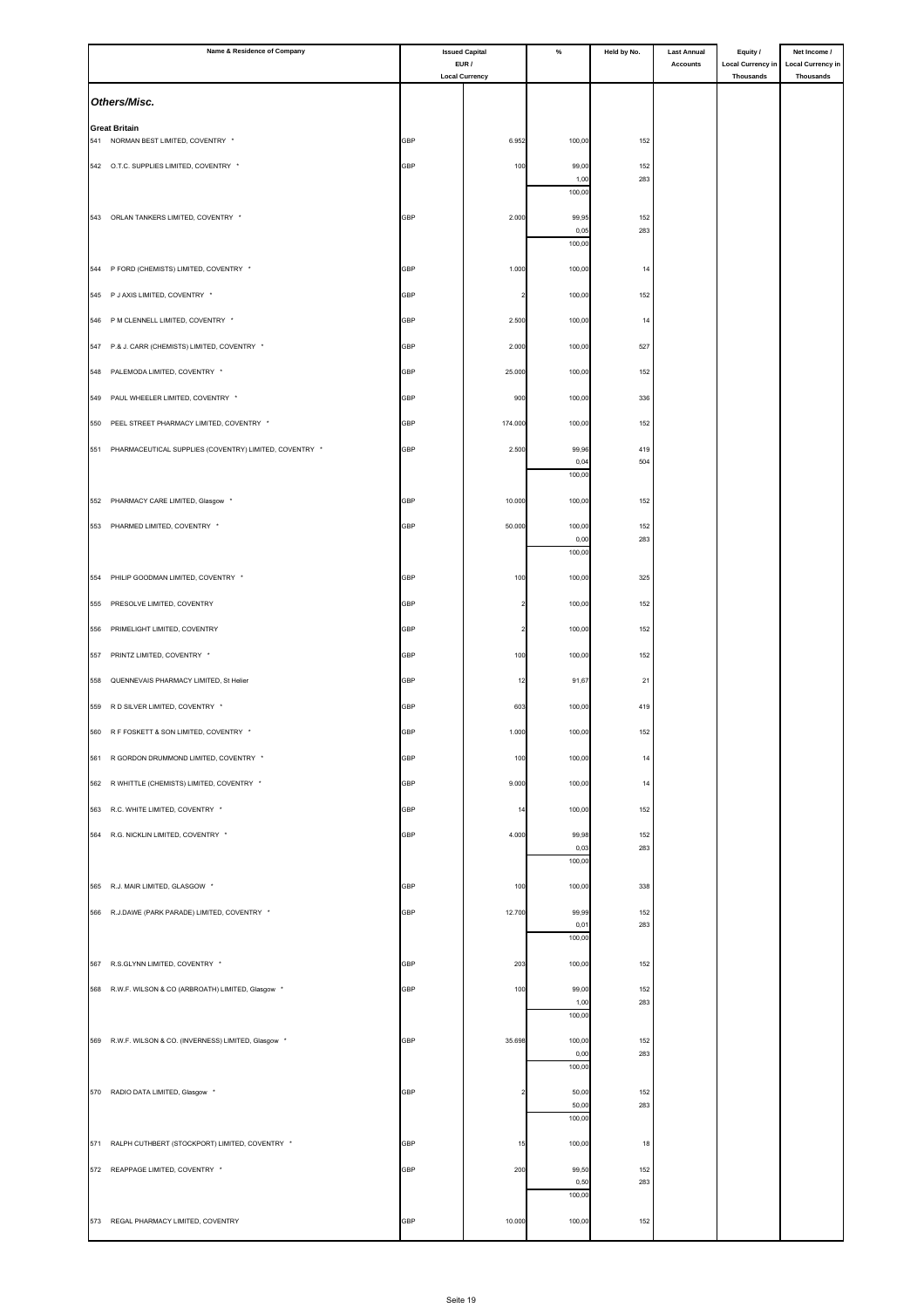|     | Name & Residence of Company                            |            | <b>Issued Capital</b><br>EUR / | $\%$           | Held by No. | <b>Last Annual</b><br><b>Accounts</b> | Equity /<br><b>Local Currency in</b> | Net Income /<br><b>Local Currency in</b> |
|-----|--------------------------------------------------------|------------|--------------------------------|----------------|-------------|---------------------------------------|--------------------------------------|------------------------------------------|
|     |                                                        |            | <b>Local Currency</b>          |                |             |                                       | <b>Thousands</b>                     | <b>Thousands</b>                         |
|     | Others/Misc.                                           |            |                                |                |             |                                       |                                      |                                          |
|     | <b>Great Britain</b>                                   |            |                                |                |             |                                       |                                      |                                          |
|     | 541 NORMAN BEST LIMITED, COVENTRY *                    | GBP        | 6.952                          | 100,00         | 152         |                                       |                                      |                                          |
|     | 542 O.T.C. SUPPLIES LIMITED, COVENTRY *                | <b>GBP</b> | 100                            | 99,00<br>1,00  | 152<br>283  |                                       |                                      |                                          |
|     |                                                        |            |                                | 100,00         |             |                                       |                                      |                                          |
|     | 543 ORLAN TANKERS LIMITED, COVENTRY *                  | <b>GBP</b> | 2.000                          | 99,95<br>0,05  | 152<br>283  |                                       |                                      |                                          |
|     |                                                        |            |                                | 100,00         |             |                                       |                                      |                                          |
|     | 544 P FORD (CHEMISTS) LIMITED, COVENTRY *              | GBP        | 1.000                          | 100,00         | 14          |                                       |                                      |                                          |
|     | 545 P J AXIS LIMITED, COVENTRY *                       | <b>GBP</b> | $\overline{\phantom{a}}$       | 100,00         | 152         |                                       |                                      |                                          |
| 546 | P M CLENNELL LIMITED, COVENTRY *                       | GBP        | 2.500                          | 100,00         | 14          |                                       |                                      |                                          |
| 547 | P.& J. CARR (CHEMISTS) LIMITED, COVENTRY *             | <b>GBP</b> | 2.000                          | 100,00         | 527         |                                       |                                      |                                          |
|     | 548 PALEMODA LIMITED, COVENTRY *                       | <b>GBP</b> | 25.000                         | 100,00         | 152         |                                       |                                      |                                          |
| 549 | PAUL WHEELER LIMITED, COVENTRY *                       | GBP        | 900                            | 100,00         | 336         |                                       |                                      |                                          |
| 550 | PEEL STREET PHARMACY LIMITED, COVENTRY *               | GBP        | 174.000                        | 100,00         | 152         |                                       |                                      |                                          |
| 551 | PHARMACEUTICAL SUPPLIES (COVENTRY) LIMITED, COVENTRY * | <b>GBP</b> | 2.500                          | 99,96<br>0,04  | 419<br>504  |                                       |                                      |                                          |
|     |                                                        |            |                                | 100,00         |             |                                       |                                      |                                          |
|     | 552 PHARMACY CARE LIMITED, Glasgow *                   | GBP        | 10.000                         | 100,00         | 152         |                                       |                                      |                                          |
|     | 553 PHARMED LIMITED, COVENTRY *                        | GBP        | 50.000                         | 100,00         | 152         |                                       |                                      |                                          |
|     |                                                        |            |                                | 0,00<br>100,00 | 283         |                                       |                                      |                                          |
| 554 | PHILIP GOODMAN LIMITED, COVENTRY *                     | GBP        | 100                            | 100,00         | 325         |                                       |                                      |                                          |
| 555 | PRESOLVE LIMITED, COVENTRY                             | GBP        |                                | 100,00         | 152         |                                       |                                      |                                          |
| 556 | PRIMELIGHT LIMITED, COVENTRY                           | GBP        | $\overline{\mathbf{2}}$        | 100,00         | 152         |                                       |                                      |                                          |
| 557 | PRINTZ LIMITED, COVENTRY *                             | GBP        | 100                            | 100,00         | 152         |                                       |                                      |                                          |
| 558 | QUENNEVAIS PHARMACY LIMITED, St Helier                 | GBP        | 12                             | 91,67          | 21          |                                       |                                      |                                          |
|     | 559 R D SILVER LIMITED, COVENTRY *                     | <b>GBP</b> | 603                            | 100,00         | 419         |                                       |                                      |                                          |
|     | 560 R F FOSKETT & SON LIMITED, COVENTRY *              | <b>GBP</b> | 1.000                          | 100,00         | 152         |                                       |                                      |                                          |
|     | 561 R GORDON DRUMMOND LIMITED, COVENTRY *              | <b>GBP</b> | 100                            | 100,00         | 14          |                                       |                                      |                                          |
|     | 562 R WHITTLE (CHEMISTS) LIMITED, COVENTRY *           | GBP        | 9.000                          | 100,00         | 14          |                                       |                                      |                                          |
|     | 563 R.C. WHITE LIMITED, COVENTRY *                     | <b>GBP</b> | 14                             | 100,00         | 152         |                                       |                                      |                                          |
|     | 564 R.G. NICKLIN LIMITED, COVENTRY *                   |            |                                |                |             |                                       |                                      |                                          |
|     |                                                        | GBP        | 4.000                          | 99,98<br>0,03  | 152<br>283  |                                       |                                      |                                          |
|     |                                                        |            |                                | 100,00         |             |                                       |                                      |                                          |
|     | 565 R.J. MAIR LIMITED, GLASGOW *                       | GBP        | 100                            | 100,00         | 338         |                                       |                                      |                                          |
|     | 566 R.J.DAWE (PARK PARADE) LIMITED, COVENTRY *         | GBP        | 12.700                         | 99,99<br>0,01  | 152<br>283  |                                       |                                      |                                          |
|     |                                                        |            |                                | 100,00         |             |                                       |                                      |                                          |
|     | 567 R.S.GLYNN LIMITED, COVENTRY *                      | GBP        | 203                            | 100,00         | 152         |                                       |                                      |                                          |
|     | 568 R.W.F. WILSON & CO (ARBROATH) LIMITED, Glasgow *   | <b>GBP</b> | 100                            | 99,00<br>1,00  | 152<br>283  |                                       |                                      |                                          |
|     |                                                        |            |                                | 100,00         |             |                                       |                                      |                                          |
|     | 569 R.W.F. WILSON & CO. (INVERNESS) LIMITED, Glasgow * | GBP        | 35.698                         | 100,00<br>0,00 | 152<br>283  |                                       |                                      |                                          |
|     |                                                        |            |                                | 100,00         |             |                                       |                                      |                                          |
|     | 570 RADIO DATA LIMITED, Glasgow *                      | GBP        |                                | 50,00<br>50,00 | 152<br>283  |                                       |                                      |                                          |
|     |                                                        |            |                                | 100,00         |             |                                       |                                      |                                          |
|     | 571 RALPH CUTHBERT (STOCKPORT) LIMITED, COVENTRY *     | GBP        | 15                             | 100,00         | 18          |                                       |                                      |                                          |
|     | 572 REAPPAGE LIMITED, COVENTRY *                       | GBP        | 200                            | 99,50          | 152         |                                       |                                      |                                          |
|     |                                                        |            |                                | 0,50<br>100,00 | 283         |                                       |                                      |                                          |
|     | 573 REGAL PHARMACY LIMITED, COVENTRY                   | GBP        | 10.000                         | 100,00         | 152         |                                       |                                      |                                          |
|     |                                                        |            |                                |                |             |                                       |                                      |                                          |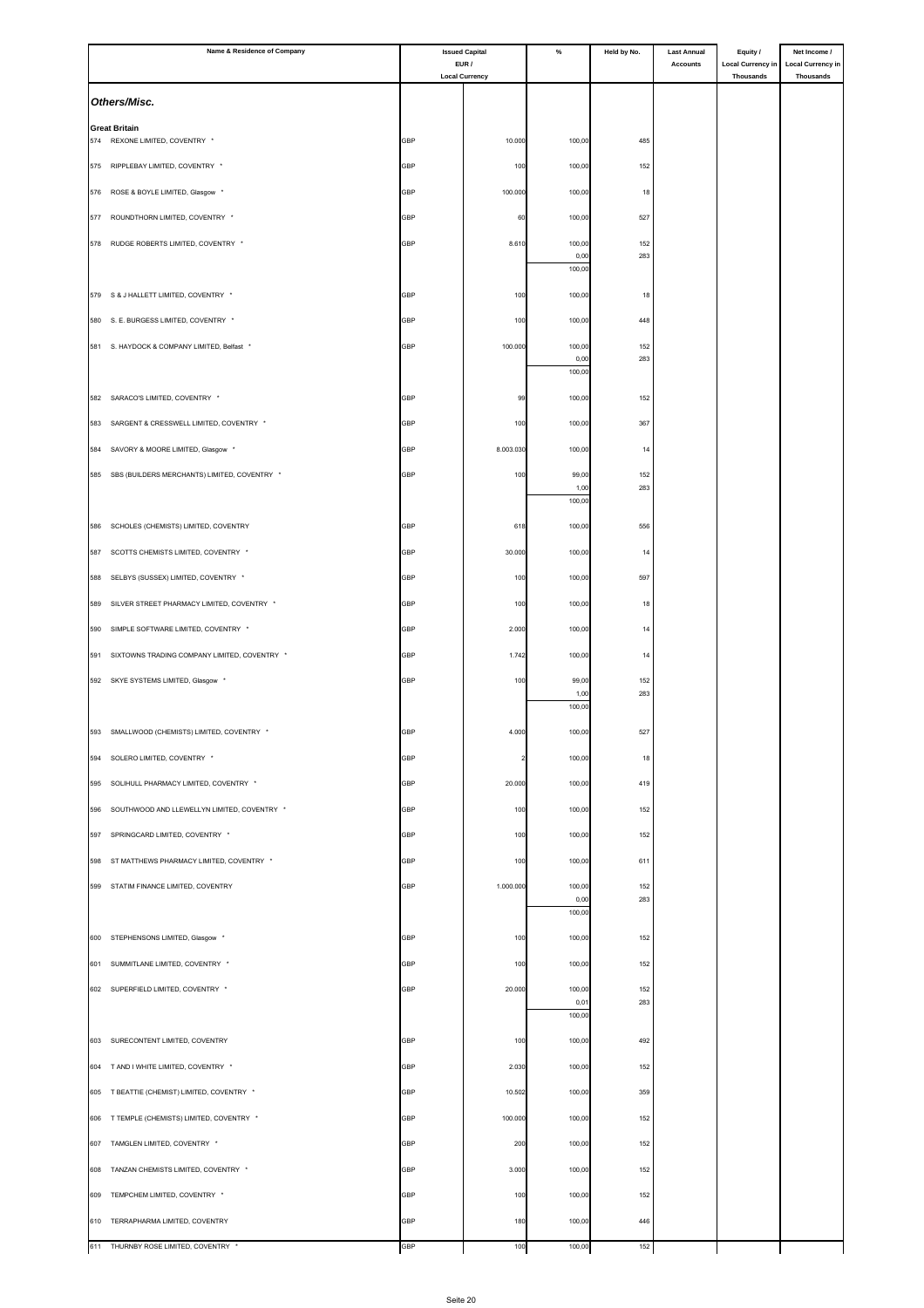|     | Name & Residence of Company                      |            | <b>Issued Capital</b>          | $\%$           | Held by No. | <b>Last Annual</b> | Equity /                              | Net Income /                          |
|-----|--------------------------------------------------|------------|--------------------------------|----------------|-------------|--------------------|---------------------------------------|---------------------------------------|
|     |                                                  |            | EUR /<br><b>Local Currency</b> |                |             | <b>Accounts</b>    | <b>Local Currency in</b><br>Thousands | <b>Local Currency in</b><br>Thousands |
|     | Others/Misc.                                     |            |                                |                |             |                    |                                       |                                       |
|     | <b>Great Britain</b>                             |            |                                |                |             |                    |                                       |                                       |
| 574 | REXONE LIMITED, COVENTRY *                       | GBP        | 10.000                         | 100,00         | 485         |                    |                                       |                                       |
|     | 575 RIPPLEBAY LIMITED, COVENTRY *                | <b>GBP</b> | 100                            | 100,00         | 152         |                    |                                       |                                       |
| 576 | ROSE & BOYLE LIMITED, Glasgow *                  | GBP        | 100.000                        | 100,00         | 18          |                    |                                       |                                       |
| 577 | ROUNDTHORN LIMITED, COVENTRY *                   | GBP        | 60                             | 100,00         | 527         |                    |                                       |                                       |
| 578 | RUDGE ROBERTS LIMITED, COVENTRY *                | GBP        | 8.610                          | 100,00         | 152         |                    |                                       |                                       |
|     |                                                  |            |                                | 0,00<br>100,00 | 283         |                    |                                       |                                       |
|     | 579 S & J HALLETT LIMITED, COVENTRY *            | GBP        | 100                            | 100,00         | 18          |                    |                                       |                                       |
|     | 580 S. E. BURGESS LIMITED, COVENTRY *            | GBP        | 100                            | 100,00         | 448         |                    |                                       |                                       |
|     | 581 S. HAYDOCK & COMPANY LIMITED, Belfast *      | GBP        | 100.000                        | 100,00         | 152         |                    |                                       |                                       |
|     |                                                  |            |                                | 0,00<br>100,00 | 283         |                    |                                       |                                       |
|     |                                                  |            |                                |                |             |                    |                                       |                                       |
|     | 582 SARACO'S LIMITED, COVENTRY *                 | <b>GBP</b> | 99                             | 100,00         | 152         |                    |                                       |                                       |
| 583 | SARGENT & CRESSWELL LIMITED, COVENTRY *          | GBP        | 100                            | 100,00         | 367         |                    |                                       |                                       |
| 584 | SAVORY & MOORE LIMITED, Glasgow *                | <b>GBP</b> | 8.003.030                      | 100,00         | 14          |                    |                                       |                                       |
|     | 585 SBS (BUILDERS MERCHANTS) LIMITED, COVENTRY * | GBP        | 100                            | 99,00<br>1,00  | 152<br>283  |                    |                                       |                                       |
|     |                                                  |            |                                | 100,00         |             |                    |                                       |                                       |
| 586 | SCHOLES (CHEMISTS) LIMITED, COVENTRY             | GBP        | 618                            | 100,00         | 556         |                    |                                       |                                       |
| 587 | SCOTTS CHEMISTS LIMITED, COVENTRY *              | GBP        | 30.000                         | 100,00         | 14          |                    |                                       |                                       |
| 588 | SELBYS (SUSSEX) LIMITED, COVENTRY *              | <b>GBP</b> | 100                            | 100,00         | 597         |                    |                                       |                                       |
| 589 | SILVER STREET PHARMACY LIMITED, COVENTRY *       | GBP        | 100                            | 100,00         | 18          |                    |                                       |                                       |
| 590 | SIMPLE SOFTWARE LIMITED, COVENTRY *              | <b>GBP</b> | 2.000                          | 100,00         | 14          |                    |                                       |                                       |
| 591 | SIXTOWNS TRADING COMPANY LIMITED, COVENTRY *     | GBP        | 1.742                          | 100,00         | 14          |                    |                                       |                                       |
|     | 592 SKYE SYSTEMS LIMITED, Glasgow *              | GBP        | 100                            | 99,00          | 152         |                    |                                       |                                       |
|     |                                                  |            |                                | 1,00           | 283         |                    |                                       |                                       |
|     |                                                  |            |                                | 100,00         |             |                    |                                       |                                       |
|     | 593 SMALLWOOD (CHEMISTS) LIMITED, COVENTRY *     | <b>GBP</b> | 4.000                          | 100,00         | 527         |                    |                                       |                                       |
|     | 594 SOLERO LIMITED, COVENTRY *                   | <b>GBP</b> |                                | 100,00         | 18          |                    |                                       |                                       |
| 595 | SOLIHULL PHARMACY LIMITED, COVENTRY *            | <b>GBP</b> | 20.000                         | 100,00         | 419         |                    |                                       |                                       |
| 596 | SOUTHWOOD AND LLEWELLYN LIMITED, COVENTRY *      | GBP        | 100                            | 100,00         | 152         |                    |                                       |                                       |
| 597 | SPRINGCARD LIMITED, COVENTRY *                   | GBP        | 100                            | 100,00         | 152         |                    |                                       |                                       |
| 598 | ST MATTHEWS PHARMACY LIMITED, COVENTRY *         | GBP        | 100                            | 100,00         | 611         |                    |                                       |                                       |
| 599 | STATIM FINANCE LIMITED, COVENTRY                 | GBP        | 1.000.000                      | 100,00         | 152         |                    |                                       |                                       |
|     |                                                  |            |                                | 0,00<br>100,00 | 283         |                    |                                       |                                       |
|     | 600 STEPHENSONS LIMITED, Glasgow *               | GBP        | 100                            | 100,00         | 152         |                    |                                       |                                       |
| 601 | SUMMITLANE LIMITED, COVENTRY *                   | GBP        | 100                            | 100,00         | 152         |                    |                                       |                                       |
|     | 602 SUPERFIELD LIMITED, COVENTRY *               | GBP        | 20.000                         | 100,00         | 152         |                    |                                       |                                       |
|     |                                                  |            |                                | 0,01           | 283         |                    |                                       |                                       |
|     |                                                  |            |                                | 100,00         |             |                    |                                       |                                       |
|     | 603 SURECONTENT LIMITED, COVENTRY                | GBP        | 100                            | 100,00         | 492         |                    |                                       |                                       |
|     | 604 T AND I WHITE LIMITED, COVENTRY *            | GBP        | 2.030                          | 100,00         | 152         |                    |                                       |                                       |
| 605 | T BEATTIE (CHEMIST) LIMITED, COVENTRY *          | GBP        | 10.502                         | 100,00         | 359         |                    |                                       |                                       |
|     | 606 T TEMPLE (CHEMISTS) LIMITED, COVENTRY *      | GBP        | 100.000                        | 100,00         | 152         |                    |                                       |                                       |
|     | 607 TAMGLEN LIMITED, COVENTRY *                  | GBP        | 200                            | 100,00         | 152         |                    |                                       |                                       |
| 608 | TANZAN CHEMISTS LIMITED, COVENTRY *              | <b>GBP</b> | 3.000                          | 100,00         | 152         |                    |                                       |                                       |
| 609 | TEMPCHEM LIMITED, COVENTRY *                     | GBP        | 100                            | 100,00         | 152         |                    |                                       |                                       |
| 610 | TERRAPHARMA LIMITED, COVENTRY                    | <b>GBP</b> | 180                            | 100,00         | 446         |                    |                                       |                                       |
|     | 611 THURNBY ROSE LIMITED, COVENTRY *             | GBP        | 100                            | 100,00         | 152         |                    |                                       |                                       |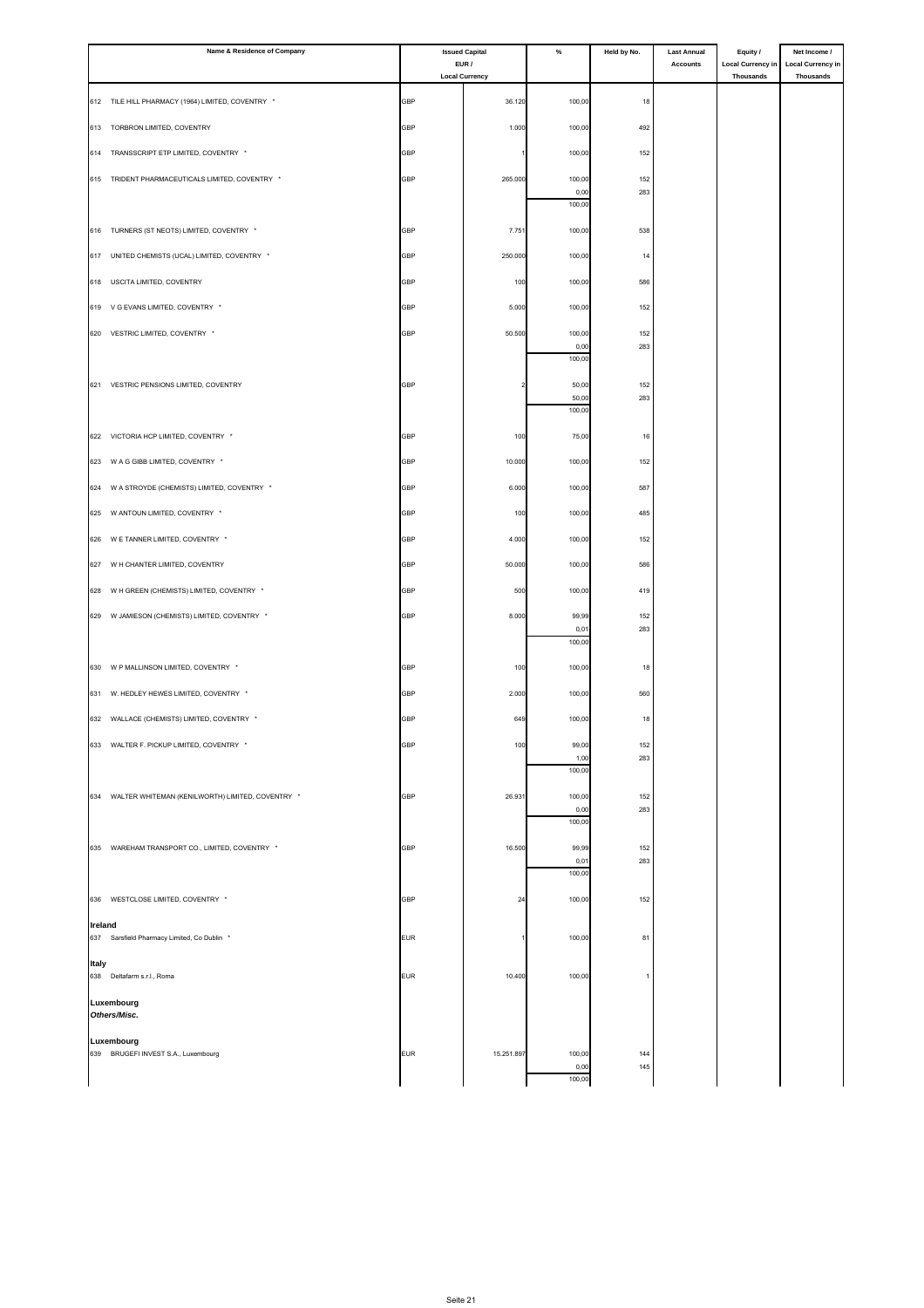|         | Name & Residence of Company                          |            | <b>Issued Capital</b>         | $\%$           | Held by No. | <b>Last Annual</b> | Equity /                              | Net Income /                          |
|---------|------------------------------------------------------|------------|-------------------------------|----------------|-------------|--------------------|---------------------------------------|---------------------------------------|
|         |                                                      |            | EUR/<br><b>Local Currency</b> |                |             | Accounts           | <b>Local Currency in</b><br>Thousands | <b>Local Currency in</b><br>Thousands |
|         | 612 TILE HILL PHARMACY (1964) LIMITED, COVENTRY *    | <b>GBP</b> | 36.120                        | 100,00         | 18          |                    |                                       |                                       |
|         | 613 TORBRON LIMITED, COVENTRY                        | GBP        | 1.000                         | 100,00         | 492         |                    |                                       |                                       |
| 614     | TRANSSCRIPT ETP LIMITED, COVENTRY *                  | <b>GBP</b> |                               | 100,00         | 152         |                    |                                       |                                       |
|         | 615 TRIDENT PHARMACEUTICALS LIMITED, COVENTRY *      | GBP        | 265.000                       | 100,00         | 152         |                    |                                       |                                       |
|         |                                                      |            |                               | 0,00           | 283         |                    |                                       |                                       |
|         |                                                      |            |                               | 100,00         |             |                    |                                       |                                       |
|         | 616 TURNERS (ST NEOTS) LIMITED, COVENTRY *           | <b>GBP</b> | 7.751                         | 100,00         | 538         |                    |                                       |                                       |
|         | 617 UNITED CHEMISTS (UCAL) LIMITED, COVENTRY *       | <b>GBP</b> | 250.000                       | 100,00         | 14          |                    |                                       |                                       |
| 618     | USCITA LIMITED, COVENTRY                             | <b>GBP</b> | 100                           | 100,00         | 586         |                    |                                       |                                       |
|         | 619 V G EVANS LIMITED, COVENTRY *                    | GBP        | 5.000                         | 100,00         | 152         |                    |                                       |                                       |
|         | 620 VESTRIC LIMITED, COVENTRY *                      | <b>GBP</b> | 50.500                        | 100,00<br>0,00 | 152<br>283  |                    |                                       |                                       |
|         |                                                      |            |                               | 100,00         |             |                    |                                       |                                       |
|         | 621 VESTRIC PENSIONS LIMITED, COVENTRY               | <b>GBP</b> |                               | 50,00<br>50,00 | 152<br>283  |                    |                                       |                                       |
|         |                                                      |            |                               | 100,00         |             |                    |                                       |                                       |
|         | 622 VICTORIA HCP LIMITED, COVENTRY *                 | GBP        | 100                           | 75,00          | 16          |                    |                                       |                                       |
|         | 623 W A G GIBB LIMITED, COVENTRY *                   | GBP        | 10.000                        | 100,00         | 152         |                    |                                       |                                       |
|         | 624 W A STROYDE (CHEMISTS) LIMITED, COVENTRY *       | GBP        | 6.000                         | 100,00         | 587         |                    |                                       |                                       |
|         | 625 W ANTOUN LIMITED, COVENTRY *                     | GBP        | 100                           | 100,00         | 485         |                    |                                       |                                       |
|         | 626 W E TANNER LIMITED, COVENTRY *                   | GBP        | 4.000                         | 100,00         | 152         |                    |                                       |                                       |
|         | 627 W H CHANTER LIMITED, COVENTRY                    | GBP        | 50.000                        | 100,00         | 586         |                    |                                       |                                       |
|         | 628 W H GREEN (CHEMISTS) LIMITED, COVENTRY *         | GBP        | 500                           | 100,00         | 419         |                    |                                       |                                       |
|         | 629 W JAMIESON (CHEMISTS) LIMITED, COVENTRY *        | GBP        | 8.000                         | 99,99          | 152         |                    |                                       |                                       |
|         |                                                      |            |                               | 0,01<br>100,00 | 283         |                    |                                       |                                       |
|         | 630 W P MALLINSON LIMITED, COVENTRY *                | GBP        | 100                           | 100,00         | 18          |                    |                                       |                                       |
|         | 631 W. HEDLEY HEWES LIMITED, COVENTRY *              | <b>GBP</b> | 2.000                         | 100,00         | 560         |                    |                                       |                                       |
|         |                                                      |            |                               |                | 18          |                    |                                       |                                       |
|         | 632 WALLACE (CHEMISTS) LIMITED, COVENTRY *           | <b>GBP</b> | 649                           | 100,00         |             |                    |                                       |                                       |
|         | 633 WALTER F. PICKUP LIMITED, COVENTRY *             | <b>GBP</b> | 100                           | 99,00<br>1,00  | 152<br>283  |                    |                                       |                                       |
|         |                                                      |            |                               | 100,00         |             |                    |                                       |                                       |
|         | 634 WALTER WHITEMAN (KENILWORTH) LIMITED, COVENTRY * | <b>GBP</b> | 26.931                        | 100,00<br>0,00 | 152<br>283  |                    |                                       |                                       |
|         |                                                      |            |                               | 100,00         |             |                    |                                       |                                       |
|         | 635 WAREHAM TRANSPORT CO., LIMITED, COVENTRY *       | <b>GBP</b> | 16.500                        | 99,99<br>0,01  | 152<br>283  |                    |                                       |                                       |
|         |                                                      |            |                               | 100,00         |             |                    |                                       |                                       |
|         | 636 WESTCLOSE LIMITED, COVENTRY *                    | GBP        | 24                            | 100,00         | 152         |                    |                                       |                                       |
| Ireland | 637 Sarsfield Pharmacy Limited, Co Dublin *          | <b>EUR</b> |                               | 100,00         | 81          |                    |                                       |                                       |
|         |                                                      |            |                               |                |             |                    |                                       |                                       |
| Italy   | 638 Deltafarm s.r.l., Roma                           | <b>EUR</b> | 10.400                        | 100,00         |             |                    |                                       |                                       |
|         | Luxembourg                                           |            |                               |                |             |                    |                                       |                                       |
|         | Others/Misc.                                         |            |                               |                |             |                    |                                       |                                       |
|         | Luxembourg<br>639 BRUGEFI INVEST S.A., Luxembourg    | <b>EUR</b> | 15.251.897                    | 100,00         | 144         |                    |                                       |                                       |
|         |                                                      |            |                               | 0,00<br>100,0  | 145         |                    |                                       |                                       |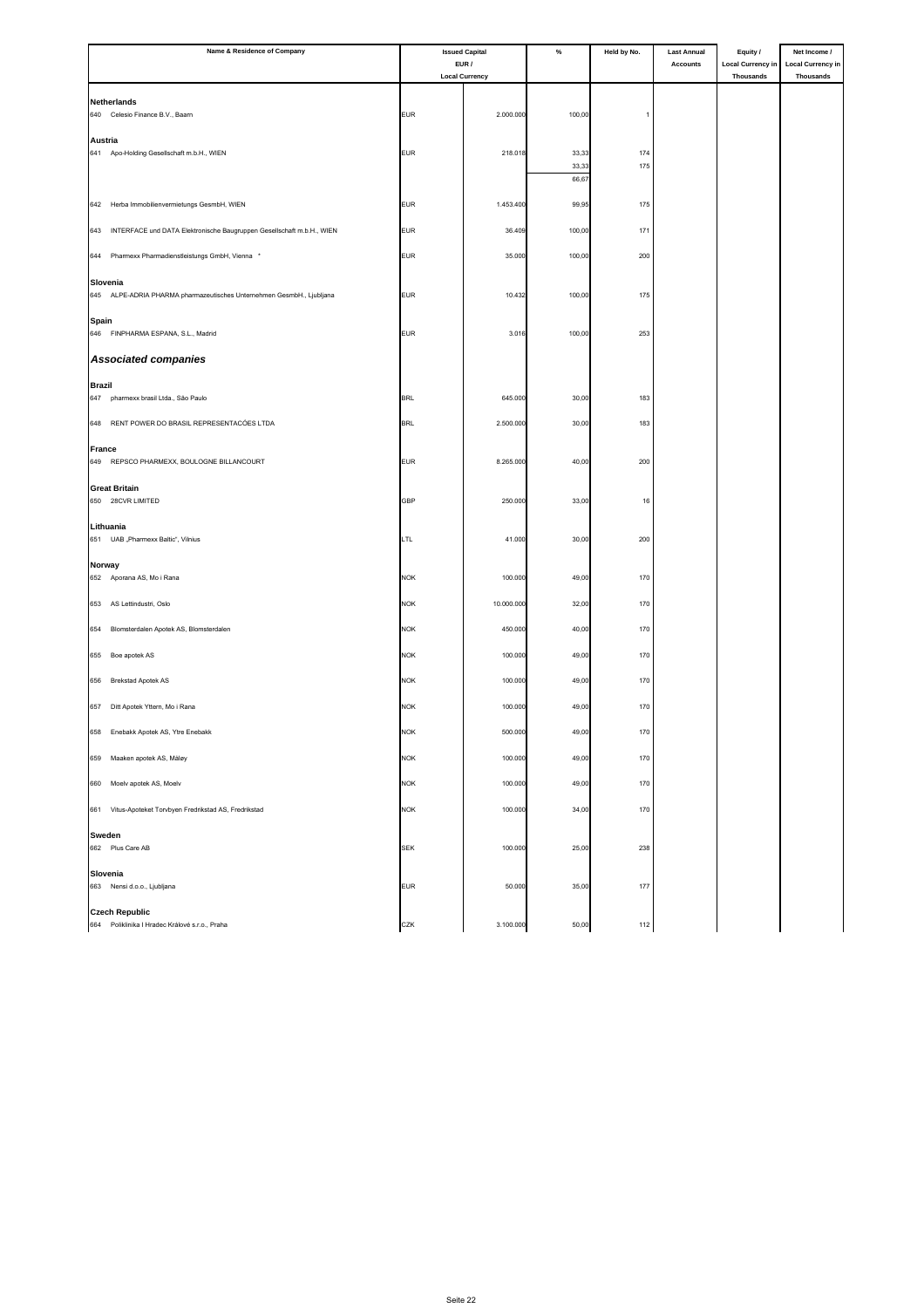| Name & Residence of Company                                                  |            | <b>Issued Capital</b>         | $\%$           | Held by No. | <b>Last Annual</b> | Equity /                              | Net Income /                                 |
|------------------------------------------------------------------------------|------------|-------------------------------|----------------|-------------|--------------------|---------------------------------------|----------------------------------------------|
|                                                                              |            | EUR/<br><b>Local Currency</b> |                |             | <b>Accounts</b>    | <b>Local Currency in</b><br>Thousands | <b>Local Currency in</b><br><b>Thousands</b> |
|                                                                              |            |                               |                |             |                    |                                       |                                              |
| <b>Netherlands</b>                                                           |            |                               |                |             |                    |                                       |                                              |
| 640<br>Celesio Finance B.V., Baarn                                           | <b>EUR</b> | 2.000.000                     | 100,00         |             |                    |                                       |                                              |
| Austria                                                                      |            |                               |                |             |                    |                                       |                                              |
| 641 Apo-Holding Gesellschaft m.b.H., WIEN                                    | <b>EUR</b> | 218.018                       | 33,33          | 174<br>175  |                    |                                       |                                              |
|                                                                              |            |                               | 33,33<br>66,67 |             |                    |                                       |                                              |
|                                                                              |            |                               |                |             |                    |                                       |                                              |
| 642 Herba Immobilienvermietungs GesmbH, WIEN                                 | <b>EUR</b> | 1.453.400                     | 99,95          | 175         |                    |                                       |                                              |
| INTERFACE und DATA Elektronische Baugruppen Gesellschaft m.b.H., WIEN<br>643 | <b>EUR</b> | 36.409                        | 100,00         | 171         |                    |                                       |                                              |
|                                                                              |            |                               |                |             |                    |                                       |                                              |
| Pharmexx Pharmadienstleistungs GmbH, Vienna<br>644                           | <b>EUR</b> | 35.000                        | 100,00         | 200         |                    |                                       |                                              |
| Slovenia                                                                     |            |                               |                |             |                    |                                       |                                              |
| 645 ALPE-ADRIA PHARMA pharmazeutisches Unternehmen GesmbH., Ljubljana        | <b>EUR</b> | 10.432                        | 100,00         | 175         |                    |                                       |                                              |
| Spain                                                                        |            |                               |                |             |                    |                                       |                                              |
| 646 FINPHARMA ESPANA, S.L., Madrid                                           | <b>EUR</b> | 3.016                         | 100,00         | 253         |                    |                                       |                                              |
| <b>Associated companies</b>                                                  |            |                               |                |             |                    |                                       |                                              |
|                                                                              |            |                               |                |             |                    |                                       |                                              |
| <b>Brazil</b><br>647<br>pharmexx brasil Ltda., São Paulo                     | <b>BRL</b> | 645.000                       | 30,00          | 183         |                    |                                       |                                              |
|                                                                              |            |                               |                |             |                    |                                       |                                              |
| RENT POWER DO BRASIL REPRESENTACÓES LTDA<br>648                              | <b>BRL</b> | 2.500.000                     | 30,00          | 183         |                    |                                       |                                              |
| <b>France</b>                                                                |            |                               |                |             |                    |                                       |                                              |
| REPSCO PHARMEXX, BOULOGNE BILLANCOURT<br>649                                 | <b>EUR</b> | 8.265.000                     | 40,00          | 200         |                    |                                       |                                              |
|                                                                              |            |                               |                |             |                    |                                       |                                              |
| <b>Great Britain</b><br>650 28CVR LIMITED                                    | <b>GBP</b> | 250.000                       | 33,00          | 16          |                    |                                       |                                              |
|                                                                              |            |                               |                |             |                    |                                       |                                              |
| Lithuania<br>651 UAB "Pharmexx Baltic", Vilnius                              | LTL        | 41.000                        | 30,00          | 200         |                    |                                       |                                              |
|                                                                              |            |                               |                |             |                    |                                       |                                              |
| Norway                                                                       |            |                               |                |             |                    |                                       |                                              |
| 652 Aporana AS, Mo i Rana                                                    | <b>NOK</b> | 100.000                       | 49,00          | 170         |                    |                                       |                                              |
| 653<br>AS Lettindustri, Oslo                                                 | <b>NOK</b> | 10.000.000                    | 32,00          | 170         |                    |                                       |                                              |
| 654<br>Blomsterdalen Apotek AS, Blomsterdalen                                | <b>NOK</b> | 450.000                       | 40,00          | 170         |                    |                                       |                                              |
|                                                                              |            |                               |                |             |                    |                                       |                                              |
| Boe apotek AS<br>655                                                         | <b>NOK</b> | 100.000                       | 49,00          | 170         |                    |                                       |                                              |
| <b>Brekstad Apotek AS</b><br>656                                             | <b>NOK</b> | 100.000                       | 49,00          | 170         |                    |                                       |                                              |
|                                                                              |            |                               |                |             |                    |                                       |                                              |
| 657<br>Ditt Apotek Yttern, Mo i Rana                                         | <b>NOK</b> | 100.000                       | 49,00          | 170         |                    |                                       |                                              |
| 658 Enebakk Apotek AS, Ytre Enebakk                                          | <b>NOK</b> | 500.000                       | 49,00          | 170         |                    |                                       |                                              |
|                                                                              |            |                               |                |             |                    |                                       |                                              |
| 659<br>Maaken apotek AS, Måløy                                               | <b>NOK</b> | 100.000                       | 49,00          | 170         |                    |                                       |                                              |
| 660<br>Moelv apotek AS, Moelv                                                | <b>NOK</b> | 100.000                       | 49,00          | 170         |                    |                                       |                                              |
|                                                                              |            |                               |                |             |                    |                                       |                                              |
| 661 Vitus-Apoteket Torvbyen Fredrikstad AS, Fredrikstad                      | <b>NOK</b> | 100.000                       | 34,00          | 170         |                    |                                       |                                              |
| Sweden                                                                       |            |                               |                |             |                    |                                       |                                              |
| 662 Plus Care AB                                                             | <b>SEK</b> | 100.000                       | 25,00          | 238         |                    |                                       |                                              |
| Slovenia                                                                     |            |                               |                |             |                    |                                       |                                              |
| 663 Nensi d.o.o., Ljubljana                                                  | <b>EUR</b> | 50.000                        | 35,00          | 177         |                    |                                       |                                              |
| <b>Czech Republic</b>                                                        |            |                               |                |             |                    |                                       |                                              |
| 664 Poliklinika I Hradec Králové s.r.o., Praha                               | CZK        | 3.100.000                     | 50,00          | 112         |                    |                                       |                                              |